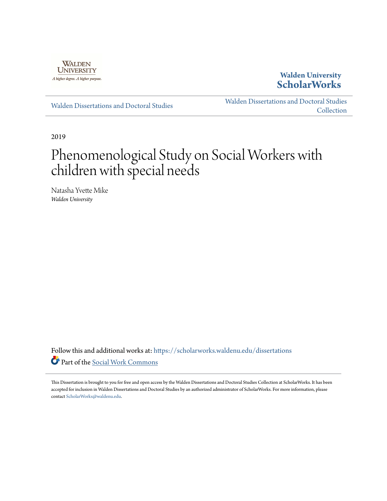

**Walden University [ScholarWorks](https://scholarworks.waldenu.edu?utm_source=scholarworks.waldenu.edu%2Fdissertations%2F6926&utm_medium=PDF&utm_campaign=PDFCoverPages)**

[Walden Dissertations and Doctoral Studies](https://scholarworks.waldenu.edu/dissertations?utm_source=scholarworks.waldenu.edu%2Fdissertations%2F6926&utm_medium=PDF&utm_campaign=PDFCoverPages)

[Walden Dissertations and Doctoral Studies](https://scholarworks.waldenu.edu/dissanddoc?utm_source=scholarworks.waldenu.edu%2Fdissertations%2F6926&utm_medium=PDF&utm_campaign=PDFCoverPages) **[Collection](https://scholarworks.waldenu.edu/dissanddoc?utm_source=scholarworks.waldenu.edu%2Fdissertations%2F6926&utm_medium=PDF&utm_campaign=PDFCoverPages)** 

2019

# Phenomenological Study on Social Workers with children with special needs

Natasha Yvette Mike *Walden University*

Follow this and additional works at: [https://scholarworks.waldenu.edu/dissertations](https://scholarworks.waldenu.edu/dissertations?utm_source=scholarworks.waldenu.edu%2Fdissertations%2F6926&utm_medium=PDF&utm_campaign=PDFCoverPages) Part of the [Social Work Commons](http://network.bepress.com/hgg/discipline/713?utm_source=scholarworks.waldenu.edu%2Fdissertations%2F6926&utm_medium=PDF&utm_campaign=PDFCoverPages)

This Dissertation is brought to you for free and open access by the Walden Dissertations and Doctoral Studies Collection at ScholarWorks. It has been accepted for inclusion in Walden Dissertations and Doctoral Studies by an authorized administrator of ScholarWorks. For more information, please contact [ScholarWorks@waldenu.edu](mailto:ScholarWorks@waldenu.edu).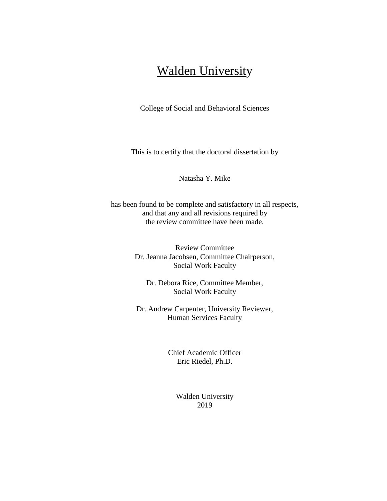## **Walden University**

College of Social and Behavioral Sciences

This is to certify that the doctoral dissertation by

Natasha Y. Mike

has been found to be complete and satisfactory in all respects, and that any and all revisions required by the review committee have been made.

> Review Committee Dr. Jeanna Jacobsen, Committee Chairperson, Social Work Faculty

Dr. Debora Rice, Committee Member, Social Work Faculty

Dr. Andrew Carpenter, University Reviewer, Human Services Faculty

> Chief Academic Officer Eric Riedel, Ph.D.

> > Walden University 2019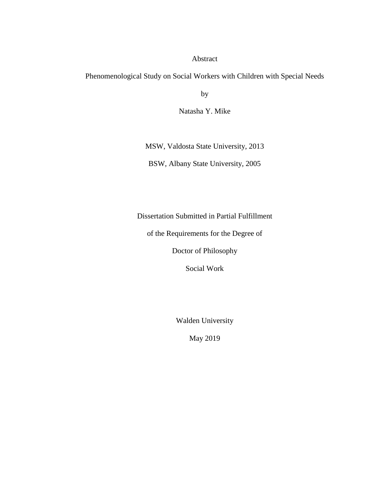#### Abstract

Phenomenological Study on Social Workers with Children with Special Needs

by

Natasha Y. Mike

MSW, Valdosta State University, 2013

BSW, Albany State University, 2005

Dissertation Submitted in Partial Fulfillment

of the Requirements for the Degree of

Doctor of Philosophy

Social Work

Walden University

May 2019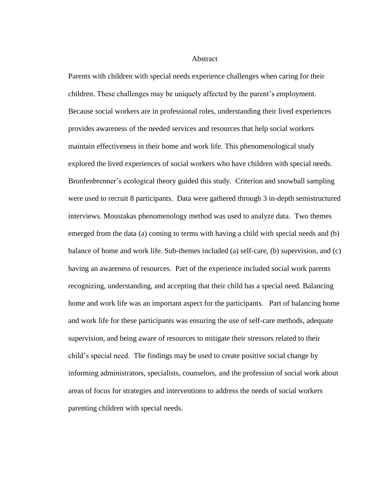#### Abstract

Parents with children with special needs experience challenges when caring for their children. These challenges may be uniquely affected by the parent's employment. Because social workers are in professional roles, understanding their lived experiences provides awareness of the needed services and resources that help social workers maintain effectiveness in their home and work life. This phenomenological study explored the lived experiences of social workers who have children with special needs. Bronfenbrenner's ecological theory guided this study. Criterion and snowball sampling were used to recruit 8 participants. Data were gathered through 3 in-depth semistructured interviews. Moustakas phenomenology method was used to analyze data. Two themes emerged from the data (a) coming to terms with having a child with special needs and (b) balance of home and work life. Sub-themes included (a) self-care, (b) supervision, and (c) having an awareness of resources. Part of the experience included social work parents recognizing, understanding, and accepting that their child has a special need. Balancing home and work life was an important aspect for the participants. Part of balancing home and work life for these participants was ensuring the use of self-care methods, adequate supervision, and being aware of resources to mitigate their stressors related to their child's special need. The findings may be used to create positive social change by informing administrators, specialists, counselors, and the profession of social work about areas of focus for strategies and interventions to address the needs of social workers parenting children with special needs.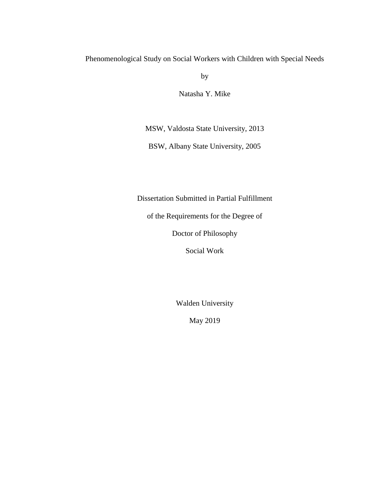## Phenomenological Study on Social Workers with Children with Special Needs

by

Natasha Y. Mike

MSW, Valdosta State University, 2013

BSW, Albany State University, 2005

Dissertation Submitted in Partial Fulfillment

of the Requirements for the Degree of

Doctor of Philosophy

Social Work

Walden University

May 2019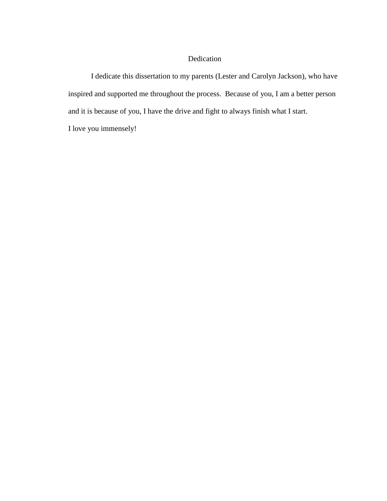### Dedication

I dedicate this dissertation to my parents (Lester and Carolyn Jackson), who have inspired and supported me throughout the process. Because of you, I am a better person and it is because of you, I have the drive and fight to always finish what I start.

I love you immensely!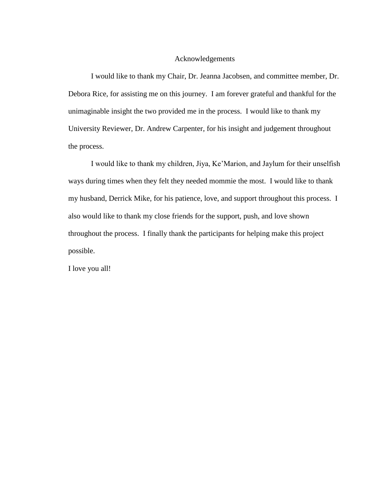#### Acknowledgements

I would like to thank my Chair, Dr. Jeanna Jacobsen, and committee member, Dr. Debora Rice, for assisting me on this journey. I am forever grateful and thankful for the unimaginable insight the two provided me in the process. I would like to thank my University Reviewer, Dr. Andrew Carpenter, for his insight and judgement throughout the process.

I would like to thank my children, Jiya, Ke'Marion, and Jaylum for their unselfish ways during times when they felt they needed mommie the most. I would like to thank my husband, Derrick Mike, for his patience, love, and support throughout this process. I also would like to thank my close friends for the support, push, and love shown throughout the process. I finally thank the participants for helping make this project possible.

I love you all!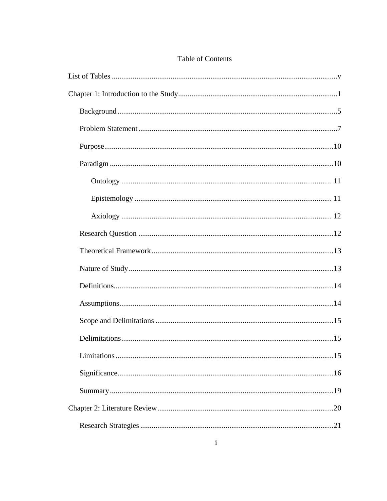## Table of Contents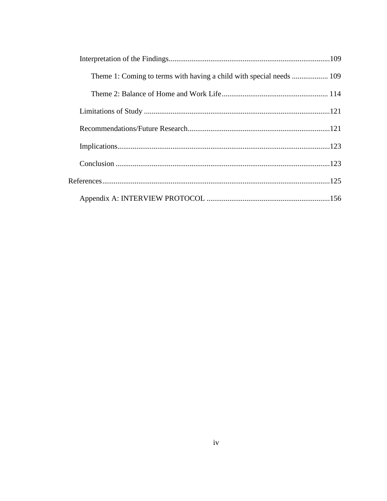| Theme 1: Coming to terms with having a child with special needs  109 |  |
|----------------------------------------------------------------------|--|
|                                                                      |  |
|                                                                      |  |
|                                                                      |  |
|                                                                      |  |
|                                                                      |  |
|                                                                      |  |
|                                                                      |  |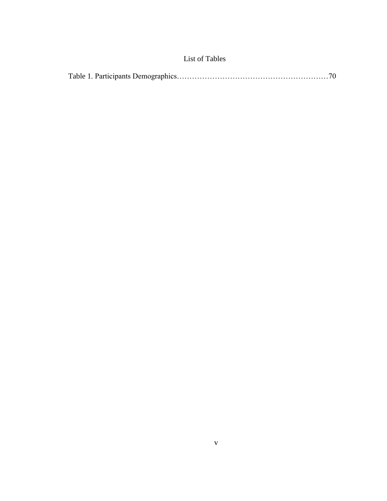## List of Tables

<span id="page-11-0"></span>

|--|--|--|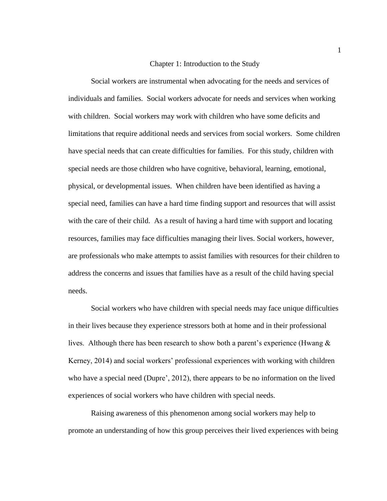#### Chapter 1: Introduction to the Study

<span id="page-12-0"></span>Social workers are instrumental when advocating for the needs and services of individuals and families. Social workers advocate for needs and services when working with children. Social workers may work with children who have some deficits and limitations that require additional needs and services from social workers. Some children have special needs that can create difficulties for families. For this study, children with special needs are those children who have cognitive, behavioral, learning, emotional, physical, or developmental issues. When children have been identified as having a special need, families can have a hard time finding support and resources that will assist with the care of their child. As a result of having a hard time with support and locating resources, families may face difficulties managing their lives. Social workers, however, are professionals who make attempts to assist families with resources for their children to address the concerns and issues that families have as a result of the child having special needs.

Social workers who have children with special needs may face unique difficulties in their lives because they experience stressors both at home and in their professional lives. Although there has been research to show both a parent's experience (Hwang & Kerney, 2014) and social workers' professional experiences with working with children who have a special need (Dupre', 2012), there appears to be no information on the lived experiences of social workers who have children with special needs.

Raising awareness of this phenomenon among social workers may help to promote an understanding of how this group perceives their lived experiences with being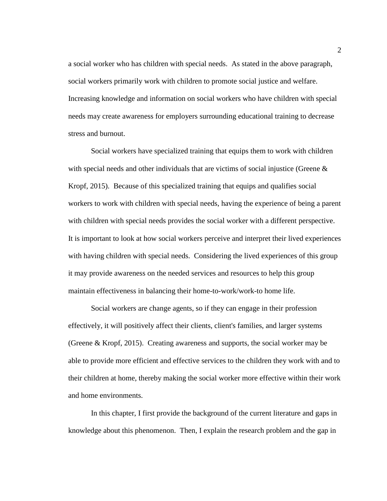a social worker who has children with special needs. As stated in the above paragraph, social workers primarily work with children to promote social justice and welfare. Increasing knowledge and information on social workers who have children with special needs may create awareness for employers surrounding educational training to decrease stress and burnout.

Social workers have specialized training that equips them to work with children with special needs and other individuals that are victims of social injustice (Greene  $\&$ Kropf, 2015). Because of this specialized training that equips and qualifies social workers to work with children with special needs, having the experience of being a parent with children with special needs provides the social worker with a different perspective. It is important to look at how social workers perceive and interpret their lived experiences with having children with special needs. Considering the lived experiences of this group it may provide awareness on the needed services and resources to help this group maintain effectiveness in balancing their home-to-work/work-to home life.

Social workers are change agents, so if they can engage in their profession effectively, it will positively affect their clients, client's families, and larger systems (Greene & Kropf, 2015). Creating awareness and supports, the social worker may be able to provide more efficient and effective services to the children they work with and to their children at home, thereby making the social worker more effective within their work and home environments.

In this chapter, I first provide the background of the current literature and gaps in knowledge about this phenomenon. Then, I explain the research problem and the gap in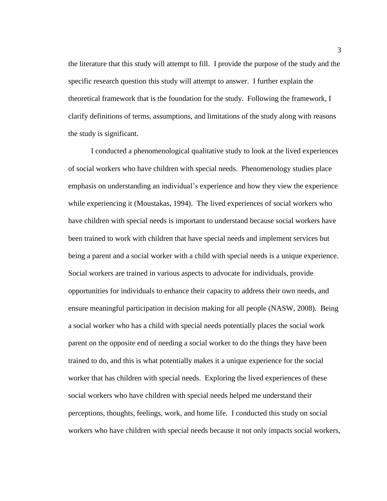the literature that this study will attempt to fill. I provide the purpose of the study and the specific research question this study will attempt to answer. I further explain the theoretical framework that is the foundation for the study. Following the framework, I clarify definitions of terms, assumptions, and limitations of the study along with reasons the study is significant.

I conducted a phenomenological qualitative study to look at the lived experiences of social workers who have children with special needs. Phenomenology studies place emphasis on understanding an individual's experience and how they view the experience while experiencing it (Moustakas, 1994). The lived experiences of social workers who have children with special needs is important to understand because social workers have been trained to work with children that have special needs and implement services but being a parent and a social worker with a child with special needs is a unique experience. Social workers are trained in various aspects to advocate for individuals, provide opportunities for individuals to enhance their capacity to address their own needs, and ensure meaningful participation in decision making for all people (NASW, 2008). Being a social worker who has a child with special needs potentially places the social work parent on the opposite end of needing a social worker to do the things they have been trained to do, and this is what potentially makes it a unique experience for the social worker that has children with special needs. Exploring the lived experiences of these social workers who have children with special needs helped me understand their perceptions, thoughts, feelings, work, and home life. I conducted this study on social workers who have children with special needs because it not only impacts social workers,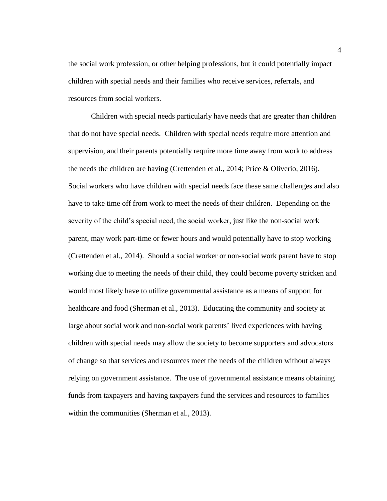the social work profession, or other helping professions, but it could potentially impact children with special needs and their families who receive services, referrals, and resources from social workers.

Children with special needs particularly have needs that are greater than children that do not have special needs. Children with special needs require more attention and supervision, and their parents potentially require more time away from work to address the needs the children are having (Crettenden et al., 2014; Price & Oliverio, 2016). Social workers who have children with special needs face these same challenges and also have to take time off from work to meet the needs of their children. Depending on the severity of the child's special need, the social worker, just like the non-social work parent, may work part-time or fewer hours and would potentially have to stop working (Crettenden et al., 2014). Should a social worker or non-social work parent have to stop working due to meeting the needs of their child, they could become poverty stricken and would most likely have to utilize governmental assistance as a means of support for healthcare and food (Sherman et al., 2013). Educating the community and society at large about social work and non-social work parents' lived experiences with having children with special needs may allow the society to become supporters and advocators of change so that services and resources meet the needs of the children without always relying on government assistance. The use of governmental assistance means obtaining funds from taxpayers and having taxpayers fund the services and resources to families within the communities (Sherman et al., 2013).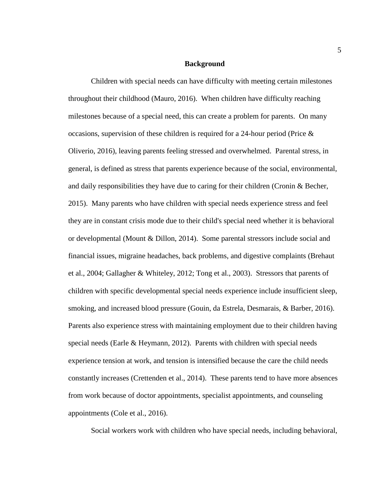#### **Background**

<span id="page-16-0"></span>Children with special needs can have difficulty with meeting certain milestones throughout their childhood (Mauro, 2016). When children have difficulty reaching milestones because of a special need, this can create a problem for parents. On many occasions, supervision of these children is required for a 24-hour period (Price & Oliverio, 2016), leaving parents feeling stressed and overwhelmed. Parental stress, in general, is defined as stress that parents experience because of the social, environmental, and daily responsibilities they have due to caring for their children (Cronin & Becher, 2015). Many parents who have children with special needs experience stress and feel they are in constant crisis mode due to their child's special need whether it is behavioral or developmental (Mount & Dillon, 2014). Some parental stressors include social and financial issues, migraine headaches, back problems, and digestive complaints (Brehaut et al., 2004; Gallagher & Whiteley, 2012; Tong et al., 2003). Stressors that parents of children with specific developmental special needs experience include insufficient sleep, smoking, and increased blood pressure (Gouin, da Estrela, Desmarais, & Barber, 2016). Parents also experience stress with maintaining employment due to their children having special needs (Earle & Heymann, 2012). Parents with children with special needs experience tension at work, and tension is intensified because the care the child needs constantly increases (Crettenden et al., 2014). These parents tend to have more absences from work because of doctor appointments, specialist appointments, and counseling appointments (Cole et al., 2016).

Social workers work with children who have special needs, including behavioral,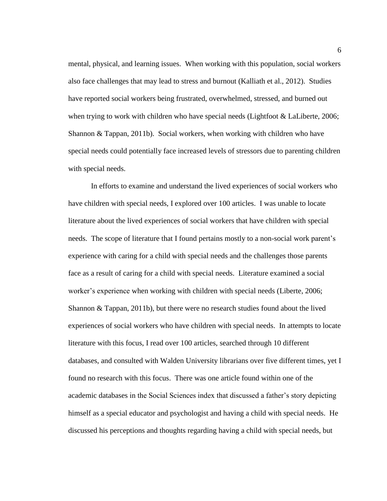mental, physical, and learning issues. When working with this population, social workers also face challenges that may lead to stress and burnout (Kalliath et al., 2012). Studies have reported social workers being frustrated, overwhelmed, stressed, and burned out when trying to work with children who have special needs (Lightfoot & LaLiberte, 2006; Shannon & Tappan, 2011b). Social workers, when working with children who have special needs could potentially face increased levels of stressors due to parenting children with special needs.

In efforts to examine and understand the lived experiences of social workers who have children with special needs, I explored over 100 articles. I was unable to locate literature about the lived experiences of social workers that have children with special needs. The scope of literature that I found pertains mostly to a non-social work parent's experience with caring for a child with special needs and the challenges those parents face as a result of caring for a child with special needs. Literature examined a social worker's experience when working with children with special needs (Liberte, 2006; Shannon & Tappan, 2011b), but there were no research studies found about the lived experiences of social workers who have children with special needs. In attempts to locate literature with this focus, I read over 100 articles, searched through 10 different databases, and consulted with Walden University librarians over five different times, yet I found no research with this focus. There was one article found within one of the academic databases in the Social Sciences index that discussed a father's story depicting himself as a special educator and psychologist and having a child with special needs. He discussed his perceptions and thoughts regarding having a child with special needs, but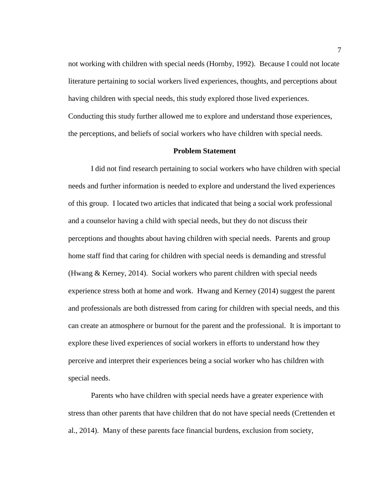not working with children with special needs (Hornby, 1992). Because I could not locate literature pertaining to social workers lived experiences, thoughts, and perceptions about having children with special needs, this study explored those lived experiences. Conducting this study further allowed me to explore and understand those experiences, the perceptions, and beliefs of social workers who have children with special needs.

#### **Problem Statement**

<span id="page-18-0"></span>I did not find research pertaining to social workers who have children with special needs and further information is needed to explore and understand the lived experiences of this group. I located two articles that indicated that being a social work professional and a counselor having a child with special needs, but they do not discuss their perceptions and thoughts about having children with special needs. Parents and group home staff find that caring for children with special needs is demanding and stressful (Hwang & Kerney, 2014). Social workers who parent children with special needs experience stress both at home and work. Hwang and Kerney (2014) suggest the parent and professionals are both distressed from caring for children with special needs, and this can create an atmosphere or burnout for the parent and the professional. It is important to explore these lived experiences of social workers in efforts to understand how they perceive and interpret their experiences being a social worker who has children with special needs.

Parents who have children with special needs have a greater experience with stress than other parents that have children that do not have special needs (Crettenden et al., 2014). Many of these parents face financial burdens, exclusion from society,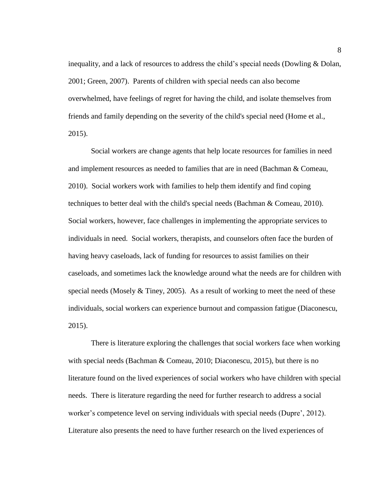inequality, and a lack of resources to address the child's special needs (Dowling & Dolan, 2001; Green, 2007). Parents of children with special needs can also become overwhelmed, have feelings of regret for having the child, and isolate themselves from friends and family depending on the severity of the child's special need (Home et al., 2015).

Social workers are change agents that help locate resources for families in need and implement resources as needed to families that are in need (Bachman & Comeau, 2010). Social workers work with families to help them identify and find coping techniques to better deal with the child's special needs (Bachman & Comeau, 2010). Social workers, however, face challenges in implementing the appropriate services to individuals in need. Social workers, therapists, and counselors often face the burden of having heavy caseloads, lack of funding for resources to assist families on their caseloads, and sometimes lack the knowledge around what the needs are for children with special needs (Mosely  $&$  Tiney, 2005). As a result of working to meet the need of these individuals, social workers can experience burnout and compassion fatigue (Diaconescu, 2015).

There is literature exploring the challenges that social workers face when working with special needs (Bachman & Comeau, 2010; Diaconescu, 2015), but there is no literature found on the lived experiences of social workers who have children with special needs. There is literature regarding the need for further research to address a social worker's competence level on serving individuals with special needs (Dupre', 2012). Literature also presents the need to have further research on the lived experiences of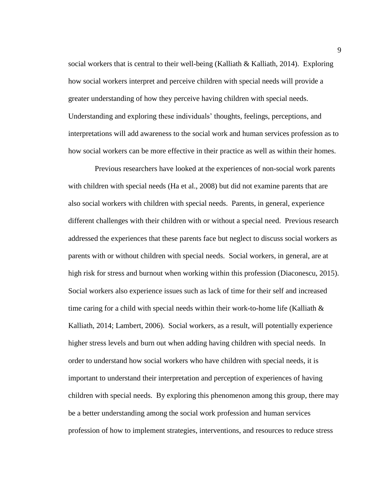social workers that is central to their well-being (Kalliath & Kalliath, 2014). Exploring how social workers interpret and perceive children with special needs will provide a greater understanding of how they perceive having children with special needs. Understanding and exploring these individuals' thoughts, feelings, perceptions, and interpretations will add awareness to the social work and human services profession as to how social workers can be more effective in their practice as well as within their homes.

 Previous researchers have looked at the experiences of non-social work parents with children with special needs (Ha et al., 2008) but did not examine parents that are also social workers with children with special needs. Parents, in general, experience different challenges with their children with or without a special need. Previous research addressed the experiences that these parents face but neglect to discuss social workers as parents with or without children with special needs. Social workers, in general, are at high risk for stress and burnout when working within this profession (Diaconescu, 2015). Social workers also experience issues such as lack of time for their self and increased time caring for a child with special needs within their work-to-home life (Kalliath  $\&$ Kalliath, 2014; Lambert, 2006). Social workers, as a result, will potentially experience higher stress levels and burn out when adding having children with special needs. In order to understand how social workers who have children with special needs, it is important to understand their interpretation and perception of experiences of having children with special needs. By exploring this phenomenon among this group, there may be a better understanding among the social work profession and human services profession of how to implement strategies, interventions, and resources to reduce stress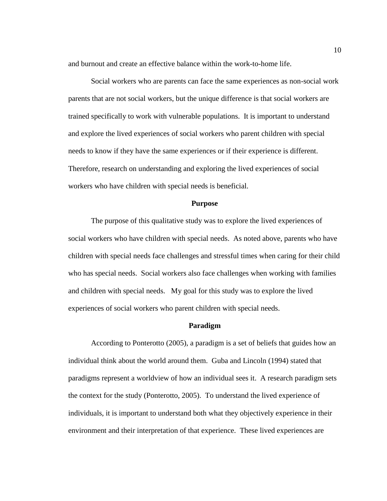and burnout and create an effective balance within the work-to-home life.

Social workers who are parents can face the same experiences as non-social work parents that are not social workers, but the unique difference is that social workers are trained specifically to work with vulnerable populations. It is important to understand and explore the lived experiences of social workers who parent children with special needs to know if they have the same experiences or if their experience is different. Therefore, research on understanding and exploring the lived experiences of social workers who have children with special needs is beneficial.

#### **Purpose**

<span id="page-21-0"></span>The purpose of this qualitative study was to explore the lived experiences of social workers who have children with special needs. As noted above, parents who have children with special needs face challenges and stressful times when caring for their child who has special needs. Social workers also face challenges when working with families and children with special needs. My goal for this study was to explore the lived experiences of social workers who parent children with special needs.

#### **Paradigm**

<span id="page-21-1"></span>According to Ponterotto (2005), a paradigm is a set of beliefs that guides how an individual think about the world around them. Guba and Lincoln (1994) stated that paradigms represent a worldview of how an individual sees it. A research paradigm sets the context for the study (Ponterotto, 2005). To understand the lived experience of individuals, it is important to understand both what they objectively experience in their environment and their interpretation of that experience. These lived experiences are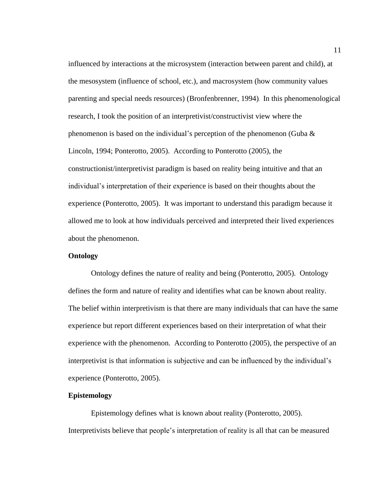influenced by interactions at the microsystem (interaction between parent and child), at the mesosystem (influence of school, etc.), and macrosystem (how community values parenting and special needs resources) (Bronfenbrenner, 1994). In this phenomenological research, I took the position of an interpretivist/constructivist view where the phenomenon is based on the individual's perception of the phenomenon (Guba & Lincoln, 1994; Ponterotto, 2005). According to Ponterotto (2005), the constructionist/interpretivist paradigm is based on reality being intuitive and that an individual's interpretation of their experience is based on their thoughts about the experience (Ponterotto, 2005). It was important to understand this paradigm because it allowed me to look at how individuals perceived and interpreted their lived experiences about the phenomenon.

#### <span id="page-22-0"></span>**Ontology**

Ontology defines the nature of reality and being (Ponterotto, 2005). Ontology defines the form and nature of reality and identifies what can be known about reality. The belief within interpretivism is that there are many individuals that can have the same experience but report different experiences based on their interpretation of what their experience with the phenomenon. According to Ponterotto (2005), the perspective of an interpretivist is that information is subjective and can be influenced by the individual's experience (Ponterotto, 2005).

#### <span id="page-22-1"></span>**Epistemology**

Epistemology defines what is known about reality (Ponterotto, 2005). Interpretivists believe that people's interpretation of reality is all that can be measured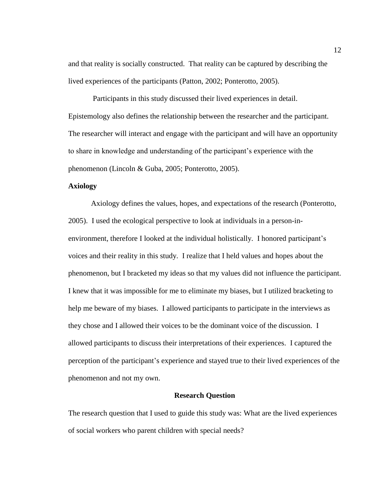and that reality is socially constructed. That reality can be captured by describing the lived experiences of the participants (Patton, 2002; Ponterotto, 2005).

Participants in this study discussed their lived experiences in detail. Epistemology also defines the relationship between the researcher and the participant. The researcher will interact and engage with the participant and will have an opportunity to share in knowledge and understanding of the participant's experience with the phenomenon (Lincoln & Guba, 2005; Ponterotto, 2005).

#### <span id="page-23-0"></span>**Axiology**

Axiology defines the values, hopes, and expectations of the research (Ponterotto, 2005). I used the ecological perspective to look at individuals in a person-inenvironment, therefore I looked at the individual holistically. I honored participant's voices and their reality in this study. I realize that I held values and hopes about the phenomenon, but I bracketed my ideas so that my values did not influence the participant. I knew that it was impossible for me to eliminate my biases, but I utilized bracketing to help me beware of my biases. I allowed participants to participate in the interviews as they chose and I allowed their voices to be the dominant voice of the discussion. I allowed participants to discuss their interpretations of their experiences. I captured the perception of the participant's experience and stayed true to their lived experiences of the phenomenon and not my own.

#### **Research Question**

<span id="page-23-1"></span>The research question that I used to guide this study was: What are the lived experiences of social workers who parent children with special needs?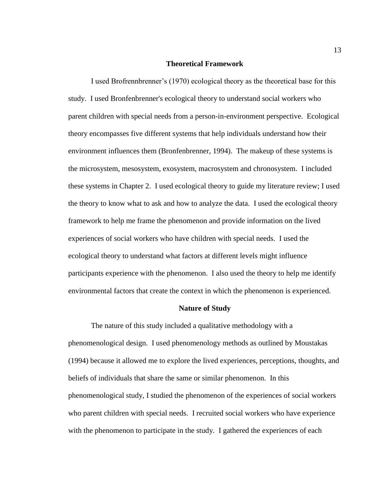#### **Theoretical Framework**

<span id="page-24-0"></span>I used Brofrennbrenner's (1970) ecological theory as the theoretical base for this study. I used Bronfenbrenner's ecological theory to understand social workers who parent children with special needs from a person-in-environment perspective. Ecological theory encompasses five different systems that help individuals understand how their environment influences them (Bronfenbrenner, 1994). The makeup of these systems is the microsystem, mesosystem, exosystem, macrosystem and chronosystem. I included these systems in Chapter 2. I used ecological theory to guide my literature review; I used the theory to know what to ask and how to analyze the data. I used the ecological theory framework to help me frame the phenomenon and provide information on the lived experiences of social workers who have children with special needs. I used the ecological theory to understand what factors at different levels might influence participants experience with the phenomenon. I also used the theory to help me identify environmental factors that create the context in which the phenomenon is experienced.

#### **Nature of Study**

<span id="page-24-1"></span>The nature of this study included a qualitative methodology with a phenomenological design. I used phenomenology methods as outlined by Moustakas (1994) because it allowed me to explore the lived experiences, perceptions, thoughts, and beliefs of individuals that share the same or similar phenomenon. In this phenomenological study, I studied the phenomenon of the experiences of social workers who parent children with special needs. I recruited social workers who have experience with the phenomenon to participate in the study. I gathered the experiences of each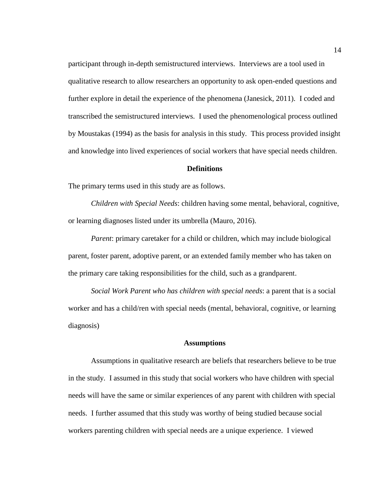participant through in-depth semistructured interviews. Interviews are a tool used in qualitative research to allow researchers an opportunity to ask open-ended questions and further explore in detail the experience of the phenomena (Janesick, 2011). I coded and transcribed the semistructured interviews. I used the phenomenological process outlined by Moustakas (1994) as the basis for analysis in this study. This process provided insight and knowledge into lived experiences of social workers that have special needs children.

#### **Definitions**

<span id="page-25-0"></span>The primary terms used in this study are as follows.

*Children with Special Needs*: children having some mental, behavioral, cognitive, or learning diagnoses listed under its umbrella (Mauro, 2016).

*Parent*: primary caretaker for a child or children, which may include biological parent, foster parent, adoptive parent, or an extended family member who has taken on the primary care taking responsibilities for the child, such as a grandparent.

*Social Work Parent who has children with special needs*: a parent that is a social worker and has a child/ren with special needs (mental, behavioral, cognitive, or learning diagnosis)

#### **Assumptions**

<span id="page-25-1"></span>Assumptions in qualitative research are beliefs that researchers believe to be true in the study. I assumed in this study that social workers who have children with special needs will have the same or similar experiences of any parent with children with special needs. I further assumed that this study was worthy of being studied because social workers parenting children with special needs are a unique experience. I viewed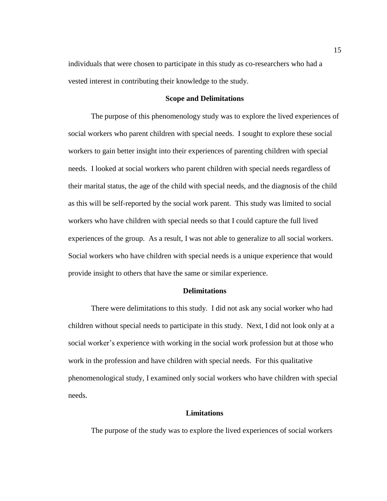individuals that were chosen to participate in this study as co-researchers who had a vested interest in contributing their knowledge to the study.

#### **Scope and Delimitations**

<span id="page-26-0"></span>The purpose of this phenomenology study was to explore the lived experiences of social workers who parent children with special needs. I sought to explore these social workers to gain better insight into their experiences of parenting children with special needs. I looked at social workers who parent children with special needs regardless of their marital status, the age of the child with special needs, and the diagnosis of the child as this will be self-reported by the social work parent. This study was limited to social workers who have children with special needs so that I could capture the full lived experiences of the group. As a result, I was not able to generalize to all social workers. Social workers who have children with special needs is a unique experience that would provide insight to others that have the same or similar experience.

#### **Delimitations**

<span id="page-26-1"></span>There were delimitations to this study. I did not ask any social worker who had children without special needs to participate in this study. Next, I did not look only at a social worker's experience with working in the social work profession but at those who work in the profession and have children with special needs. For this qualitative phenomenological study, I examined only social workers who have children with special needs.

#### **Limitations**

<span id="page-26-2"></span>The purpose of the study was to explore the lived experiences of social workers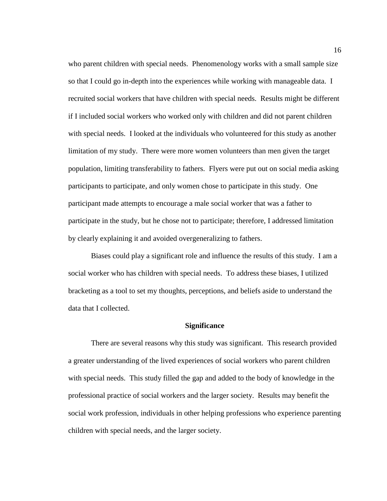who parent children with special needs. Phenomenology works with a small sample size so that I could go in-depth into the experiences while working with manageable data. I recruited social workers that have children with special needs. Results might be different if I included social workers who worked only with children and did not parent children with special needs. I looked at the individuals who volunteered for this study as another limitation of my study. There were more women volunteers than men given the target population, limiting transferability to fathers. Flyers were put out on social media asking participants to participate, and only women chose to participate in this study. One participant made attempts to encourage a male social worker that was a father to participate in the study, but he chose not to participate; therefore, I addressed limitation by clearly explaining it and avoided overgeneralizing to fathers.

Biases could play a significant role and influence the results of this study. I am a social worker who has children with special needs. To address these biases, I utilized bracketing as a tool to set my thoughts, perceptions, and beliefs aside to understand the data that I collected.

#### **Significance**

<span id="page-27-0"></span>There are several reasons why this study was significant. This research provided a greater understanding of the lived experiences of social workers who parent children with special needs. This study filled the gap and added to the body of knowledge in the professional practice of social workers and the larger society. Results may benefit the social work profession, individuals in other helping professions who experience parenting children with special needs, and the larger society.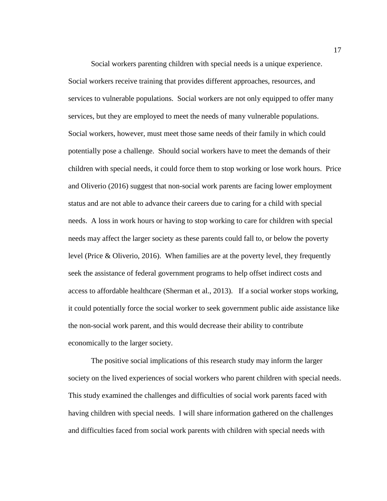Social workers parenting children with special needs is a unique experience. Social workers receive training that provides different approaches, resources, and services to vulnerable populations. Social workers are not only equipped to offer many services, but they are employed to meet the needs of many vulnerable populations. Social workers, however, must meet those same needs of their family in which could potentially pose a challenge. Should social workers have to meet the demands of their children with special needs, it could force them to stop working or lose work hours. Price and Oliverio (2016) suggest that non-social work parents are facing lower employment status and are not able to advance their careers due to caring for a child with special needs. A loss in work hours or having to stop working to care for children with special needs may affect the larger society as these parents could fall to, or below the poverty level (Price & Oliverio, 2016). When families are at the poverty level, they frequently seek the assistance of federal government programs to help offset indirect costs and access to affordable healthcare (Sherman et al., 2013). If a social worker stops working, it could potentially force the social worker to seek government public aide assistance like the non-social work parent, and this would decrease their ability to contribute economically to the larger society.

The positive social implications of this research study may inform the larger society on the lived experiences of social workers who parent children with special needs. This study examined the challenges and difficulties of social work parents faced with having children with special needs. I will share information gathered on the challenges and difficulties faced from social work parents with children with special needs with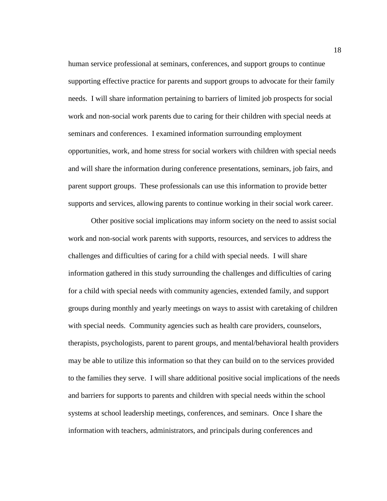human service professional at seminars, conferences, and support groups to continue supporting effective practice for parents and support groups to advocate for their family needs. I will share information pertaining to barriers of limited job prospects for social work and non-social work parents due to caring for their children with special needs at seminars and conferences. I examined information surrounding employment opportunities, work, and home stress for social workers with children with special needs and will share the information during conference presentations, seminars, job fairs, and parent support groups. These professionals can use this information to provide better supports and services, allowing parents to continue working in their social work career.

Other positive social implications may inform society on the need to assist social work and non-social work parents with supports, resources, and services to address the challenges and difficulties of caring for a child with special needs. I will share information gathered in this study surrounding the challenges and difficulties of caring for a child with special needs with community agencies, extended family, and support groups during monthly and yearly meetings on ways to assist with caretaking of children with special needs. Community agencies such as health care providers, counselors, therapists, psychologists, parent to parent groups, and mental/behavioral health providers may be able to utilize this information so that they can build on to the services provided to the families they serve. I will share additional positive social implications of the needs and barriers for supports to parents and children with special needs within the school systems at school leadership meetings, conferences, and seminars. Once I share the information with teachers, administrators, and principals during conferences and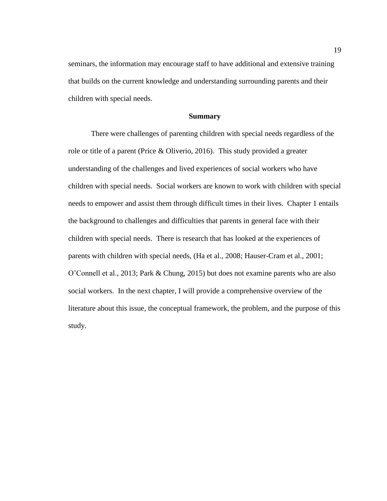seminars, the information may encourage staff to have additional and extensive training that builds on the current knowledge and understanding surrounding parents and their children with special needs.

#### **Summary**

<span id="page-30-0"></span>There were challenges of parenting children with special needs regardless of the role or title of a parent (Price & Oliverio, 2016). This study provided a greater understanding of the challenges and lived experiences of social workers who have children with special needs. Social workers are known to work with children with special needs to empower and assist them through difficult times in their lives. Chapter 1 entails the background to challenges and difficulties that parents in general face with their children with special needs. There is research that has looked at the experiences of parents with children with special needs, (Ha et al., 2008; Hauser-Cram et al., 2001; O'Connell et al., 2013; Park & Chung, 2015) but does not examine parents who are also social workers. In the next chapter, I will provide a comprehensive overview of the literature about this issue, the conceptual framework, the problem, and the purpose of this study.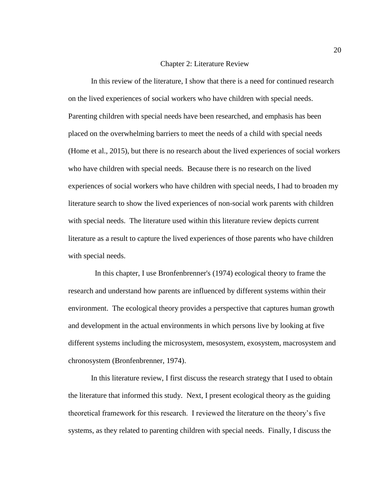#### Chapter 2: Literature Review

<span id="page-31-0"></span>In this review of the literature, I show that there is a need for continued research on the lived experiences of social workers who have children with special needs. Parenting children with special needs have been researched, and emphasis has been placed on the overwhelming barriers to meet the needs of a child with special needs (Home et al., 2015), but there is no research about the lived experiences of social workers who have children with special needs. Because there is no research on the lived experiences of social workers who have children with special needs, I had to broaden my literature search to show the lived experiences of non-social work parents with children with special needs. The literature used within this literature review depicts current literature as a result to capture the lived experiences of those parents who have children with special needs.

 In this chapter, I use Bronfenbrenner's (1974) ecological theory to frame the research and understand how parents are influenced by different systems within their environment. The ecological theory provides a perspective that captures human growth and development in the actual environments in which persons live by looking at five different systems including the microsystem, mesosystem, exosystem, macrosystem and chronosystem (Bronfenbrenner, 1974).

In this literature review, I first discuss the research strategy that I used to obtain the literature that informed this study. Next, I present ecological theory as the guiding theoretical framework for this research. I reviewed the literature on the theory's five systems, as they related to parenting children with special needs. Finally, I discuss the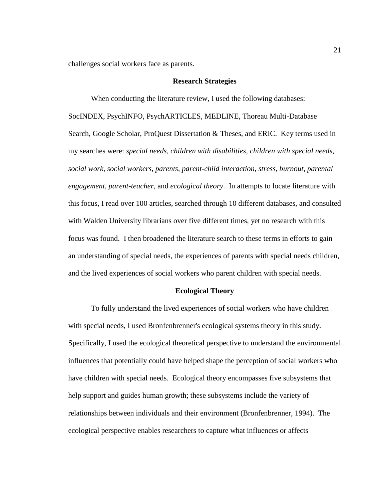<span id="page-32-0"></span>challenges social workers face as parents.

#### **Research Strategies**

When conducting the literature review, I used the following databases: SocINDEX, PsychINFO, PsychARTICLES, MEDLINE, Thoreau Multi-Database Search, Google Scholar, ProQuest Dissertation & Theses, and ERIC. Key terms used in my searches were: *special needs, children with disabilities, children with special needs, social work, social workers, parents, parent-child interaction, stress, burnout, parental engagement, parent-teacher,* and *ecological theory*. In attempts to locate literature with this focus, I read over 100 articles, searched through 10 different databases, and consulted with Walden University librarians over five different times, yet no research with this focus was found. I then broadened the literature search to these terms in efforts to gain an understanding of special needs, the experiences of parents with special needs children, and the lived experiences of social workers who parent children with special needs.

#### **Ecological Theory**

<span id="page-32-1"></span>To fully understand the lived experiences of social workers who have children with special needs, I used Bronfenbrenner's ecological systems theory in this study. Specifically, I used the ecological theoretical perspective to understand the environmental influences that potentially could have helped shape the perception of social workers who have children with special needs. Ecological theory encompasses five subsystems that help support and guides human growth; these subsystems include the variety of relationships between individuals and their environment (Bronfenbrenner, 1994). The ecological perspective enables researchers to capture what influences or affects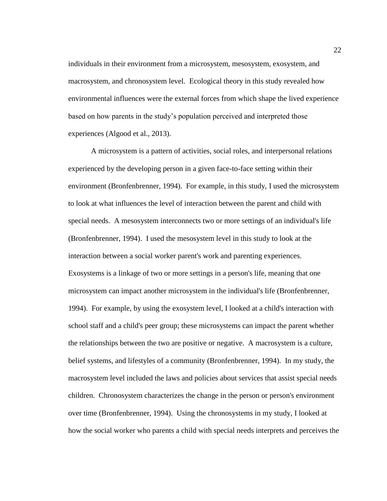individuals in their environment from a microsystem, mesosystem, exosystem, and macrosystem, and chronosystem level. Ecological theory in this study revealed how environmental influences were the external forces from which shape the lived experience based on how parents in the study's population perceived and interpreted those experiences (Algood et al., 2013).

A microsystem is a pattern of activities, social roles, and interpersonal relations experienced by the developing person in a given face-to-face setting within their environment (Bronfenbrenner, 1994). For example, in this study, I used the microsystem to look at what influences the level of interaction between the parent and child with special needs. A mesosystem interconnects two or more settings of an individual's life (Bronfenbrenner, 1994). I used the mesosystem level in this study to look at the interaction between a social worker parent's work and parenting experiences. Exosystems is a linkage of two or more settings in a person's life, meaning that one microsystem can impact another microsystem in the individual's life (Bronfenbrenner, 1994). For example, by using the exosystem level, I looked at a child's interaction with school staff and a child's peer group; these microsystems can impact the parent whether the relationships between the two are positive or negative. A macrosystem is a culture, belief systems, and lifestyles of a community (Bronfenbrenner, 1994). In my study, the macrosystem level included the laws and policies about services that assist special needs children. Chronosystem characterizes the change in the person or person's environment over time (Bronfenbrenner, 1994). Using the chronosystems in my study, I looked at how the social worker who parents a child with special needs interprets and perceives the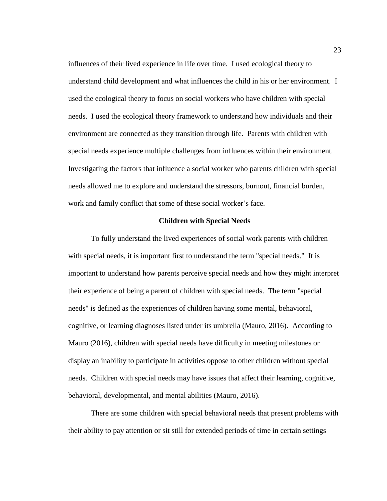influences of their lived experience in life over time. I used ecological theory to understand child development and what influences the child in his or her environment. I used the ecological theory to focus on social workers who have children with special needs. I used the ecological theory framework to understand how individuals and their environment are connected as they transition through life. Parents with children with special needs experience multiple challenges from influences within their environment. Investigating the factors that influence a social worker who parents children with special needs allowed me to explore and understand the stressors, burnout, financial burden, work and family conflict that some of these social worker's face.

#### **Children with Special Needs**

<span id="page-34-0"></span>To fully understand the lived experiences of social work parents with children with special needs, it is important first to understand the term "special needs." It is important to understand how parents perceive special needs and how they might interpret their experience of being a parent of children with special needs. The term "special needs" is defined as the experiences of children having some mental, behavioral, cognitive, or learning diagnoses listed under its umbrella (Mauro, 2016). According to Mauro (2016), children with special needs have difficulty in meeting milestones or display an inability to participate in activities oppose to other children without special needs. Children with special needs may have issues that affect their learning, cognitive, behavioral, developmental, and mental abilities (Mauro, 2016).

There are some children with special behavioral needs that present problems with their ability to pay attention or sit still for extended periods of time in certain settings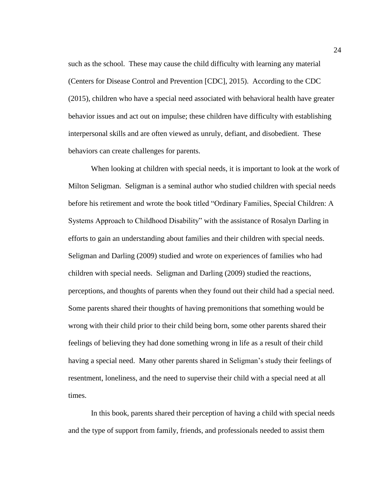such as the school. These may cause the child difficulty with learning any material (Centers for Disease Control and Prevention [CDC], 2015). According to the CDC (2015), children who have a special need associated with behavioral health have greater behavior issues and act out on impulse; these children have difficulty with establishing interpersonal skills and are often viewed as unruly, defiant, and disobedient. These behaviors can create challenges for parents.

When looking at children with special needs, it is important to look at the work of Milton Seligman. Seligman is a seminal author who studied children with special needs before his retirement and wrote the book titled "Ordinary Families, Special Children: A Systems Approach to Childhood Disability" with the assistance of Rosalyn Darling in efforts to gain an understanding about families and their children with special needs. Seligman and Darling (2009) studied and wrote on experiences of families who had children with special needs. Seligman and Darling (2009) studied the reactions, perceptions, and thoughts of parents when they found out their child had a special need. Some parents shared their thoughts of having premonitions that something would be wrong with their child prior to their child being born, some other parents shared their feelings of believing they had done something wrong in life as a result of their child having a special need. Many other parents shared in Seligman's study their feelings of resentment, loneliness, and the need to supervise their child with a special need at all times.

In this book, parents shared their perception of having a child with special needs and the type of support from family, friends, and professionals needed to assist them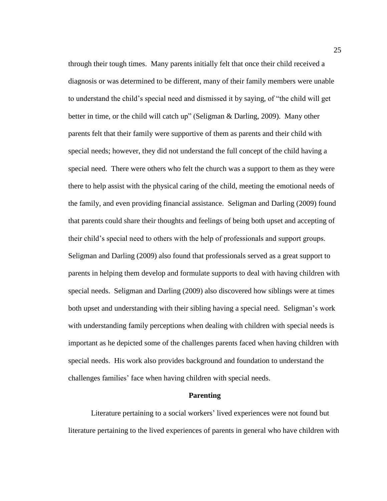through their tough times. Many parents initially felt that once their child received a diagnosis or was determined to be different, many of their family members were unable to understand the child's special need and dismissed it by saying, of "the child will get better in time, or the child will catch up" (Seligman & Darling, 2009). Many other parents felt that their family were supportive of them as parents and their child with special needs; however, they did not understand the full concept of the child having a special need. There were others who felt the church was a support to them as they were there to help assist with the physical caring of the child, meeting the emotional needs of the family, and even providing financial assistance. Seligman and Darling (2009) found that parents could share their thoughts and feelings of being both upset and accepting of their child's special need to others with the help of professionals and support groups. Seligman and Darling (2009) also found that professionals served as a great support to parents in helping them develop and formulate supports to deal with having children with special needs. Seligman and Darling (2009) also discovered how siblings were at times both upset and understanding with their sibling having a special need. Seligman's work with understanding family perceptions when dealing with children with special needs is important as he depicted some of the challenges parents faced when having children with special needs. His work also provides background and foundation to understand the challenges families' face when having children with special needs.

#### **Parenting**

Literature pertaining to a social workers' lived experiences were not found but literature pertaining to the lived experiences of parents in general who have children with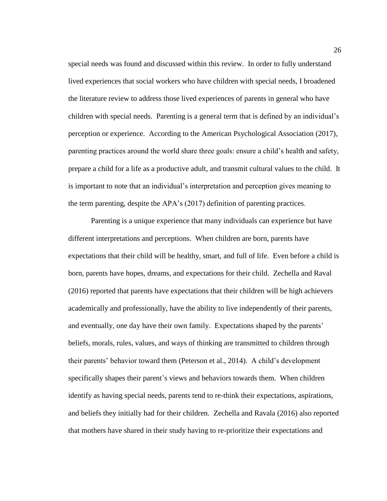special needs was found and discussed within this review. In order to fully understand lived experiences that social workers who have children with special needs, I broadened the literature review to address those lived experiences of parents in general who have children with special needs. Parenting is a general term that is defined by an individual's perception or experience. According to the American Psychological Association (2017), parenting practices around the world share three goals: ensure a child's health and safety, prepare a child for a life as a productive adult, and transmit cultural values to the child. It is important to note that an individual's interpretation and perception gives meaning to the term parenting, despite the APA's (2017) definition of parenting practices.

Parenting is a unique experience that many individuals can experience but have different interpretations and perceptions. When children are born, parents have expectations that their child will be healthy, smart, and full of life. Even before a child is born, parents have hopes, dreams, and expectations for their child. Zechella and Raval (2016) reported that parents have expectations that their children will be high achievers academically and professionally, have the ability to live independently of their parents, and eventually, one day have their own family. Expectations shaped by the parents' beliefs, morals, rules, values, and ways of thinking are transmitted to children through their parents' behavior toward them (Peterson et al., 2014). A child's development specifically shapes their parent's views and behaviors towards them. When children identify as having special needs, parents tend to re-think their expectations, aspirations, and beliefs they initially had for their children. Zechella and Ravala (2016) also reported that mothers have shared in their study having to re-prioritize their expectations and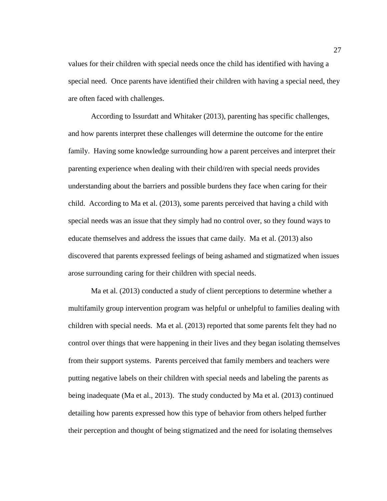values for their children with special needs once the child has identified with having a special need. Once parents have identified their children with having a special need, they are often faced with challenges.

According to Issurdatt and Whitaker (2013), parenting has specific challenges, and how parents interpret these challenges will determine the outcome for the entire family. Having some knowledge surrounding how a parent perceives and interpret their parenting experience when dealing with their child/ren with special needs provides understanding about the barriers and possible burdens they face when caring for their child. According to Ma et al. (2013), some parents perceived that having a child with special needs was an issue that they simply had no control over, so they found ways to educate themselves and address the issues that came daily. Ma et al. (2013) also discovered that parents expressed feelings of being ashamed and stigmatized when issues arose surrounding caring for their children with special needs.

Ma et al. (2013) conducted a study of client perceptions to determine whether a multifamily group intervention program was helpful or unhelpful to families dealing with children with special needs. Ma et al. (2013) reported that some parents felt they had no control over things that were happening in their lives and they began isolating themselves from their support systems. Parents perceived that family members and teachers were putting negative labels on their children with special needs and labeling the parents as being inadequate (Ma et al., 2013). The study conducted by Ma et al. (2013) continued detailing how parents expressed how this type of behavior from others helped further their perception and thought of being stigmatized and the need for isolating themselves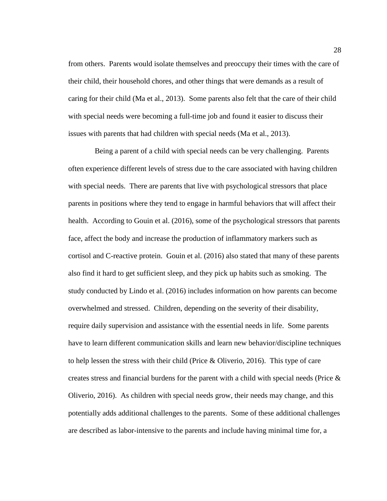from others. Parents would isolate themselves and preoccupy their times with the care of their child, their household chores, and other things that were demands as a result of caring for their child (Ma et al., 2013). Some parents also felt that the care of their child with special needs were becoming a full-time job and found it easier to discuss their issues with parents that had children with special needs (Ma et al., 2013).

 Being a parent of a child with special needs can be very challenging. Parents often experience different levels of stress due to the care associated with having children with special needs. There are parents that live with psychological stressors that place parents in positions where they tend to engage in harmful behaviors that will affect their health. According to Gouin et al. (2016), some of the psychological stressors that parents face, affect the body and increase the production of inflammatory markers such as cortisol and C-reactive protein. Gouin et al. (2016) also stated that many of these parents also find it hard to get sufficient sleep, and they pick up habits such as smoking. The study conducted by Lindo et al. (2016) includes information on how parents can become overwhelmed and stressed. Children, depending on the severity of their disability, require daily supervision and assistance with the essential needs in life. Some parents have to learn different communication skills and learn new behavior/discipline techniques to help lessen the stress with their child (Price & Oliverio, 2016). This type of care creates stress and financial burdens for the parent with a child with special needs (Price  $\&$ Oliverio, 2016). As children with special needs grow, their needs may change, and this potentially adds additional challenges to the parents. Some of these additional challenges are described as labor-intensive to the parents and include having minimal time for, a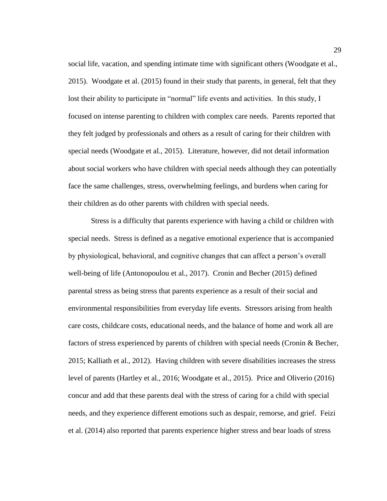social life, vacation, and spending intimate time with significant others (Woodgate et al., 2015). Woodgate et al. (2015) found in their study that parents, in general, felt that they lost their ability to participate in "normal" life events and activities. In this study, I focused on intense parenting to children with complex care needs. Parents reported that they felt judged by professionals and others as a result of caring for their children with special needs (Woodgate et al., 2015). Literature, however, did not detail information about social workers who have children with special needs although they can potentially face the same challenges, stress, overwhelming feelings, and burdens when caring for their children as do other parents with children with special needs.

Stress is a difficulty that parents experience with having a child or children with special needs. Stress is defined as a negative emotional experience that is accompanied by physiological, behavioral, and cognitive changes that can affect a person's overall well-being of life (Antonopoulou et al., 2017). Cronin and Becher (2015) defined parental stress as being stress that parents experience as a result of their social and environmental responsibilities from everyday life events. Stressors arising from health care costs, childcare costs, educational needs, and the balance of home and work all are factors of stress experienced by parents of children with special needs (Cronin & Becher, 2015; Kalliath et al., 2012). Having children with severe disabilities increases the stress level of parents (Hartley et al., 2016; Woodgate et al., 2015). Price and Oliverio (2016) concur and add that these parents deal with the stress of caring for a child with special needs, and they experience different emotions such as despair, remorse, and grief. Feizi et al. (2014) also reported that parents experience higher stress and bear loads of stress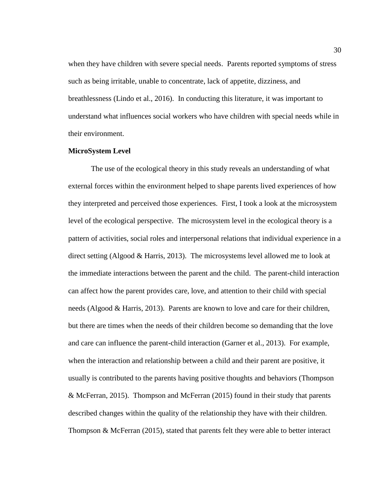when they have children with severe special needs. Parents reported symptoms of stress such as being irritable, unable to concentrate, lack of appetite, dizziness, and breathlessness (Lindo et al., 2016). In conducting this literature, it was important to understand what influences social workers who have children with special needs while in their environment.

## **MicroSystem Level**

The use of the ecological theory in this study reveals an understanding of what external forces within the environment helped to shape parents lived experiences of how they interpreted and perceived those experiences. First, I took a look at the microsystem level of the ecological perspective. The microsystem level in the ecological theory is a pattern of activities, social roles and interpersonal relations that individual experience in a direct setting (Algood & Harris, 2013). The microsystems level allowed me to look at the immediate interactions between the parent and the child. The parent-child interaction can affect how the parent provides care, love, and attention to their child with special needs (Algood & Harris, 2013). Parents are known to love and care for their children, but there are times when the needs of their children become so demanding that the love and care can influence the parent-child interaction (Garner et al., 2013). For example, when the interaction and relationship between a child and their parent are positive, it usually is contributed to the parents having positive thoughts and behaviors (Thompson & McFerran, 2015). Thompson and McFerran (2015) found in their study that parents described changes within the quality of the relationship they have with their children. Thompson & McFerran (2015), stated that parents felt they were able to better interact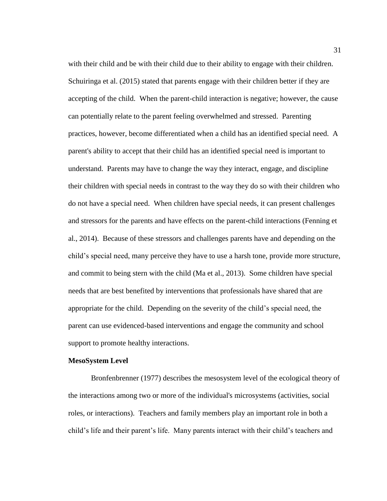with their child and be with their child due to their ability to engage with their children. Schuiringa et al. (2015) stated that parents engage with their children better if they are accepting of the child. When the parent-child interaction is negative; however, the cause can potentially relate to the parent feeling overwhelmed and stressed. Parenting practices, however, become differentiated when a child has an identified special need. A parent's ability to accept that their child has an identified special need is important to understand. Parents may have to change the way they interact, engage, and discipline their children with special needs in contrast to the way they do so with their children who do not have a special need. When children have special needs, it can present challenges and stressors for the parents and have effects on the parent-child interactions (Fenning et al., 2014). Because of these stressors and challenges parents have and depending on the child's special need, many perceive they have to use a harsh tone, provide more structure, and commit to being stern with the child (Ma et al., 2013). Some children have special needs that are best benefited by interventions that professionals have shared that are appropriate for the child. Depending on the severity of the child's special need, the parent can use evidenced-based interventions and engage the community and school support to promote healthy interactions.

#### **MesoSystem Level**

Bronfenbrenner (1977) describes the mesosystem level of the ecological theory of the interactions among two or more of the individual's microsystems (activities, social roles, or interactions). Teachers and family members play an important role in both a child's life and their parent's life. Many parents interact with their child's teachers and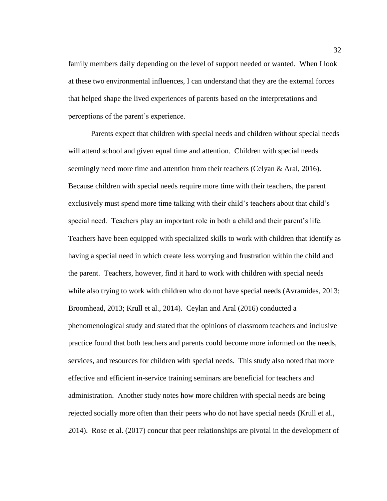family members daily depending on the level of support needed or wanted. When I look at these two environmental influences, I can understand that they are the external forces that helped shape the lived experiences of parents based on the interpretations and perceptions of the parent's experience.

Parents expect that children with special needs and children without special needs will attend school and given equal time and attention. Children with special needs seemingly need more time and attention from their teachers (Celyan & Aral, 2016). Because children with special needs require more time with their teachers, the parent exclusively must spend more time talking with their child's teachers about that child's special need. Teachers play an important role in both a child and their parent's life. Teachers have been equipped with specialized skills to work with children that identify as having a special need in which create less worrying and frustration within the child and the parent. Teachers, however, find it hard to work with children with special needs while also trying to work with children who do not have special needs (Avramides, 2013; Broomhead, 2013; Krull et al., 2014). Ceylan and Aral (2016) conducted a phenomenological study and stated that the opinions of classroom teachers and inclusive practice found that both teachers and parents could become more informed on the needs, services, and resources for children with special needs. This study also noted that more effective and efficient in-service training seminars are beneficial for teachers and administration. Another study notes how more children with special needs are being rejected socially more often than their peers who do not have special needs (Krull et al., 2014). Rose et al. (2017) concur that peer relationships are pivotal in the development of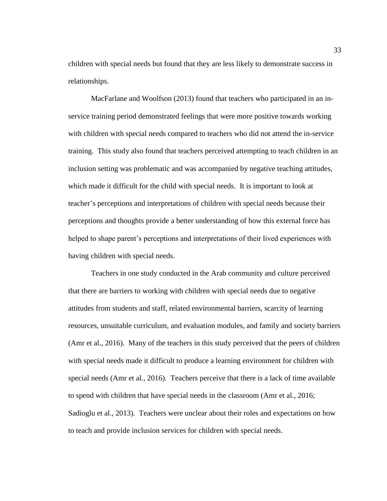children with special needs but found that they are less likely to demonstrate success in relationships.

MacFarlane and Woolfson (2013) found that teachers who participated in an inservice training period demonstrated feelings that were more positive towards working with children with special needs compared to teachers who did not attend the in-service training. This study also found that teachers perceived attempting to teach children in an inclusion setting was problematic and was accompanied by negative teaching attitudes, which made it difficult for the child with special needs. It is important to look at teacher's perceptions and interpretations of children with special needs because their perceptions and thoughts provide a better understanding of how this external force has helped to shape parent's perceptions and interpretations of their lived experiences with having children with special needs.

Teachers in one study conducted in the Arab community and culture perceived that there are barriers to working with children with special needs due to negative attitudes from students and staff, related environmental barriers, scarcity of learning resources, unsuitable curriculum, and evaluation modules, and family and society barriers (Amr et al., 2016). Many of the teachers in this study perceived that the peers of children with special needs made it difficult to produce a learning environment for children with special needs (Amr et al., 2016). Teachers perceive that there is a lack of time available to spend with children that have special needs in the classroom (Amr et al., 2016; Sadioglu et al., 2013). Teachers were unclear about their roles and expectations on how to teach and provide inclusion services for children with special needs.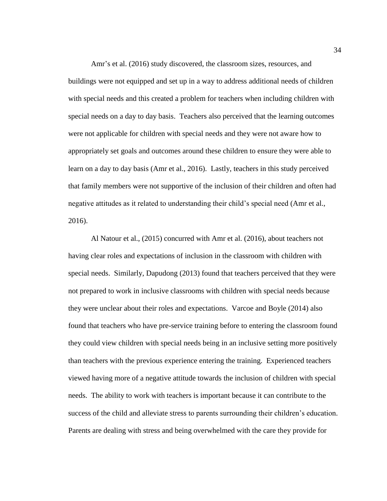Amr's et al. (2016) study discovered, the classroom sizes, resources, and buildings were not equipped and set up in a way to address additional needs of children with special needs and this created a problem for teachers when including children with special needs on a day to day basis. Teachers also perceived that the learning outcomes were not applicable for children with special needs and they were not aware how to appropriately set goals and outcomes around these children to ensure they were able to learn on a day to day basis (Amr et al., 2016). Lastly, teachers in this study perceived that family members were not supportive of the inclusion of their children and often had negative attitudes as it related to understanding their child's special need (Amr et al., 2016).

Al Natour et al., (2015) concurred with Amr et al. (2016), about teachers not having clear roles and expectations of inclusion in the classroom with children with special needs. Similarly, Dapudong (2013) found that teachers perceived that they were not prepared to work in inclusive classrooms with children with special needs because they were unclear about their roles and expectations. Varcoe and Boyle (2014) also found that teachers who have pre-service training before to entering the classroom found they could view children with special needs being in an inclusive setting more positively than teachers with the previous experience entering the training. Experienced teachers viewed having more of a negative attitude towards the inclusion of children with special needs. The ability to work with teachers is important because it can contribute to the success of the child and alleviate stress to parents surrounding their children's education. Parents are dealing with stress and being overwhelmed with the care they provide for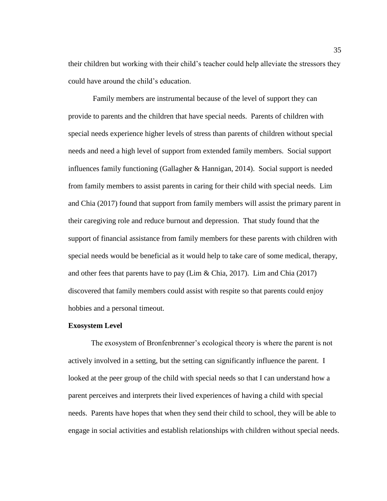their children but working with their child's teacher could help alleviate the stressors they could have around the child's education.

Family members are instrumental because of the level of support they can provide to parents and the children that have special needs. Parents of children with special needs experience higher levels of stress than parents of children without special needs and need a high level of support from extended family members. Social support influences family functioning (Gallagher & Hannigan, 2014). Social support is needed from family members to assist parents in caring for their child with special needs. Lim and Chia (2017) found that support from family members will assist the primary parent in their caregiving role and reduce burnout and depression. That study found that the support of financial assistance from family members for these parents with children with special needs would be beneficial as it would help to take care of some medical, therapy, and other fees that parents have to pay (Lim & Chia, 2017). Lim and Chia  $(2017)$ discovered that family members could assist with respite so that parents could enjoy hobbies and a personal timeout.

#### **Exosystem Level**

The exosystem of Bronfenbrenner's ecological theory is where the parent is not actively involved in a setting, but the setting can significantly influence the parent. I looked at the peer group of the child with special needs so that I can understand how a parent perceives and interprets their lived experiences of having a child with special needs. Parents have hopes that when they send their child to school, they will be able to engage in social activities and establish relationships with children without special needs.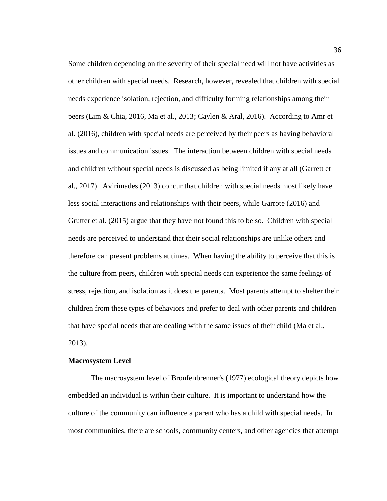Some children depending on the severity of their special need will not have activities as other children with special needs. Research, however, revealed that children with special needs experience isolation, rejection, and difficulty forming relationships among their peers (Lim & Chia, 2016, Ma et al., 2013; Caylen & Aral, 2016). According to Amr et al. (2016), children with special needs are perceived by their peers as having behavioral issues and communication issues. The interaction between children with special needs and children without special needs is discussed as being limited if any at all (Garrett et al., 2017). Avirimades (2013) concur that children with special needs most likely have less social interactions and relationships with their peers, while Garrote (2016) and Grutter et al. (2015) argue that they have not found this to be so. Children with special needs are perceived to understand that their social relationships are unlike others and therefore can present problems at times. When having the ability to perceive that this is the culture from peers, children with special needs can experience the same feelings of stress, rejection, and isolation as it does the parents. Most parents attempt to shelter their children from these types of behaviors and prefer to deal with other parents and children that have special needs that are dealing with the same issues of their child (Ma et al., 2013).

#### **Macrosystem Level**

The macrosystem level of Bronfenbrenner's (1977) ecological theory depicts how embedded an individual is within their culture. It is important to understand how the culture of the community can influence a parent who has a child with special needs. In most communities, there are schools, community centers, and other agencies that attempt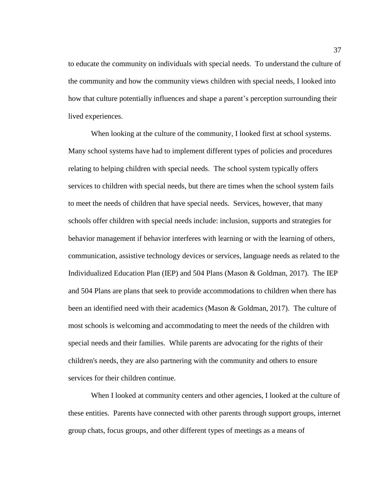to educate the community on individuals with special needs. To understand the culture of the community and how the community views children with special needs, I looked into how that culture potentially influences and shape a parent's perception surrounding their lived experiences.

When looking at the culture of the community, I looked first at school systems. Many school systems have had to implement different types of policies and procedures relating to helping children with special needs. The school system typically offers services to children with special needs, but there are times when the school system fails to meet the needs of children that have special needs. Services, however, that many schools offer children with special needs include: inclusion, supports and strategies for behavior management if behavior interferes with learning or with the learning of others, communication, assistive technology devices or services, language needs as related to the Individualized Education Plan (IEP) and 504 Plans (Mason & Goldman, 2017). The IEP and 504 Plans are plans that seek to provide accommodations to children when there has been an identified need with their academics (Mason & Goldman, 2017). The culture of most schools is welcoming and accommodating to meet the needs of the children with special needs and their families. While parents are advocating for the rights of their children's needs, they are also partnering with the community and others to ensure services for their children continue.

When I looked at community centers and other agencies, I looked at the culture of these entities. Parents have connected with other parents through support groups, internet group chats, focus groups, and other different types of meetings as a means of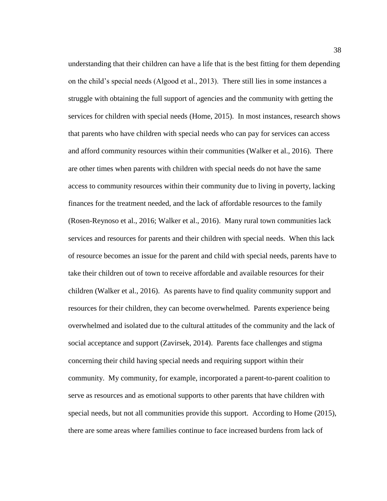understanding that their children can have a life that is the best fitting for them depending on the child's special needs (Algood et al., 2013). There still lies in some instances a struggle with obtaining the full support of agencies and the community with getting the services for children with special needs (Home, 2015). In most instances, research shows that parents who have children with special needs who can pay for services can access and afford community resources within their communities (Walker et al., 2016). There are other times when parents with children with special needs do not have the same access to community resources within their community due to living in poverty, lacking finances for the treatment needed, and the lack of affordable resources to the family (Rosen-Reynoso et al., 2016; Walker et al., 2016). Many rural town communities lack services and resources for parents and their children with special needs. When this lack of resource becomes an issue for the parent and child with special needs, parents have to take their children out of town to receive affordable and available resources for their children (Walker et al., 2016). As parents have to find quality community support and resources for their children, they can become overwhelmed. Parents experience being overwhelmed and isolated due to the cultural attitudes of the community and the lack of social acceptance and support (Zavirsek, 2014). Parents face challenges and stigma concerning their child having special needs and requiring support within their community. My community, for example, incorporated a parent-to-parent coalition to serve as resources and as emotional supports to other parents that have children with special needs, but not all communities provide this support. According to Home (2015), there are some areas where families continue to face increased burdens from lack of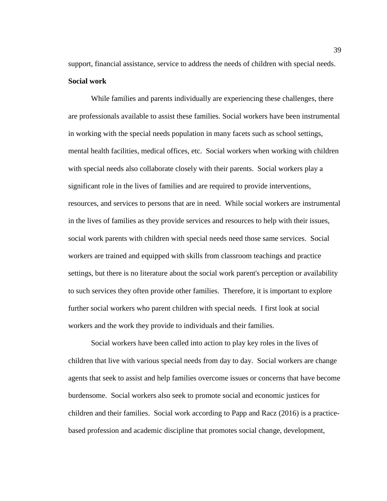support, financial assistance, service to address the needs of children with special needs. **Social work**

While families and parents individually are experiencing these challenges, there are professionals available to assist these families. Social workers have been instrumental in working with the special needs population in many facets such as school settings, mental health facilities, medical offices, etc. Social workers when working with children with special needs also collaborate closely with their parents. Social workers play a significant role in the lives of families and are required to provide interventions, resources, and services to persons that are in need. While social workers are instrumental in the lives of families as they provide services and resources to help with their issues, social work parents with children with special needs need those same services. Social workers are trained and equipped with skills from classroom teachings and practice settings, but there is no literature about the social work parent's perception or availability to such services they often provide other families. Therefore, it is important to explore further social workers who parent children with special needs. I first look at social workers and the work they provide to individuals and their families.

Social workers have been called into action to play key roles in the lives of children that live with various special needs from day to day. Social workers are change agents that seek to assist and help families overcome issues or concerns that have become burdensome. Social workers also seek to promote social and economic justices for children and their families. Social work according to Papp and Racz (2016) is a practicebased profession and academic discipline that promotes social change, development,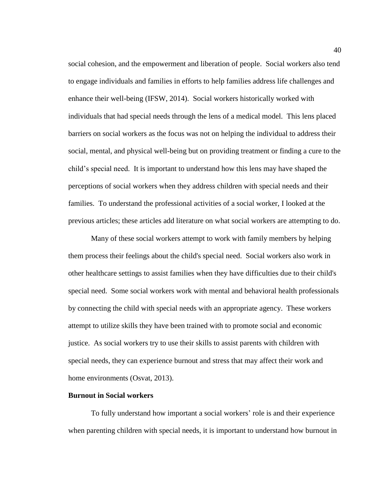social cohesion, and the empowerment and liberation of people. Social workers also tend to engage individuals and families in efforts to help families address life challenges and enhance their well-being (IFSW, 2014). Social workers historically worked with individuals that had special needs through the lens of a medical model. This lens placed barriers on social workers as the focus was not on helping the individual to address their social, mental, and physical well-being but on providing treatment or finding a cure to the child's special need. It is important to understand how this lens may have shaped the perceptions of social workers when they address children with special needs and their families. To understand the professional activities of a social worker, I looked at the previous articles; these articles add literature on what social workers are attempting to do.

Many of these social workers attempt to work with family members by helping them process their feelings about the child's special need. Social workers also work in other healthcare settings to assist families when they have difficulties due to their child's special need. Some social workers work with mental and behavioral health professionals by connecting the child with special needs with an appropriate agency. These workers attempt to utilize skills they have been trained with to promote social and economic justice. As social workers try to use their skills to assist parents with children with special needs, they can experience burnout and stress that may affect their work and home environments (Osvat, 2013).

#### **Burnout in Social workers**

To fully understand how important a social workers' role is and their experience when parenting children with special needs, it is important to understand how burnout in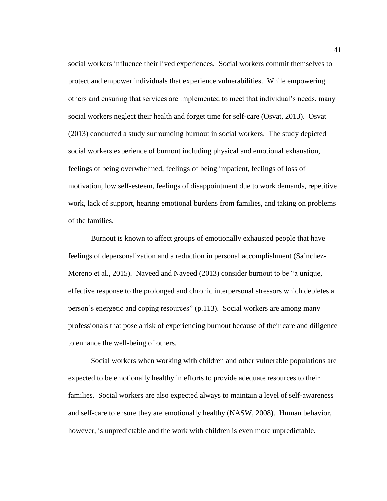social workers influence their lived experiences. Social workers commit themselves to protect and empower individuals that experience vulnerabilities. While empowering others and ensuring that services are implemented to meet that individual's needs, many social workers neglect their health and forget time for self-care (Osvat, 2013). Osvat (2013) conducted a study surrounding burnout in social workers. The study depicted social workers experience of burnout including physical and emotional exhaustion, feelings of being overwhelmed, feelings of being impatient, feelings of loss of motivation, low self-esteem, feelings of disappointment due to work demands, repetitive work, lack of support, hearing emotional burdens from families, and taking on problems of the families.

Burnout is known to affect groups of emotionally exhausted people that have feelings of depersonalization and a reduction in personal accomplishment (Sa´nchez-Moreno et al., 2015). Naveed and Naveed (2013) consider burnout to be "a unique, effective response to the prolonged and chronic interpersonal stressors which depletes a person's energetic and coping resources" (p.113). Social workers are among many professionals that pose a risk of experiencing burnout because of their care and diligence to enhance the well-being of others.

Social workers when working with children and other vulnerable populations are expected to be emotionally healthy in efforts to provide adequate resources to their families. Social workers are also expected always to maintain a level of self-awareness and self-care to ensure they are emotionally healthy (NASW, 2008). Human behavior, however, is unpredictable and the work with children is even more unpredictable.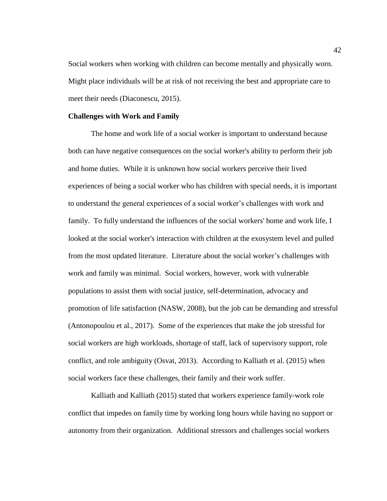Social workers when working with children can become mentally and physically worn. Might place individuals will be at risk of not receiving the best and appropriate care to meet their needs (Diaconescu, 2015).

#### **Challenges with Work and Family**

The home and work life of a social worker is important to understand because both can have negative consequences on the social worker's ability to perform their job and home duties. While it is unknown how social workers perceive their lived experiences of being a social worker who has children with special needs, it is important to understand the general experiences of a social worker's challenges with work and family. To fully understand the influences of the social workers' home and work life, I looked at the social worker's interaction with children at the exosystem level and pulled from the most updated literature. Literature about the social worker's challenges with work and family was minimal. Social workers, however, work with vulnerable populations to assist them with social justice, self-determination, advocacy and promotion of life satisfaction (NASW, 2008), but the job can be demanding and stressful (Antonopoulou et al., 2017). Some of the experiences that make the job stressful for social workers are high workloads, shortage of staff, lack of supervisory support, role conflict, and role ambiguity (Osvat, 2013). According to Kalliath et al. (2015) when social workers face these challenges, their family and their work suffer.

Kalliath and Kalliath (2015) stated that workers experience family-work role conflict that impedes on family time by working long hours while having no support or autonomy from their organization. Additional stressors and challenges social workers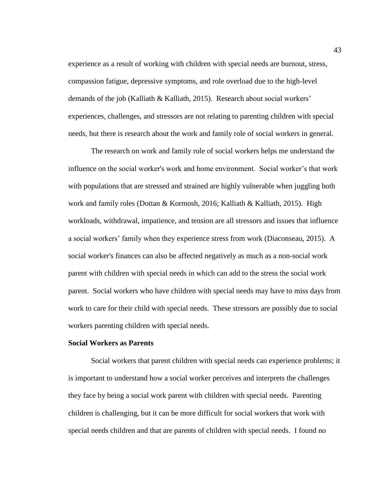experience as a result of working with children with special needs are burnout, stress, compassion fatigue, depressive symptoms, and role overload due to the high-level demands of the job (Kalliath & Kalliath, 2015). Research about social workers' experiences, challenges, and stressors are not relating to parenting children with special needs, but there is research about the work and family role of social workers in general.

The research on work and family role of social workers helps me understand the influence on the social worker's work and home environment. Social worker's that work with populations that are stressed and strained are highly vulnerable when juggling both work and family roles (Dottan & Kormosh, 2016; Kalliath & Kalliath, 2015). High workloads, withdrawal, impatience, and tension are all stressors and issues that influence a social workers' family when they experience stress from work (Diaconseau, 2015). A social worker's finances can also be affected negatively as much as a non-social work parent with children with special needs in which can add to the stress the social work parent. Social workers who have children with special needs may have to miss days from work to care for their child with special needs. These stressors are possibly due to social workers parenting children with special needs.

#### **Social Workers as Parents**

Social workers that parent children with special needs can experience problems; it is important to understand how a social worker perceives and interprets the challenges they face by being a social work parent with children with special needs. Parenting children is challenging, but it can be more difficult for social workers that work with special needs children and that are parents of children with special needs. I found no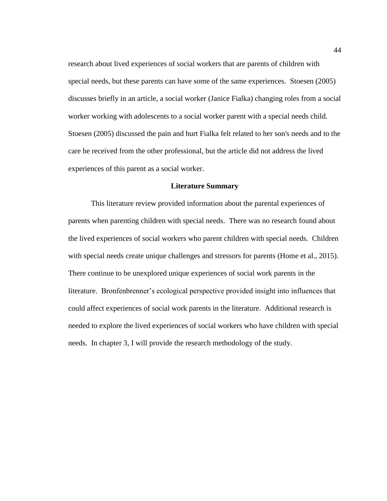research about lived experiences of social workers that are parents of children with special needs, but these parents can have some of the same experiences. Stoesen (2005) discusses briefly in an article, a social worker (Janice Fialka) changing roles from a social worker working with adolescents to a social worker parent with a special needs child. Stoesen (2005) discussed the pain and hurt Fialka felt related to her son's needs and to the care he received from the other professional, but the article did not address the lived experiences of this parent as a social worker.

## **Literature Summary**

This literature review provided information about the parental experiences of parents when parenting children with special needs. There was no research found about the lived experiences of social workers who parent children with special needs. Children with special needs create unique challenges and stressors for parents (Home et al., 2015). There continue to be unexplored unique experiences of social work parents in the literature. Bronfenbrenner's ecological perspective provided insight into influences that could affect experiences of social work parents in the literature. Additional research is needed to explore the lived experiences of social workers who have children with special needs. In chapter 3, I will provide the research methodology of the study.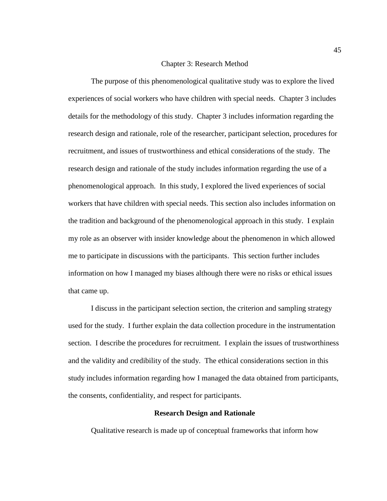### Chapter 3: Research Method

The purpose of this phenomenological qualitative study was to explore the lived experiences of social workers who have children with special needs. Chapter 3 includes details for the methodology of this study. Chapter 3 includes information regarding the research design and rationale, role of the researcher, participant selection, procedures for recruitment, and issues of trustworthiness and ethical considerations of the study. The research design and rationale of the study includes information regarding the use of a phenomenological approach. In this study, I explored the lived experiences of social workers that have children with special needs. This section also includes information on the tradition and background of the phenomenological approach in this study. I explain my role as an observer with insider knowledge about the phenomenon in which allowed me to participate in discussions with the participants. This section further includes information on how I managed my biases although there were no risks or ethical issues that came up.

I discuss in the participant selection section, the criterion and sampling strategy used for the study. I further explain the data collection procedure in the instrumentation section. I describe the procedures for recruitment. I explain the issues of trustworthiness and the validity and credibility of the study. The ethical considerations section in this study includes information regarding how I managed the data obtained from participants, the consents, confidentiality, and respect for participants.

### **Research Design and Rationale**

Qualitative research is made up of conceptual frameworks that inform how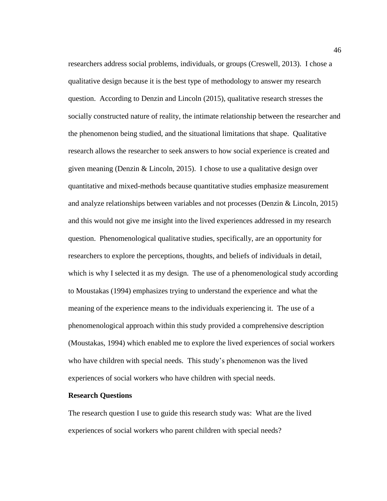researchers address social problems, individuals, or groups (Creswell, 2013). I chose a qualitative design because it is the best type of methodology to answer my research question. According to Denzin and Lincoln (2015), qualitative research stresses the socially constructed nature of reality, the intimate relationship between the researcher and the phenomenon being studied, and the situational limitations that shape. Qualitative research allows the researcher to seek answers to how social experience is created and given meaning (Denzin & Lincoln, 2015). I chose to use a qualitative design over quantitative and mixed-methods because quantitative studies emphasize measurement and analyze relationships between variables and not processes (Denzin & Lincoln, 2015) and this would not give me insight into the lived experiences addressed in my research question. Phenomenological qualitative studies, specifically, are an opportunity for researchers to explore the perceptions, thoughts, and beliefs of individuals in detail, which is why I selected it as my design. The use of a phenomenological study according to Moustakas (1994) emphasizes trying to understand the experience and what the meaning of the experience means to the individuals experiencing it. The use of a phenomenological approach within this study provided a comprehensive description (Moustakas, 1994) which enabled me to explore the lived experiences of social workers who have children with special needs. This study's phenomenon was the lived experiences of social workers who have children with special needs.

#### **Research Questions**

The research question I use to guide this research study was: What are the lived experiences of social workers who parent children with special needs?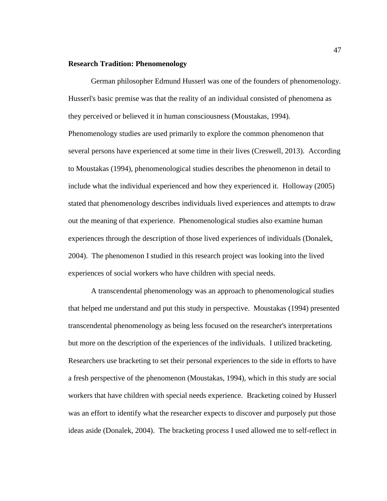## **Research Tradition: Phenomenology**

German philosopher Edmund Husserl was one of the founders of phenomenology. Husserl's basic premise was that the reality of an individual consisted of phenomena as they perceived or believed it in human consciousness (Moustakas, 1994). Phenomenology studies are used primarily to explore the common phenomenon that several persons have experienced at some time in their lives (Creswell, 2013). According to Moustakas (1994), phenomenological studies describes the phenomenon in detail to include what the individual experienced and how they experienced it. Holloway (2005) stated that phenomenology describes individuals lived experiences and attempts to draw out the meaning of that experience. Phenomenological studies also examine human experiences through the description of those lived experiences of individuals (Donalek, 2004). The phenomenon I studied in this research project was looking into the lived experiences of social workers who have children with special needs.

A transcendental phenomenology was an approach to phenomenological studies that helped me understand and put this study in perspective. Moustakas (1994) presented transcendental phenomenology as being less focused on the researcher's interpretations but more on the description of the experiences of the individuals. I utilized bracketing. Researchers use bracketing to set their personal experiences to the side in efforts to have a fresh perspective of the phenomenon (Moustakas, 1994), which in this study are social workers that have children with special needs experience. Bracketing coined by Husserl was an effort to identify what the researcher expects to discover and purposely put those ideas aside (Donalek, 2004). The bracketing process I used allowed me to self-reflect in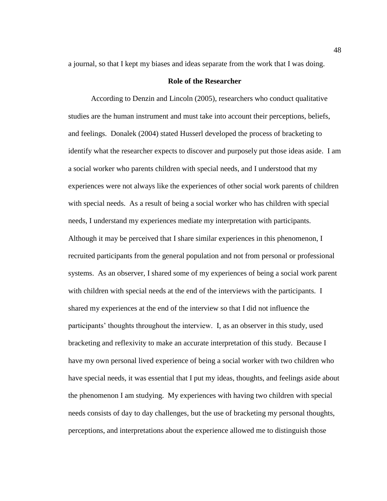a journal, so that I kept my biases and ideas separate from the work that I was doing.

## **Role of the Researcher**

According to Denzin and Lincoln (2005), researchers who conduct qualitative studies are the human instrument and must take into account their perceptions, beliefs, and feelings. Donalek (2004) stated Husserl developed the process of bracketing to identify what the researcher expects to discover and purposely put those ideas aside. I am a social worker who parents children with special needs, and I understood that my experiences were not always like the experiences of other social work parents of children with special needs. As a result of being a social worker who has children with special needs, I understand my experiences mediate my interpretation with participants. Although it may be perceived that I share similar experiences in this phenomenon, I recruited participants from the general population and not from personal or professional systems. As an observer, I shared some of my experiences of being a social work parent with children with special needs at the end of the interviews with the participants. I shared my experiences at the end of the interview so that I did not influence the participants' thoughts throughout the interview. I, as an observer in this study, used bracketing and reflexivity to make an accurate interpretation of this study. Because I have my own personal lived experience of being a social worker with two children who have special needs, it was essential that I put my ideas, thoughts, and feelings aside about the phenomenon I am studying. My experiences with having two children with special needs consists of day to day challenges, but the use of bracketing my personal thoughts, perceptions, and interpretations about the experience allowed me to distinguish those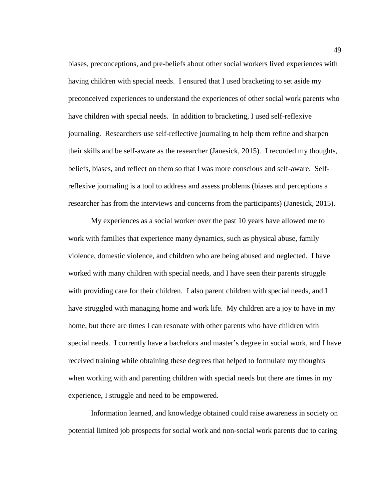biases, preconceptions, and pre-beliefs about other social workers lived experiences with having children with special needs. I ensured that I used bracketing to set aside my preconceived experiences to understand the experiences of other social work parents who have children with special needs. In addition to bracketing, I used self-reflexive journaling. Researchers use self-reflective journaling to help them refine and sharpen their skills and be self-aware as the researcher (Janesick, 2015). I recorded my thoughts, beliefs, biases, and reflect on them so that I was more conscious and self-aware. Selfreflexive journaling is a tool to address and assess problems (biases and perceptions a researcher has from the interviews and concerns from the participants) (Janesick, 2015).

My experiences as a social worker over the past 10 years have allowed me to work with families that experience many dynamics, such as physical abuse, family violence, domestic violence, and children who are being abused and neglected. I have worked with many children with special needs, and I have seen their parents struggle with providing care for their children. I also parent children with special needs, and I have struggled with managing home and work life. My children are a joy to have in my home, but there are times I can resonate with other parents who have children with special needs. I currently have a bachelors and master's degree in social work, and I have received training while obtaining these degrees that helped to formulate my thoughts when working with and parenting children with special needs but there are times in my experience, I struggle and need to be empowered.

Information learned, and knowledge obtained could raise awareness in society on potential limited job prospects for social work and non-social work parents due to caring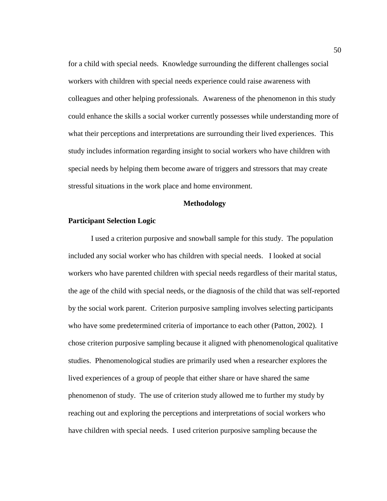for a child with special needs. Knowledge surrounding the different challenges social workers with children with special needs experience could raise awareness with colleagues and other helping professionals. Awareness of the phenomenon in this study could enhance the skills a social worker currently possesses while understanding more of what their perceptions and interpretations are surrounding their lived experiences. This study includes information regarding insight to social workers who have children with special needs by helping them become aware of triggers and stressors that may create stressful situations in the work place and home environment.

#### **Methodology**

## **Participant Selection Logic**

I used a criterion purposive and snowball sample for this study. The population included any social worker who has children with special needs. I looked at social workers who have parented children with special needs regardless of their marital status, the age of the child with special needs, or the diagnosis of the child that was self-reported by the social work parent. Criterion purposive sampling involves selecting participants who have some predetermined criteria of importance to each other (Patton, 2002). I chose criterion purposive sampling because it aligned with phenomenological qualitative studies. Phenomenological studies are primarily used when a researcher explores the lived experiences of a group of people that either share or have shared the same phenomenon of study. The use of criterion study allowed me to further my study by reaching out and exploring the perceptions and interpretations of social workers who have children with special needs. I used criterion purposive sampling because the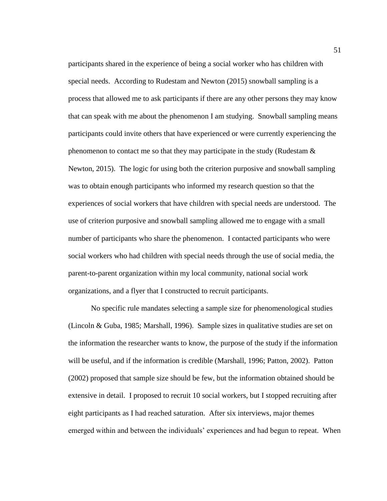participants shared in the experience of being a social worker who has children with special needs. According to Rudestam and Newton (2015) snowball sampling is a process that allowed me to ask participants if there are any other persons they may know that can speak with me about the phenomenon I am studying. Snowball sampling means participants could invite others that have experienced or were currently experiencing the phenomenon to contact me so that they may participate in the study (Rudestam & Newton, 2015). The logic for using both the criterion purposive and snowball sampling was to obtain enough participants who informed my research question so that the experiences of social workers that have children with special needs are understood. The use of criterion purposive and snowball sampling allowed me to engage with a small number of participants who share the phenomenon. I contacted participants who were social workers who had children with special needs through the use of social media, the parent-to-parent organization within my local community, national social work organizations, and a flyer that I constructed to recruit participants.

No specific rule mandates selecting a sample size for phenomenological studies (Lincoln & Guba, 1985; Marshall, 1996). Sample sizes in qualitative studies are set on the information the researcher wants to know, the purpose of the study if the information will be useful, and if the information is credible (Marshall, 1996; Patton, 2002). Patton (2002) proposed that sample size should be few, but the information obtained should be extensive in detail. I proposed to recruit 10 social workers, but I stopped recruiting after eight participants as I had reached saturation. After six interviews, major themes emerged within and between the individuals' experiences and had begun to repeat. When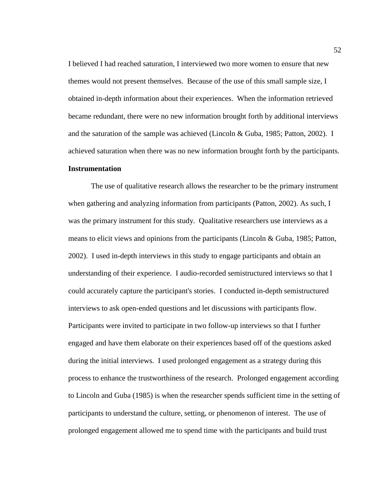I believed I had reached saturation, I interviewed two more women to ensure that new themes would not present themselves. Because of the use of this small sample size, I obtained in-depth information about their experiences. When the information retrieved became redundant, there were no new information brought forth by additional interviews and the saturation of the sample was achieved (Lincoln & Guba, 1985; Patton, 2002). I achieved saturation when there was no new information brought forth by the participants. **Instrumentation**

The use of qualitative research allows the researcher to be the primary instrument when gathering and analyzing information from participants (Patton, 2002). As such, I was the primary instrument for this study. Qualitative researchers use interviews as a means to elicit views and opinions from the participants (Lincoln & Guba, 1985; Patton, 2002). I used in-depth interviews in this study to engage participants and obtain an understanding of their experience. I audio-recorded semistructured interviews so that I could accurately capture the participant's stories. I conducted in-depth semistructured interviews to ask open-ended questions and let discussions with participants flow. Participants were invited to participate in two follow-up interviews so that I further engaged and have them elaborate on their experiences based off of the questions asked during the initial interviews. I used prolonged engagement as a strategy during this process to enhance the trustworthiness of the research. Prolonged engagement according to Lincoln and Guba (1985) is when the researcher spends sufficient time in the setting of participants to understand the culture, setting, or phenomenon of interest. The use of prolonged engagement allowed me to spend time with the participants and build trust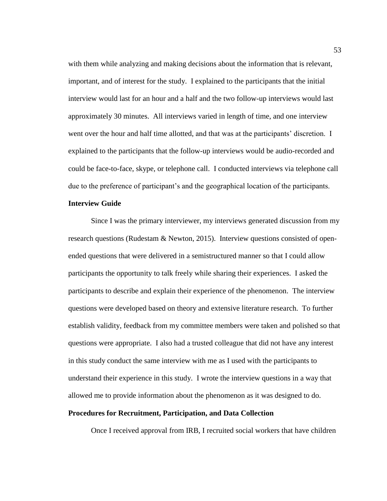with them while analyzing and making decisions about the information that is relevant, important, and of interest for the study. I explained to the participants that the initial interview would last for an hour and a half and the two follow-up interviews would last approximately 30 minutes. All interviews varied in length of time, and one interview went over the hour and half time allotted, and that was at the participants' discretion. I explained to the participants that the follow-up interviews would be audio-recorded and could be face-to-face, skype, or telephone call. I conducted interviews via telephone call due to the preference of participant's and the geographical location of the participants.

### **Interview Guide**

Since I was the primary interviewer, my interviews generated discussion from my research questions (Rudestam & Newton, 2015). Interview questions consisted of openended questions that were delivered in a semistructured manner so that I could allow participants the opportunity to talk freely while sharing their experiences. I asked the participants to describe and explain their experience of the phenomenon. The interview questions were developed based on theory and extensive literature research. To further establish validity, feedback from my committee members were taken and polished so that questions were appropriate. I also had a trusted colleague that did not have any interest in this study conduct the same interview with me as I used with the participants to understand their experience in this study. I wrote the interview questions in a way that allowed me to provide information about the phenomenon as it was designed to do.

## **Procedures for Recruitment, Participation, and Data Collection**

Once I received approval from IRB, I recruited social workers that have children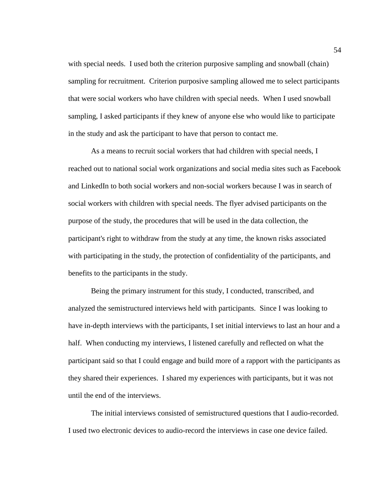with special needs. I used both the criterion purposive sampling and snowball (chain) sampling for recruitment. Criterion purposive sampling allowed me to select participants that were social workers who have children with special needs. When I used snowball sampling, I asked participants if they knew of anyone else who would like to participate in the study and ask the participant to have that person to contact me.

As a means to recruit social workers that had children with special needs, I reached out to national social work organizations and social media sites such as Facebook and LinkedIn to both social workers and non-social workers because I was in search of social workers with children with special needs. The flyer advised participants on the purpose of the study, the procedures that will be used in the data collection, the participant's right to withdraw from the study at any time, the known risks associated with participating in the study, the protection of confidentiality of the participants, and benefits to the participants in the study.

Being the primary instrument for this study, I conducted, transcribed, and analyzed the semistructured interviews held with participants. Since I was looking to have in-depth interviews with the participants, I set initial interviews to last an hour and a half. When conducting my interviews, I listened carefully and reflected on what the participant said so that I could engage and build more of a rapport with the participants as they shared their experiences. I shared my experiences with participants, but it was not until the end of the interviews.

The initial interviews consisted of semistructured questions that I audio-recorded. I used two electronic devices to audio-record the interviews in case one device failed.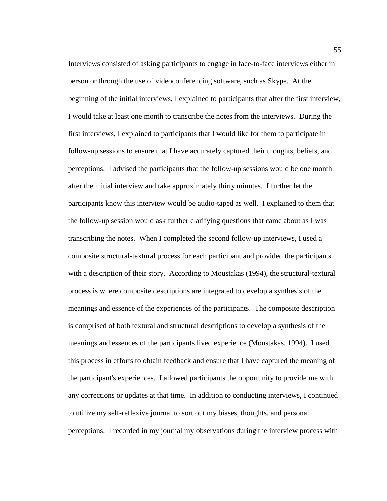Interviews consisted of asking participants to engage in face-to-face interviews either in person or through the use of videoconferencing software, such as Skype. At the beginning of the initial interviews, I explained to participants that after the first interview, I would take at least one month to transcribe the notes from the interviews. During the first interviews, I explained to participants that I would like for them to participate in follow-up sessions to ensure that I have accurately captured their thoughts, beliefs, and perceptions. I advised the participants that the follow-up sessions would be one month after the initial interview and take approximately thirty minutes. I further let the participants know this interview would be audio-taped as well. I explained to them that the follow-up session would ask further clarifying questions that came about as I was transcribing the notes. When I completed the second follow-up interviews, I used a composite structural-textural process for each participant and provided the participants with a description of their story. According to Moustakas (1994), the structural-textural process is where composite descriptions are integrated to develop a synthesis of the meanings and essence of the experiences of the participants. The composite description is comprised of both textural and structural descriptions to develop a synthesis of the meanings and essences of the participants lived experience (Moustakas, 1994). I used this process in efforts to obtain feedback and ensure that I have captured the meaning of the participant's experiences. I allowed participants the opportunity to provide me with any corrections or updates at that time. In addition to conducting interviews, I continued to utilize my self-reflexive journal to sort out my biases, thoughts, and personal perceptions. I recorded in my journal my observations during the interview process with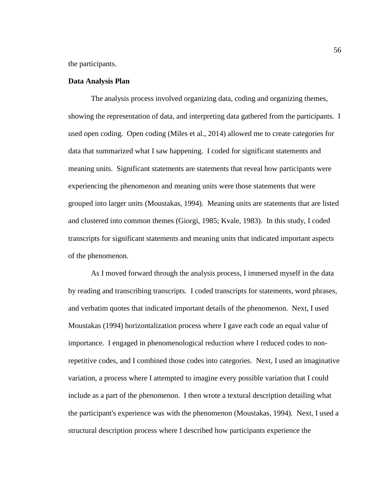the participants.

# **Data Analysis Plan**

The analysis process involved organizing data, coding and organizing themes, showing the representation of data, and interpreting data gathered from the participants. I used open coding. Open coding (Miles et al., 2014) allowed me to create categories for data that summarized what I saw happening. I coded for significant statements and meaning units. Significant statements are statements that reveal how participants were experiencing the phenomenon and meaning units were those statements that were grouped into larger units (Moustakas, 1994). Meaning units are statements that are listed and clustered into common themes (Giorgi, 1985; Kvale, 1983). In this study, I coded transcripts for significant statements and meaning units that indicated important aspects of the phenomenon.

As I moved forward through the analysis process, I immersed myself in the data by reading and transcribing transcripts. I coded transcripts for statements, word phrases, and verbatim quotes that indicated important details of the phenomenon. Next, I used Moustakas (1994) horizontalization process where I gave each code an equal value of importance. I engaged in phenomenological reduction where I reduced codes to nonrepetitive codes, and I combined those codes into categories. Next, I used an imaginative variation, a process where I attempted to imagine every possible variation that I could include as a part of the phenomenon. I then wrote a textural description detailing what the participant's experience was with the phenomenon (Moustakas, 1994). Next, I used a structural description process where I described how participants experience the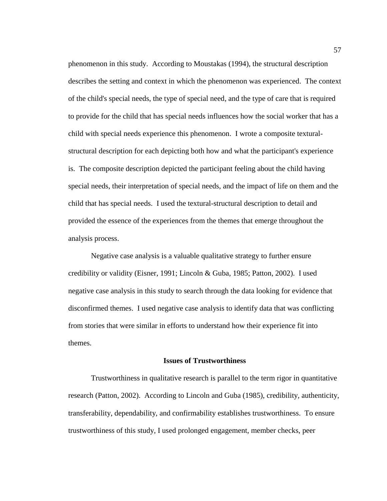phenomenon in this study. According to Moustakas (1994), the structural description describes the setting and context in which the phenomenon was experienced. The context of the child's special needs, the type of special need, and the type of care that is required to provide for the child that has special needs influences how the social worker that has a child with special needs experience this phenomenon. I wrote a composite texturalstructural description for each depicting both how and what the participant's experience is. The composite description depicted the participant feeling about the child having special needs, their interpretation of special needs, and the impact of life on them and the child that has special needs. I used the textural-structural description to detail and provided the essence of the experiences from the themes that emerge throughout the analysis process.

Negative case analysis is a valuable qualitative strategy to further ensure credibility or validity (Eisner, 1991; Lincoln & Guba, 1985; Patton, 2002). I used negative case analysis in this study to search through the data looking for evidence that disconfirmed themes. I used negative case analysis to identify data that was conflicting from stories that were similar in efforts to understand how their experience fit into themes.

### **Issues of Trustworthiness**

Trustworthiness in qualitative research is parallel to the term rigor in quantitative research (Patton, 2002). According to Lincoln and Guba (1985), credibility, authenticity, transferability, dependability, and confirmability establishes trustworthiness. To ensure trustworthiness of this study, I used prolonged engagement, member checks, peer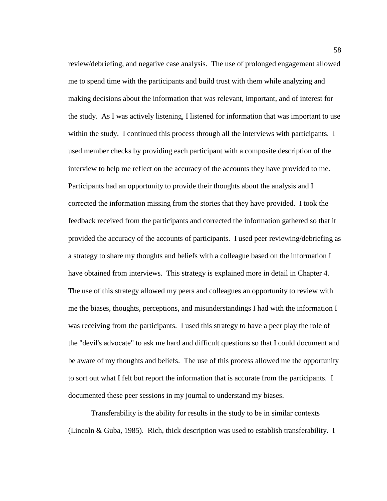review/debriefing, and negative case analysis. The use of prolonged engagement allowed me to spend time with the participants and build trust with them while analyzing and making decisions about the information that was relevant, important, and of interest for the study. As I was actively listening, I listened for information that was important to use within the study. I continued this process through all the interviews with participants. I used member checks by providing each participant with a composite description of the interview to help me reflect on the accuracy of the accounts they have provided to me. Participants had an opportunity to provide their thoughts about the analysis and I corrected the information missing from the stories that they have provided. I took the feedback received from the participants and corrected the information gathered so that it provided the accuracy of the accounts of participants. I used peer reviewing/debriefing as a strategy to share my thoughts and beliefs with a colleague based on the information I have obtained from interviews. This strategy is explained more in detail in Chapter 4. The use of this strategy allowed my peers and colleagues an opportunity to review with me the biases, thoughts, perceptions, and misunderstandings I had with the information I was receiving from the participants. I used this strategy to have a peer play the role of the "devil's advocate" to ask me hard and difficult questions so that I could document and be aware of my thoughts and beliefs. The use of this process allowed me the opportunity to sort out what I felt but report the information that is accurate from the participants. I documented these peer sessions in my journal to understand my biases.

Transferability is the ability for results in the study to be in similar contexts (Lincoln & Guba, 1985). Rich, thick description was used to establish transferability. I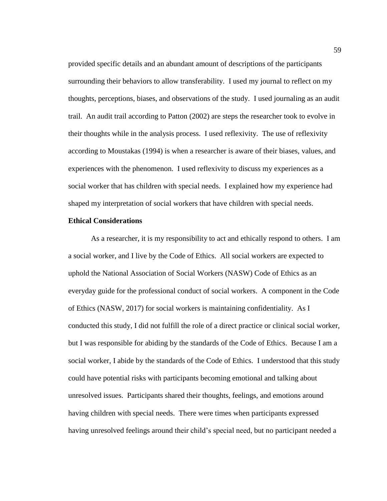provided specific details and an abundant amount of descriptions of the participants surrounding their behaviors to allow transferability. I used my journal to reflect on my thoughts, perceptions, biases, and observations of the study. I used journaling as an audit trail. An audit trail according to Patton (2002) are steps the researcher took to evolve in their thoughts while in the analysis process. I used reflexivity. The use of reflexivity according to Moustakas (1994) is when a researcher is aware of their biases, values, and experiences with the phenomenon. I used reflexivity to discuss my experiences as a social worker that has children with special needs. I explained how my experience had shaped my interpretation of social workers that have children with special needs.

# **Ethical Considerations**

As a researcher, it is my responsibility to act and ethically respond to others. I am a social worker, and I live by the Code of Ethics. All social workers are expected to uphold the National Association of Social Workers (NASW) Code of Ethics as an everyday guide for the professional conduct of social workers. A component in the Code of Ethics (NASW, 2017) for social workers is maintaining confidentiality. As I conducted this study, I did not fulfill the role of a direct practice or clinical social worker, but I was responsible for abiding by the standards of the Code of Ethics. Because I am a social worker, I abide by the standards of the Code of Ethics. I understood that this study could have potential risks with participants becoming emotional and talking about unresolved issues. Participants shared their thoughts, feelings, and emotions around having children with special needs. There were times when participants expressed having unresolved feelings around their child's special need, but no participant needed a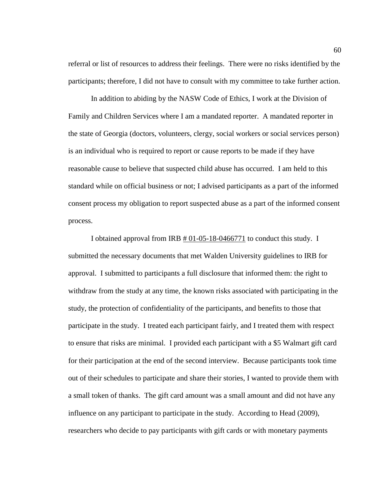referral or list of resources to address their feelings. There were no risks identified by the participants; therefore, I did not have to consult with my committee to take further action.

In addition to abiding by the NASW Code of Ethics, I work at the Division of Family and Children Services where I am a mandated reporter. A mandated reporter in the state of Georgia (doctors, volunteers, clergy, social workers or social services person) is an individual who is required to report or cause reports to be made if they have reasonable cause to believe that suspected child abuse has occurred. I am held to this standard while on official business or not; I advised participants as a part of the informed consent process my obligation to report suspected abuse as a part of the informed consent process.

I obtained approval from IRB  $#01-05-18-0466771$  to conduct this study. I submitted the necessary documents that met Walden University guidelines to IRB for approval. I submitted to participants a full disclosure that informed them: the right to withdraw from the study at any time, the known risks associated with participating in the study, the protection of confidentiality of the participants, and benefits to those that participate in the study. I treated each participant fairly, and I treated them with respect to ensure that risks are minimal. I provided each participant with a \$5 Walmart gift card for their participation at the end of the second interview. Because participants took time out of their schedules to participate and share their stories, I wanted to provide them with a small token of thanks. The gift card amount was a small amount and did not have any influence on any participant to participate in the study. According to Head (2009), researchers who decide to pay participants with gift cards or with monetary payments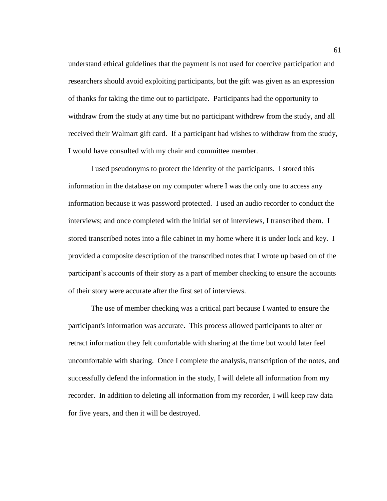understand ethical guidelines that the payment is not used for coercive participation and researchers should avoid exploiting participants, but the gift was given as an expression of thanks for taking the time out to participate. Participants had the opportunity to withdraw from the study at any time but no participant withdrew from the study, and all received their Walmart gift card. If a participant had wishes to withdraw from the study, I would have consulted with my chair and committee member.

I used pseudonyms to protect the identity of the participants. I stored this information in the database on my computer where I was the only one to access any information because it was password protected. I used an audio recorder to conduct the interviews; and once completed with the initial set of interviews, I transcribed them. I stored transcribed notes into a file cabinet in my home where it is under lock and key. I provided a composite description of the transcribed notes that I wrote up based on of the participant's accounts of their story as a part of member checking to ensure the accounts of their story were accurate after the first set of interviews.

The use of member checking was a critical part because I wanted to ensure the participant's information was accurate. This process allowed participants to alter or retract information they felt comfortable with sharing at the time but would later feel uncomfortable with sharing. Once I complete the analysis, transcription of the notes, and successfully defend the information in the study, I will delete all information from my recorder. In addition to deleting all information from my recorder, I will keep raw data for five years, and then it will be destroyed.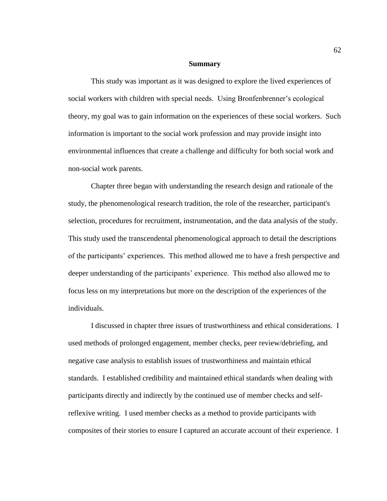#### **Summary**

This study was important as it was designed to explore the lived experiences of social workers with children with special needs. Using Bronfenbrenner's ecological theory, my goal was to gain information on the experiences of these social workers. Such information is important to the social work profession and may provide insight into environmental influences that create a challenge and difficulty for both social work and non-social work parents.

Chapter three began with understanding the research design and rationale of the study, the phenomenological research tradition, the role of the researcher, participant's selection, procedures for recruitment, instrumentation, and the data analysis of the study. This study used the transcendental phenomenological approach to detail the descriptions of the participants' experiences. This method allowed me to have a fresh perspective and deeper understanding of the participants' experience. This method also allowed me to focus less on my interpretations but more on the description of the experiences of the individuals.

I discussed in chapter three issues of trustworthiness and ethical considerations. I used methods of prolonged engagement, member checks, peer review/debriefing, and negative case analysis to establish issues of trustworthiness and maintain ethical standards. I established credibility and maintained ethical standards when dealing with participants directly and indirectly by the continued use of member checks and selfreflexive writing. I used member checks as a method to provide participants with composites of their stories to ensure I captured an accurate account of their experience. I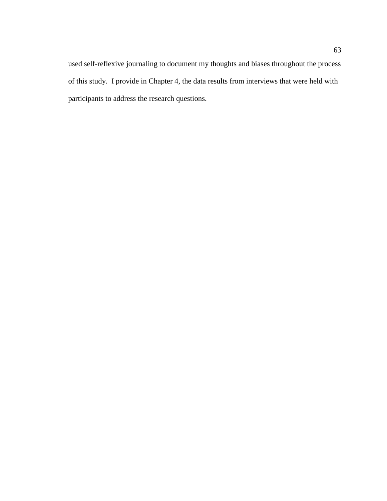used self-reflexive journaling to document my thoughts and biases throughout the process of this study. I provide in Chapter 4, the data results from interviews that were held with participants to address the research questions.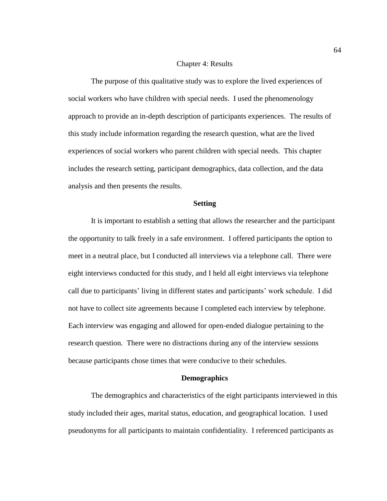### Chapter 4: Results

The purpose of this qualitative study was to explore the lived experiences of social workers who have children with special needs. I used the phenomenology approach to provide an in-depth description of participants experiences. The results of this study include information regarding the research question, what are the lived experiences of social workers who parent children with special needs. This chapter includes the research setting, participant demographics, data collection, and the data analysis and then presents the results.

#### **Setting**

It is important to establish a setting that allows the researcher and the participant the opportunity to talk freely in a safe environment. I offered participants the option to meet in a neutral place, but I conducted all interviews via a telephone call. There were eight interviews conducted for this study, and I held all eight interviews via telephone call due to participants' living in different states and participants' work schedule. I did not have to collect site agreements because I completed each interview by telephone. Each interview was engaging and allowed for open-ended dialogue pertaining to the research question. There were no distractions during any of the interview sessions because participants chose times that were conducive to their schedules.

#### **Demographics**

The demographics and characteristics of the eight participants interviewed in this study included their ages, marital status, education, and geographical location. I used pseudonyms for all participants to maintain confidentiality. I referenced participants as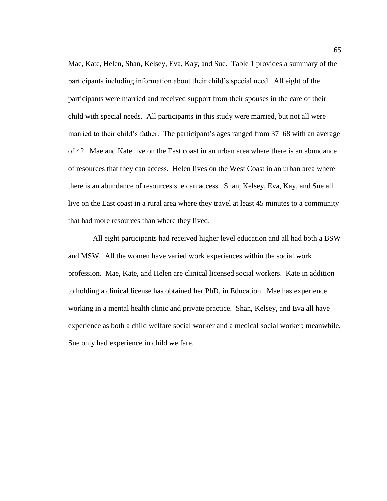Mae, Kate, Helen, Shan, Kelsey, Eva, Kay, and Sue. Table 1 provides a summary of the participants including information about their child's special need. All eight of the participants were married and received support from their spouses in the care of their child with special needs. All participants in this study were married, but not all were married to their child's father. The participant's ages ranged from 37–68 with an average of 42. Mae and Kate live on the East coast in an urban area where there is an abundance of resources that they can access. Helen lives on the West Coast in an urban area where there is an abundance of resources she can access. Shan, Kelsey, Eva, Kay, and Sue all live on the East coast in a rural area where they travel at least 45 minutes to a community that had more resources than where they lived.

All eight participants had received higher level education and all had both a BSW and MSW. All the women have varied work experiences within the social work profession. Mae, Kate, and Helen are clinical licensed social workers. Kate in addition to holding a clinical license has obtained her PhD. in Education. Mae has experience working in a mental health clinic and private practice. Shan, Kelsey, and Eva all have experience as both a child welfare social worker and a medical social worker; meanwhile, Sue only had experience in child welfare.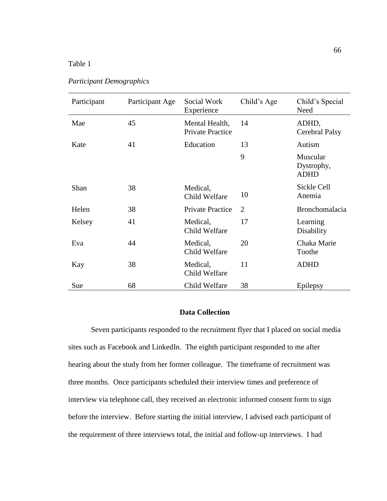## Table 1

| Participant | Participant Age | Social Work<br>Experience                 | Child's Age | Child's Special<br>Need               |
|-------------|-----------------|-------------------------------------------|-------------|---------------------------------------|
| Mae         | 45              | Mental Health,<br><b>Private Practice</b> | 14          | ADHD,<br><b>Cerebral Palsy</b>        |
| Kate        | 41              | Education                                 | 13          | Autism                                |
|             |                 |                                           | 9           | Muscular<br>Dystrophy,<br><b>ADHD</b> |
| Shan        | 38              | Medical,<br>Child Welfare                 | 10          | Sickle Cell<br>Anemia                 |
| Helen       | 38              | <b>Private Practice</b>                   | 2           | Bronchomalacia                        |
| Kelsey      | 41              | Medical,<br>Child Welfare                 | 17          | Learning<br>Disability                |
| Eva         | 44              | Medical,<br>Child Welfare                 | 20          | Chaka Marie<br>Toothe                 |
| Kay         | 38              | Medical,<br>Child Welfare                 | 11          | <b>ADHD</b>                           |
| Sue         | 68              | Child Welfare                             | 38          | Epilepsy                              |

# *Participant Demographics*

## **Data Collection**

Seven participants responded to the recruitment flyer that I placed on social media sites such as Facebook and LinkedIn. The eighth participant responded to me after hearing about the study from her former colleague. The timeframe of recruitment was three months. Once participants scheduled their interview times and preference of interview via telephone call, they received an electronic informed consent form to sign before the interview. Before starting the initial interview, I advised each participant of the requirement of three interviews total, the initial and follow-up interviews. I had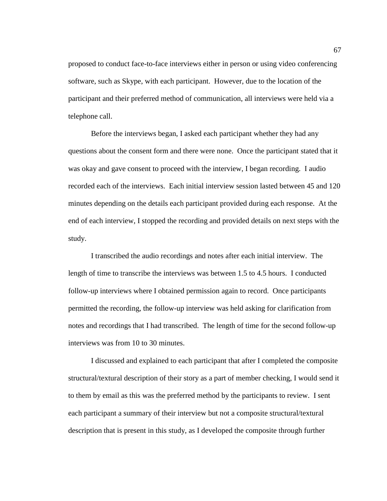proposed to conduct face-to-face interviews either in person or using video conferencing software, such as Skype, with each participant. However, due to the location of the participant and their preferred method of communication, all interviews were held via a telephone call.

Before the interviews began, I asked each participant whether they had any questions about the consent form and there were none. Once the participant stated that it was okay and gave consent to proceed with the interview, I began recording. I audio recorded each of the interviews. Each initial interview session lasted between 45 and 120 minutes depending on the details each participant provided during each response. At the end of each interview, I stopped the recording and provided details on next steps with the study.

I transcribed the audio recordings and notes after each initial interview. The length of time to transcribe the interviews was between 1.5 to 4.5 hours. I conducted follow-up interviews where I obtained permission again to record. Once participants permitted the recording, the follow-up interview was held asking for clarification from notes and recordings that I had transcribed. The length of time for the second follow-up interviews was from 10 to 30 minutes.

I discussed and explained to each participant that after I completed the composite structural/textural description of their story as a part of member checking, I would send it to them by email as this was the preferred method by the participants to review. I sent each participant a summary of their interview but not a composite structural/textural description that is present in this study, as I developed the composite through further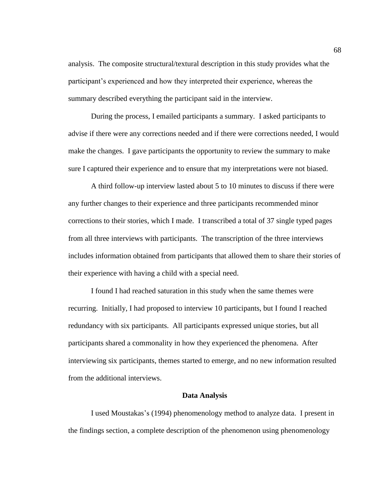analysis. The composite structural/textural description in this study provides what the participant's experienced and how they interpreted their experience, whereas the summary described everything the participant said in the interview.

During the process, I emailed participants a summary. I asked participants to advise if there were any corrections needed and if there were corrections needed, I would make the changes. I gave participants the opportunity to review the summary to make sure I captured their experience and to ensure that my interpretations were not biased.

A third follow-up interview lasted about 5 to 10 minutes to discuss if there were any further changes to their experience and three participants recommended minor corrections to their stories, which I made. I transcribed a total of 37 single typed pages from all three interviews with participants. The transcription of the three interviews includes information obtained from participants that allowed them to share their stories of their experience with having a child with a special need.

I found I had reached saturation in this study when the same themes were recurring. Initially, I had proposed to interview 10 participants, but I found I reached redundancy with six participants. All participants expressed unique stories, but all participants shared a commonality in how they experienced the phenomena. After interviewing six participants, themes started to emerge, and no new information resulted from the additional interviews.

#### **Data Analysis**

I used Moustakas's (1994) phenomenology method to analyze data. I present in the findings section, a complete description of the phenomenon using phenomenology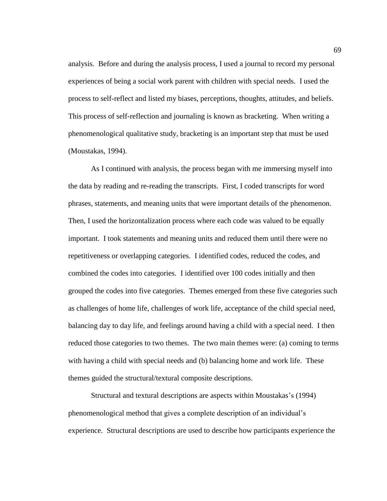analysis. Before and during the analysis process, I used a journal to record my personal experiences of being a social work parent with children with special needs. I used the process to self-reflect and listed my biases, perceptions, thoughts, attitudes, and beliefs. This process of self-reflection and journaling is known as bracketing. When writing a phenomenological qualitative study, bracketing is an important step that must be used (Moustakas, 1994).

As I continued with analysis, the process began with me immersing myself into the data by reading and re-reading the transcripts. First, I coded transcripts for word phrases, statements, and meaning units that were important details of the phenomenon. Then, I used the horizontalization process where each code was valued to be equally important. I took statements and meaning units and reduced them until there were no repetitiveness or overlapping categories. I identified codes, reduced the codes, and combined the codes into categories. I identified over 100 codes initially and then grouped the codes into five categories. Themes emerged from these five categories such as challenges of home life, challenges of work life, acceptance of the child special need, balancing day to day life, and feelings around having a child with a special need. I then reduced those categories to two themes. The two main themes were: (a) coming to terms with having a child with special needs and (b) balancing home and work life. These themes guided the structural/textural composite descriptions.

Structural and textural descriptions are aspects within Moustakas's (1994) phenomenological method that gives a complete description of an individual's experience. Structural descriptions are used to describe how participants experience the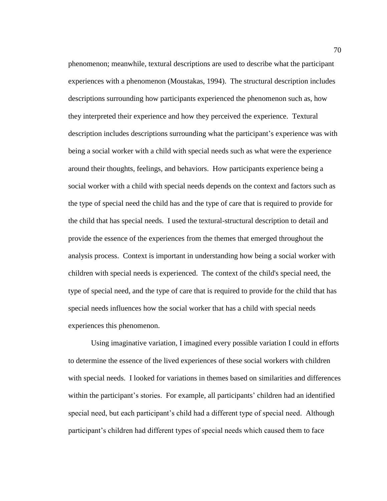phenomenon; meanwhile, textural descriptions are used to describe what the participant experiences with a phenomenon (Moustakas, 1994). The structural description includes descriptions surrounding how participants experienced the phenomenon such as, how they interpreted their experience and how they perceived the experience. Textural description includes descriptions surrounding what the participant's experience was with being a social worker with a child with special needs such as what were the experience around their thoughts, feelings, and behaviors. How participants experience being a social worker with a child with special needs depends on the context and factors such as the type of special need the child has and the type of care that is required to provide for the child that has special needs. I used the textural-structural description to detail and provide the essence of the experiences from the themes that emerged throughout the analysis process. Context is important in understanding how being a social worker with children with special needs is experienced. The context of the child's special need, the type of special need, and the type of care that is required to provide for the child that has special needs influences how the social worker that has a child with special needs experiences this phenomenon.

Using imaginative variation, I imagined every possible variation I could in efforts to determine the essence of the lived experiences of these social workers with children with special needs. I looked for variations in themes based on similarities and differences within the participant's stories. For example, all participants' children had an identified special need, but each participant's child had a different type of special need. Although participant's children had different types of special needs which caused them to face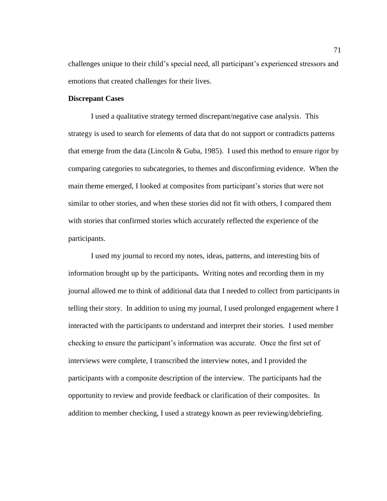challenges unique to their child's special need, all participant's experienced stressors and emotions that created challenges for their lives.

#### **Discrepant Cases**

I used a qualitative strategy termed discrepant/negative case analysis. This strategy is used to search for elements of data that do not support or contradicts patterns that emerge from the data (Lincoln  $& Guba$ , 1985). I used this method to ensure rigor by comparing categories to subcategories, to themes and disconfirming evidence. When the main theme emerged, I looked at composites from participant's stories that were not similar to other stories, and when these stories did not fit with others, I compared them with stories that confirmed stories which accurately reflected the experience of the participants.

I used my journal to record my notes, ideas, patterns, and interesting bits of information brought up by the participants**.** Writing notes and recording them in my journal allowed me to think of additional data that I needed to collect from participants in telling their story. In addition to using my journal, I used prolonged engagement where I interacted with the participants to understand and interpret their stories. I used member checking to ensure the participant's information was accurate. Once the first set of interviews were complete, I transcribed the interview notes, and I provided the participants with a composite description of the interview. The participants had the opportunity to review and provide feedback or clarification of their composites. In addition to member checking, I used a strategy known as peer reviewing/debriefing.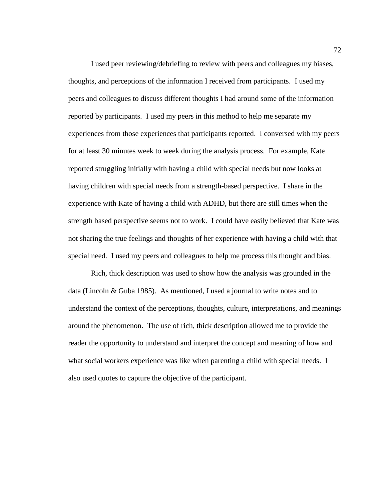I used peer reviewing/debriefing to review with peers and colleagues my biases, thoughts, and perceptions of the information I received from participants. I used my peers and colleagues to discuss different thoughts I had around some of the information reported by participants. I used my peers in this method to help me separate my experiences from those experiences that participants reported. I conversed with my peers for at least 30 minutes week to week during the analysis process. For example, Kate reported struggling initially with having a child with special needs but now looks at having children with special needs from a strength-based perspective. I share in the experience with Kate of having a child with ADHD, but there are still times when the strength based perspective seems not to work. I could have easily believed that Kate was not sharing the true feelings and thoughts of her experience with having a child with that special need. I used my peers and colleagues to help me process this thought and bias.

Rich, thick description was used to show how the analysis was grounded in the data (Lincoln & Guba 1985). As mentioned, I used a journal to write notes and to understand the context of the perceptions, thoughts, culture, interpretations, and meanings around the phenomenon. The use of rich, thick description allowed me to provide the reader the opportunity to understand and interpret the concept and meaning of how and what social workers experience was like when parenting a child with special needs. I also used quotes to capture the objective of the participant.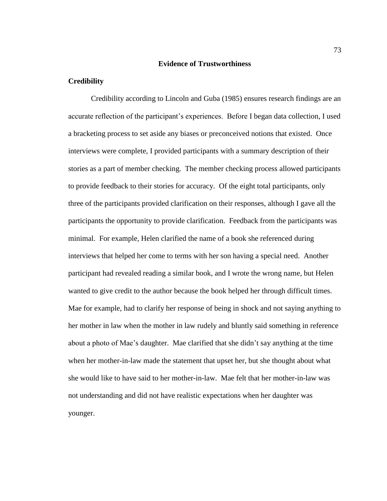#### **Evidence of Trustworthiness**

## **Credibility**

Credibility according to Lincoln and Guba (1985) ensures research findings are an accurate reflection of the participant's experiences. Before I began data collection, I used a bracketing process to set aside any biases or preconceived notions that existed. Once interviews were complete, I provided participants with a summary description of their stories as a part of member checking. The member checking process allowed participants to provide feedback to their stories for accuracy. Of the eight total participants, only three of the participants provided clarification on their responses, although I gave all the participants the opportunity to provide clarification. Feedback from the participants was minimal. For example, Helen clarified the name of a book she referenced during interviews that helped her come to terms with her son having a special need. Another participant had revealed reading a similar book, and I wrote the wrong name, but Helen wanted to give credit to the author because the book helped her through difficult times. Mae for example, had to clarify her response of being in shock and not saying anything to her mother in law when the mother in law rudely and bluntly said something in reference about a photo of Mae's daughter. Mae clarified that she didn't say anything at the time when her mother-in-law made the statement that upset her, but she thought about what she would like to have said to her mother-in-law. Mae felt that her mother-in-law was not understanding and did not have realistic expectations when her daughter was younger.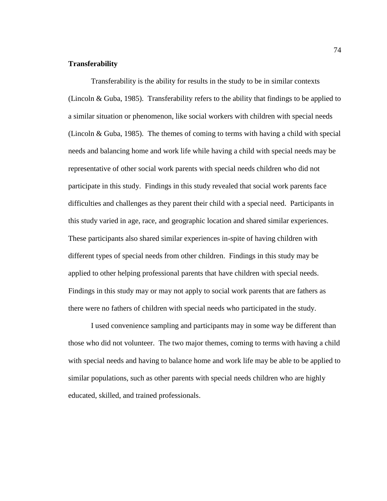## **Transferability**

Transferability is the ability for results in the study to be in similar contexts (Lincoln & Guba, 1985). Transferability refers to the ability that findings to be applied to a similar situation or phenomenon, like social workers with children with special needs (Lincoln & Guba, 1985). The themes of coming to terms with having a child with special needs and balancing home and work life while having a child with special needs may be representative of other social work parents with special needs children who did not participate in this study. Findings in this study revealed that social work parents face difficulties and challenges as they parent their child with a special need. Participants in this study varied in age, race, and geographic location and shared similar experiences. These participants also shared similar experiences in-spite of having children with different types of special needs from other children. Findings in this study may be applied to other helping professional parents that have children with special needs. Findings in this study may or may not apply to social work parents that are fathers as there were no fathers of children with special needs who participated in the study.

I used convenience sampling and participants may in some way be different than those who did not volunteer. The two major themes, coming to terms with having a child with special needs and having to balance home and work life may be able to be applied to similar populations, such as other parents with special needs children who are highly educated, skilled, and trained professionals.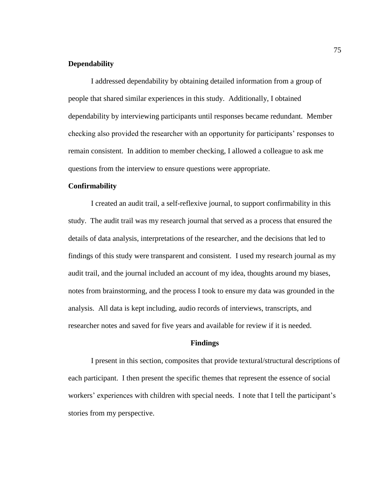## **Dependability**

I addressed dependability by obtaining detailed information from a group of people that shared similar experiences in this study. Additionally, I obtained dependability by interviewing participants until responses became redundant. Member checking also provided the researcher with an opportunity for participants' responses to remain consistent. In addition to member checking, I allowed a colleague to ask me questions from the interview to ensure questions were appropriate.

## **Confirmability**

I created an audit trail, a self-reflexive journal, to support confirmability in this study. The audit trail was my research journal that served as a process that ensured the details of data analysis, interpretations of the researcher, and the decisions that led to findings of this study were transparent and consistent. I used my research journal as my audit trail, and the journal included an account of my idea, thoughts around my biases, notes from brainstorming, and the process I took to ensure my data was grounded in the analysis. All data is kept including, audio records of interviews, transcripts, and researcher notes and saved for five years and available for review if it is needed.

#### **Findings**

I present in this section, composites that provide textural/structural descriptions of each participant. I then present the specific themes that represent the essence of social workers' experiences with children with special needs. I note that I tell the participant's stories from my perspective.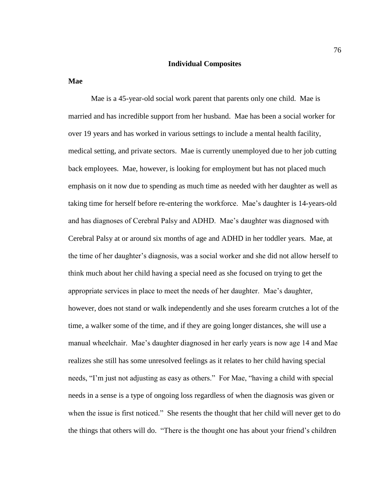#### **Individual Composites**

**Mae**

Mae is a 45-year-old social work parent that parents only one child. Mae is married and has incredible support from her husband. Mae has been a social worker for over 19 years and has worked in various settings to include a mental health facility, medical setting, and private sectors. Mae is currently unemployed due to her job cutting back employees. Mae, however, is looking for employment but has not placed much emphasis on it now due to spending as much time as needed with her daughter as well as taking time for herself before re-entering the workforce. Mae's daughter is 14-years-old and has diagnoses of Cerebral Palsy and ADHD. Mae's daughter was diagnosed with Cerebral Palsy at or around six months of age and ADHD in her toddler years. Mae, at the time of her daughter's diagnosis, was a social worker and she did not allow herself to think much about her child having a special need as she focused on trying to get the appropriate services in place to meet the needs of her daughter. Mae's daughter, however, does not stand or walk independently and she uses forearm crutches a lot of the time, a walker some of the time, and if they are going longer distances, she will use a manual wheelchair. Mae's daughter diagnosed in her early years is now age 14 and Mae realizes she still has some unresolved feelings as it relates to her child having special needs, "I'm just not adjusting as easy as others." For Mae, "having a child with special needs in a sense is a type of ongoing loss regardless of when the diagnosis was given or when the issue is first noticed." She resents the thought that her child will never get to do the things that others will do. "There is the thought one has about your friend's children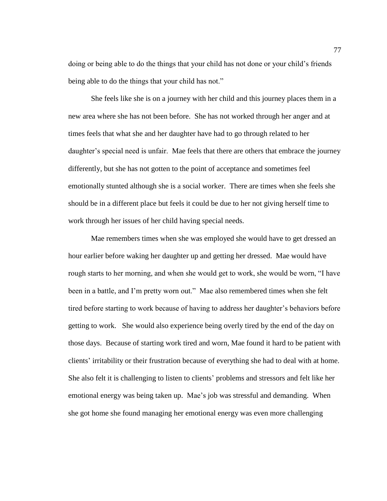doing or being able to do the things that your child has not done or your child's friends being able to do the things that your child has not."

She feels like she is on a journey with her child and this journey places them in a new area where she has not been before. She has not worked through her anger and at times feels that what she and her daughter have had to go through related to her daughter's special need is unfair. Mae feels that there are others that embrace the journey differently, but she has not gotten to the point of acceptance and sometimes feel emotionally stunted although she is a social worker. There are times when she feels she should be in a different place but feels it could be due to her not giving herself time to work through her issues of her child having special needs.

Mae remembers times when she was employed she would have to get dressed an hour earlier before waking her daughter up and getting her dressed. Mae would have rough starts to her morning, and when she would get to work, she would be worn, "I have been in a battle, and I'm pretty worn out." Mae also remembered times when she felt tired before starting to work because of having to address her daughter's behaviors before getting to work. She would also experience being overly tired by the end of the day on those days. Because of starting work tired and worn, Mae found it hard to be patient with clients' irritability or their frustration because of everything she had to deal with at home. She also felt it is challenging to listen to clients' problems and stressors and felt like her emotional energy was being taken up. Mae's job was stressful and demanding. When she got home she found managing her emotional energy was even more challenging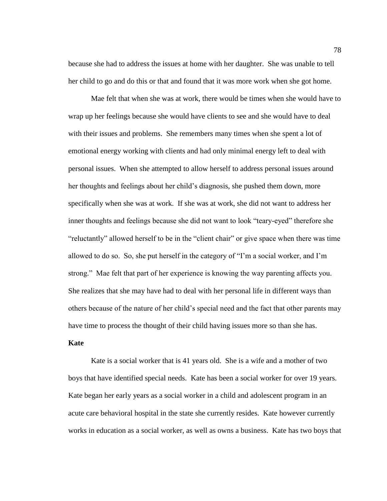because she had to address the issues at home with her daughter. She was unable to tell her child to go and do this or that and found that it was more work when she got home.

Mae felt that when she was at work, there would be times when she would have to wrap up her feelings because she would have clients to see and she would have to deal with their issues and problems. She remembers many times when she spent a lot of emotional energy working with clients and had only minimal energy left to deal with personal issues. When she attempted to allow herself to address personal issues around her thoughts and feelings about her child's diagnosis, she pushed them down, more specifically when she was at work. If she was at work, she did not want to address her inner thoughts and feelings because she did not want to look "teary-eyed" therefore she "reluctantly" allowed herself to be in the "client chair" or give space when there was time allowed to do so. So, she put herself in the category of "I'm a social worker, and I'm strong." Mae felt that part of her experience is knowing the way parenting affects you. She realizes that she may have had to deal with her personal life in different ways than others because of the nature of her child's special need and the fact that other parents may have time to process the thought of their child having issues more so than she has.

## **Kate**

Kate is a social worker that is 41 years old. She is a wife and a mother of two boys that have identified special needs. Kate has been a social worker for over 19 years. Kate began her early years as a social worker in a child and adolescent program in an acute care behavioral hospital in the state she currently resides. Kate however currently works in education as a social worker, as well as owns a business. Kate has two boys that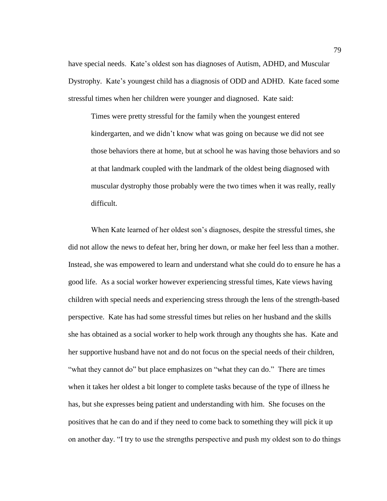have special needs. Kate's oldest son has diagnoses of Autism, ADHD, and Muscular Dystrophy. Kate's youngest child has a diagnosis of ODD and ADHD. Kate faced some stressful times when her children were younger and diagnosed. Kate said:

Times were pretty stressful for the family when the youngest entered kindergarten, and we didn't know what was going on because we did not see those behaviors there at home, but at school he was having those behaviors and so at that landmark coupled with the landmark of the oldest being diagnosed with muscular dystrophy those probably were the two times when it was really, really difficult.

When Kate learned of her oldest son's diagnoses, despite the stressful times, she did not allow the news to defeat her, bring her down, or make her feel less than a mother. Instead, she was empowered to learn and understand what she could do to ensure he has a good life. As a social worker however experiencing stressful times, Kate views having children with special needs and experiencing stress through the lens of the strength-based perspective. Kate has had some stressful times but relies on her husband and the skills she has obtained as a social worker to help work through any thoughts she has. Kate and her supportive husband have not and do not focus on the special needs of their children, "what they cannot do" but place emphasizes on "what they can do." There are times when it takes her oldest a bit longer to complete tasks because of the type of illness he has, but she expresses being patient and understanding with him. She focuses on the positives that he can do and if they need to come back to something they will pick it up on another day. "I try to use the strengths perspective and push my oldest son to do things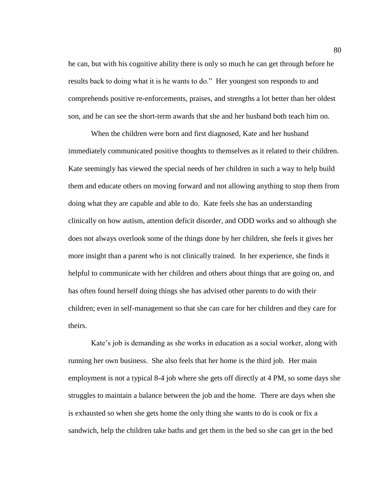he can, but with his cognitive ability there is only so much he can get through before he results back to doing what it is he wants to do." Her youngest son responds to and comprehends positive re-enforcements, praises, and strengths a lot better than her oldest son, and he can see the short-term awards that she and her husband both teach him on.

When the children were born and first diagnosed, Kate and her husband immediately communicated positive thoughts to themselves as it related to their children. Kate seemingly has viewed the special needs of her children in such a way to help build them and educate others on moving forward and not allowing anything to stop them from doing what they are capable and able to do. Kate feels she has an understanding clinically on how autism, attention deficit disorder, and ODD works and so although she does not always overlook some of the things done by her children, she feels it gives her more insight than a parent who is not clinically trained. In her experience, she finds it helpful to communicate with her children and others about things that are going on, and has often found herself doing things she has advised other parents to do with their children; even in self-management so that she can care for her children and they care for theirs.

Kate's job is demanding as she works in education as a social worker, along with running her own business. She also feels that her home is the third job. Her main employment is not a typical 8-4 job where she gets off directly at 4 PM, so some days she struggles to maintain a balance between the job and the home. There are days when she is exhausted so when she gets home the only thing she wants to do is cook or fix a sandwich, help the children take baths and get them in the bed so she can get in the bed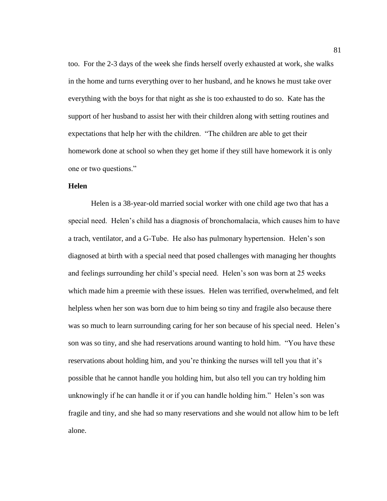too. For the 2-3 days of the week she finds herself overly exhausted at work, she walks in the home and turns everything over to her husband, and he knows he must take over everything with the boys for that night as she is too exhausted to do so. Kate has the support of her husband to assist her with their children along with setting routines and expectations that help her with the children. "The children are able to get their homework done at school so when they get home if they still have homework it is only one or two questions."

## **Helen**

Helen is a 38-year-old married social worker with one child age two that has a special need. Helen's child has a diagnosis of bronchomalacia, which causes him to have a trach, ventilator, and a G-Tube. He also has pulmonary hypertension. Helen's son diagnosed at birth with a special need that posed challenges with managing her thoughts and feelings surrounding her child's special need. Helen's son was born at 25 weeks which made him a preemie with these issues. Helen was terrified, overwhelmed, and felt helpless when her son was born due to him being so tiny and fragile also because there was so much to learn surrounding caring for her son because of his special need. Helen's son was so tiny, and she had reservations around wanting to hold him. "You have these reservations about holding him, and you're thinking the nurses will tell you that it's possible that he cannot handle you holding him, but also tell you can try holding him unknowingly if he can handle it or if you can handle holding him." Helen's son was fragile and tiny, and she had so many reservations and she would not allow him to be left alone.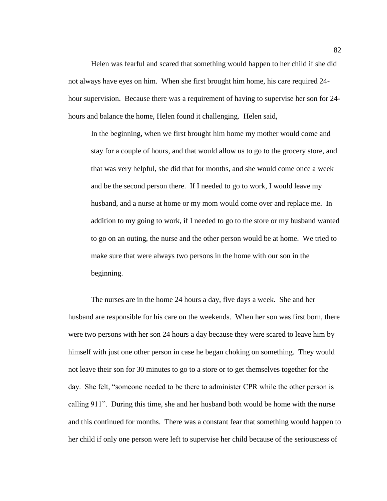Helen was fearful and scared that something would happen to her child if she did not always have eyes on him. When she first brought him home, his care required 24 hour supervision. Because there was a requirement of having to supervise her son for 24 hours and balance the home, Helen found it challenging. Helen said,

In the beginning, when we first brought him home my mother would come and stay for a couple of hours, and that would allow us to go to the grocery store, and that was very helpful, she did that for months, and she would come once a week and be the second person there. If I needed to go to work, I would leave my husband, and a nurse at home or my mom would come over and replace me. In addition to my going to work, if I needed to go to the store or my husband wanted to go on an outing, the nurse and the other person would be at home. We tried to make sure that were always two persons in the home with our son in the beginning.

The nurses are in the home 24 hours a day, five days a week. She and her husband are responsible for his care on the weekends. When her son was first born, there were two persons with her son 24 hours a day because they were scared to leave him by himself with just one other person in case he began choking on something. They would not leave their son for 30 minutes to go to a store or to get themselves together for the day. She felt, "someone needed to be there to administer CPR while the other person is calling 911". During this time, she and her husband both would be home with the nurse and this continued for months. There was a constant fear that something would happen to her child if only one person were left to supervise her child because of the seriousness of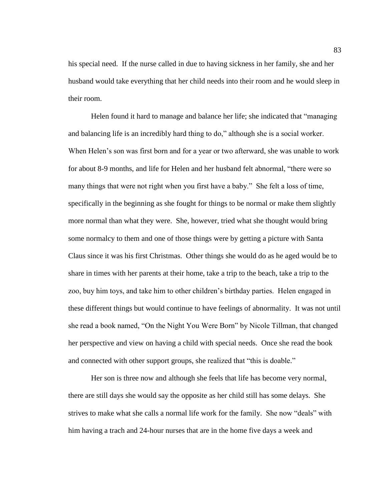his special need. If the nurse called in due to having sickness in her family, she and her husband would take everything that her child needs into their room and he would sleep in their room.

Helen found it hard to manage and balance her life; she indicated that "managing and balancing life is an incredibly hard thing to do," although she is a social worker. When Helen's son was first born and for a year or two afterward, she was unable to work for about 8-9 months, and life for Helen and her husband felt abnormal, "there were so many things that were not right when you first have a baby." She felt a loss of time, specifically in the beginning as she fought for things to be normal or make them slightly more normal than what they were. She, however, tried what she thought would bring some normalcy to them and one of those things were by getting a picture with Santa Claus since it was his first Christmas. Other things she would do as he aged would be to share in times with her parents at their home, take a trip to the beach, take a trip to the zoo, buy him toys, and take him to other children's birthday parties. Helen engaged in these different things but would continue to have feelings of abnormality. It was not until she read a book named, "On the Night You Were Born" by Nicole Tillman, that changed her perspective and view on having a child with special needs. Once she read the book and connected with other support groups, she realized that "this is doable."

Her son is three now and although she feels that life has become very normal, there are still days she would say the opposite as her child still has some delays. She strives to make what she calls a normal life work for the family. She now "deals" with him having a trach and 24-hour nurses that are in the home five days a week and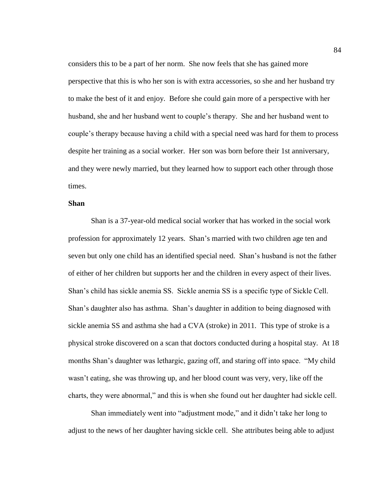considers this to be a part of her norm. She now feels that she has gained more perspective that this is who her son is with extra accessories, so she and her husband try to make the best of it and enjoy. Before she could gain more of a perspective with her husband, she and her husband went to couple's therapy. She and her husband went to couple's therapy because having a child with a special need was hard for them to process despite her training as a social worker. Her son was born before their 1st anniversary, and they were newly married, but they learned how to support each other through those times.

## **Shan**

Shan is a 37-year-old medical social worker that has worked in the social work profession for approximately 12 years. Shan's married with two children age ten and seven but only one child has an identified special need. Shan's husband is not the father of either of her children but supports her and the children in every aspect of their lives. Shan's child has sickle anemia SS. Sickle anemia SS is a specific type of Sickle Cell. Shan's daughter also has asthma. Shan's daughter in addition to being diagnosed with sickle anemia SS and asthma she had a CVA (stroke) in 2011. This type of stroke is a physical stroke discovered on a scan that doctors conducted during a hospital stay. At 18 months Shan's daughter was lethargic, gazing off, and staring off into space. "My child wasn't eating, she was throwing up, and her blood count was very, very, like off the charts, they were abnormal," and this is when she found out her daughter had sickle cell.

Shan immediately went into "adjustment mode," and it didn't take her long to adjust to the news of her daughter having sickle cell. She attributes being able to adjust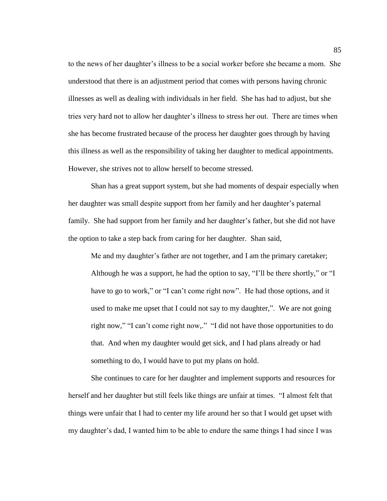to the news of her daughter's illness to be a social worker before she became a mom. She understood that there is an adjustment period that comes with persons having chronic illnesses as well as dealing with individuals in her field. She has had to adjust, but she tries very hard not to allow her daughter's illness to stress her out. There are times when she has become frustrated because of the process her daughter goes through by having this illness as well as the responsibility of taking her daughter to medical appointments. However, she strives not to allow herself to become stressed.

Shan has a great support system, but she had moments of despair especially when her daughter was small despite support from her family and her daughter's paternal family. She had support from her family and her daughter's father, but she did not have the option to take a step back from caring for her daughter. Shan said,

Me and my daughter's father are not together, and I am the primary caretaker; Although he was a support, he had the option to say, "I'll be there shortly," or "I have to go to work," or "I can't come right now". He had those options, and it used to make me upset that I could not say to my daughter,". We are not going right now," "I can't come right now,." "I did not have those opportunities to do that. And when my daughter would get sick, and I had plans already or had something to do, I would have to put my plans on hold.

She continues to care for her daughter and implement supports and resources for herself and her daughter but still feels like things are unfair at times. "I almost felt that things were unfair that I had to center my life around her so that I would get upset with my daughter's dad, I wanted him to be able to endure the same things I had since I was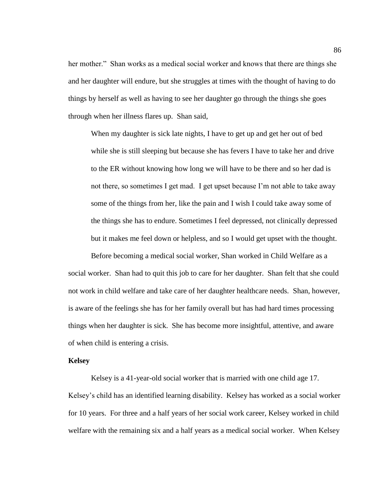her mother." Shan works as a medical social worker and knows that there are things she and her daughter will endure, but she struggles at times with the thought of having to do things by herself as well as having to see her daughter go through the things she goes through when her illness flares up. Shan said,

When my daughter is sick late nights, I have to get up and get her out of bed while she is still sleeping but because she has fevers I have to take her and drive to the ER without knowing how long we will have to be there and so her dad is not there, so sometimes I get mad. I get upset because I'm not able to take away some of the things from her, like the pain and I wish I could take away some of the things she has to endure. Sometimes I feel depressed, not clinically depressed but it makes me feel down or helpless, and so I would get upset with the thought.

Before becoming a medical social worker, Shan worked in Child Welfare as a social worker. Shan had to quit this job to care for her daughter. Shan felt that she could not work in child welfare and take care of her daughter healthcare needs. Shan, however, is aware of the feelings she has for her family overall but has had hard times processing things when her daughter is sick. She has become more insightful, attentive, and aware of when child is entering a crisis.

### **Kelsey**

Kelsey is a 41-year-old social worker that is married with one child age 17. Kelsey's child has an identified learning disability. Kelsey has worked as a social worker for 10 years. For three and a half years of her social work career, Kelsey worked in child welfare with the remaining six and a half years as a medical social worker. When Kelsey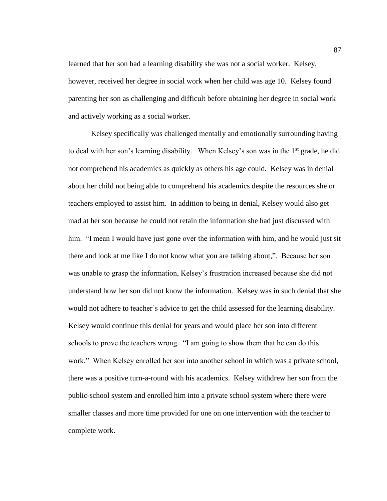learned that her son had a learning disability she was not a social worker. Kelsey, however, received her degree in social work when her child was age 10. Kelsey found parenting her son as challenging and difficult before obtaining her degree in social work and actively working as a social worker.

Kelsey specifically was challenged mentally and emotionally surrounding having to deal with her son's learning disability. When Kelsey's son was in the  $1<sup>st</sup>$  grade, he did not comprehend his academics as quickly as others his age could. Kelsey was in denial about her child not being able to comprehend his academics despite the resources she or teachers employed to assist him. In addition to being in denial, Kelsey would also get mad at her son because he could not retain the information she had just discussed with him. "I mean I would have just gone over the information with him, and he would just sit there and look at me like I do not know what you are talking about,". Because her son was unable to grasp the information, Kelsey's frustration increased because she did not understand how her son did not know the information. Kelsey was in such denial that she would not adhere to teacher's advice to get the child assessed for the learning disability. Kelsey would continue this denial for years and would place her son into different schools to prove the teachers wrong. "I am going to show them that he can do this work." When Kelsey enrolled her son into another school in which was a private school, there was a positive turn-a-round with his academics. Kelsey withdrew her son from the public-school system and enrolled him into a private school system where there were smaller classes and more time provided for one on one intervention with the teacher to complete work.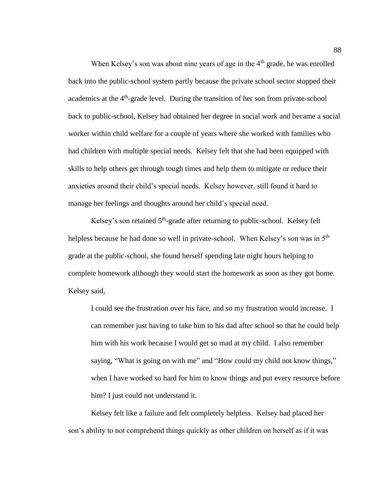When Kelsey's son was about nine years of age in the  $4<sup>th</sup>$  grade, he was enrolled back into the public-school system partly because the private school sector stopped their academics at the  $4<sup>th</sup>$ -grade level. During the transition of her son from private-school back to public-school, Kelsey had obtained her degree in social work and became a social worker within child welfare for a couple of years where she worked with families who had children with multiple special needs. Kelsey felt that she had been equipped with skills to help others get through tough times and help them to mitigate or reduce their anxieties around their child's special needs. Kelsey however, still found it hard to manage her feelings and thoughts around her child's special need.

Kelsey's son retained 5<sup>th</sup>-grade after returning to public-school. Kelsey felt helpless because he had done so well in private-school. When Kelsey's son was in  $5<sup>th</sup>$ grade at the public-school, she found herself spending late night hours helping to complete homework although they would start the homework as soon as they got home. Kelsey said,

I could see the frustration over his face, and so my frustration would increase. I can remember just having to take him to his dad after school so that he could help him with his work because I would get so mad at my child. I also remember saying, "What is going on with me" and "How could my child not know things," when I have worked so hard for him to know things and put every resource before him? I just could not understand it.

Kelsey felt like a failure and felt completely helpless. Kelsey had placed her son's ability to not comprehend things quickly as other children on herself as if it was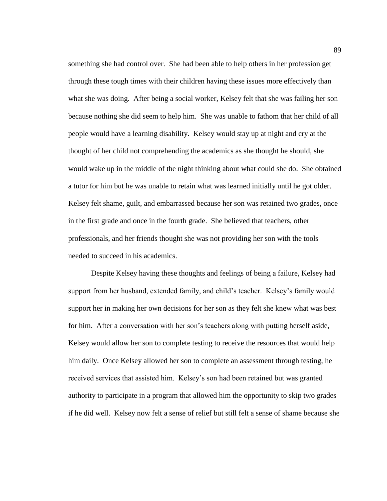something she had control over. She had been able to help others in her profession get through these tough times with their children having these issues more effectively than what she was doing. After being a social worker, Kelsey felt that she was failing her son because nothing she did seem to help him. She was unable to fathom that her child of all people would have a learning disability. Kelsey would stay up at night and cry at the thought of her child not comprehending the academics as she thought he should, she would wake up in the middle of the night thinking about what could she do. She obtained a tutor for him but he was unable to retain what was learned initially until he got older. Kelsey felt shame, guilt, and embarrassed because her son was retained two grades, once in the first grade and once in the fourth grade. She believed that teachers, other professionals, and her friends thought she was not providing her son with the tools needed to succeed in his academics.

Despite Kelsey having these thoughts and feelings of being a failure, Kelsey had support from her husband, extended family, and child's teacher. Kelsey's family would support her in making her own decisions for her son as they felt she knew what was best for him. After a conversation with her son's teachers along with putting herself aside, Kelsey would allow her son to complete testing to receive the resources that would help him daily. Once Kelsey allowed her son to complete an assessment through testing, he received services that assisted him. Kelsey's son had been retained but was granted authority to participate in a program that allowed him the opportunity to skip two grades if he did well. Kelsey now felt a sense of relief but still felt a sense of shame because she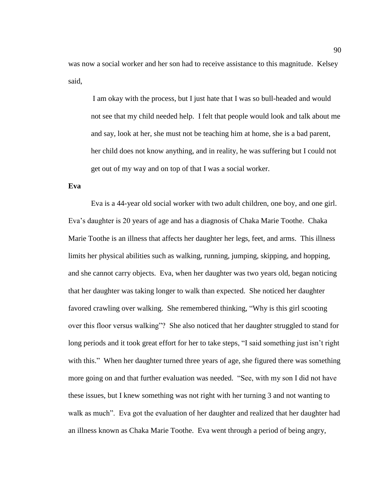was now a social worker and her son had to receive assistance to this magnitude. Kelsey said,

I am okay with the process, but I just hate that I was so bull-headed and would not see that my child needed help. I felt that people would look and talk about me and say, look at her, she must not be teaching him at home, she is a bad parent, her child does not know anything, and in reality, he was suffering but I could not get out of my way and on top of that I was a social worker.

**Eva**

Eva is a 44-year old social worker with two adult children, one boy, and one girl. Eva's daughter is 20 years of age and has a diagnosis of Chaka Marie Toothe. Chaka Marie Toothe is an illness that affects her daughter her legs, feet, and arms. This illness limits her physical abilities such as walking, running, jumping, skipping, and hopping, and she cannot carry objects. Eva, when her daughter was two years old, began noticing that her daughter was taking longer to walk than expected. She noticed her daughter favored crawling over walking. She remembered thinking, "Why is this girl scooting over this floor versus walking"? She also noticed that her daughter struggled to stand for long periods and it took great effort for her to take steps, "I said something just isn't right with this." When her daughter turned three years of age, she figured there was something more going on and that further evaluation was needed. "See, with my son I did not have these issues, but I knew something was not right with her turning 3 and not wanting to walk as much". Eva got the evaluation of her daughter and realized that her daughter had an illness known as Chaka Marie Toothe. Eva went through a period of being angry,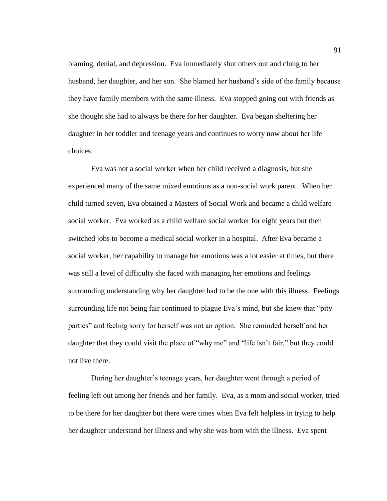blaming, denial, and depression. Eva immediately shut others out and clung to her husband, her daughter, and her son. She blamed her husband's side of the family because they have family members with the same illness. Eva stopped going out with friends as she thought she had to always be there for her daughter. Eva began sheltering her daughter in her toddler and teenage years and continues to worry now about her life choices.

Eva was not a social worker when her child received a diagnosis, but she experienced many of the same mixed emotions as a non-social work parent. When her child turned seven, Eva obtained a Masters of Social Work and became a child welfare social worker. Eva worked as a child welfare social worker for eight years but then switched jobs to become a medical social worker in a hospital. After Eva became a social worker, her capability to manage her emotions was a lot easier at times, but there was still a level of difficulty she faced with managing her emotions and feelings surrounding understanding why her daughter had to be the one with this illness. Feelings surrounding life not being fair continued to plague Eva's mind, but she knew that "pity parties" and feeling sorry for herself was not an option. She reminded herself and her daughter that they could visit the place of "why me" and "life isn't fair," but they could not live there.

During her daughter's teenage years, her daughter went through a period of feeling left out among her friends and her family. Eva, as a mom and social worker, tried to be there for her daughter but there were times when Eva felt helpless in trying to help her daughter understand her illness and why she was born with the illness. Eva spent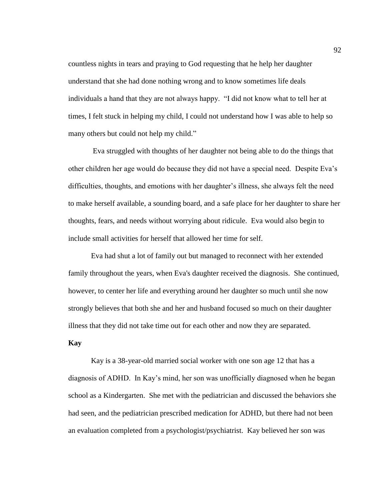countless nights in tears and praying to God requesting that he help her daughter understand that she had done nothing wrong and to know sometimes life deals individuals a hand that they are not always happy. "I did not know what to tell her at times, I felt stuck in helping my child, I could not understand how I was able to help so many others but could not help my child."

Eva struggled with thoughts of her daughter not being able to do the things that other children her age would do because they did not have a special need. Despite Eva's difficulties, thoughts, and emotions with her daughter's illness, she always felt the need to make herself available, a sounding board, and a safe place for her daughter to share her thoughts, fears, and needs without worrying about ridicule. Eva would also begin to include small activities for herself that allowed her time for self.

Eva had shut a lot of family out but managed to reconnect with her extended family throughout the years, when Eva's daughter received the diagnosis. She continued, however, to center her life and everything around her daughter so much until she now strongly believes that both she and her and husband focused so much on their daughter illness that they did not take time out for each other and now they are separated.

## **Kay**

Kay is a 38-year-old married social worker with one son age 12 that has a diagnosis of ADHD. In Kay's mind, her son was unofficially diagnosed when he began school as a Kindergarten. She met with the pediatrician and discussed the behaviors she had seen, and the pediatrician prescribed medication for ADHD, but there had not been an evaluation completed from a psychologist/psychiatrist. Kay believed her son was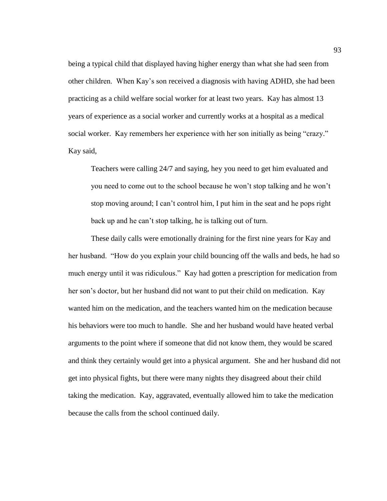being a typical child that displayed having higher energy than what she had seen from other children. When Kay's son received a diagnosis with having ADHD, she had been practicing as a child welfare social worker for at least two years. Kay has almost 13 years of experience as a social worker and currently works at a hospital as a medical social worker. Kay remembers her experience with her son initially as being "crazy." Kay said,

Teachers were calling 24/7 and saying, hey you need to get him evaluated and you need to come out to the school because he won't stop talking and he won't stop moving around; I can't control him, I put him in the seat and he pops right back up and he can't stop talking, he is talking out of turn.

These daily calls were emotionally draining for the first nine years for Kay and her husband. "How do you explain your child bouncing off the walls and beds, he had so much energy until it was ridiculous." Kay had gotten a prescription for medication from her son's doctor, but her husband did not want to put their child on medication. Kay wanted him on the medication, and the teachers wanted him on the medication because his behaviors were too much to handle. She and her husband would have heated verbal arguments to the point where if someone that did not know them, they would be scared and think they certainly would get into a physical argument. She and her husband did not get into physical fights, but there were many nights they disagreed about their child taking the medication. Kay, aggravated, eventually allowed him to take the medication because the calls from the school continued daily.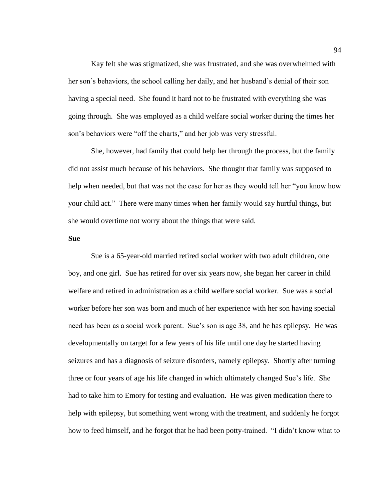Kay felt she was stigmatized, she was frustrated, and she was overwhelmed with her son's behaviors, the school calling her daily, and her husband's denial of their son having a special need. She found it hard not to be frustrated with everything she was going through. She was employed as a child welfare social worker during the times her son's behaviors were "off the charts," and her job was very stressful.

She, however, had family that could help her through the process, but the family did not assist much because of his behaviors. She thought that family was supposed to help when needed, but that was not the case for her as they would tell her "you know how your child act." There were many times when her family would say hurtful things, but she would overtime not worry about the things that were said.

## **Sue**

Sue is a 65-year-old married retired social worker with two adult children, one boy, and one girl. Sue has retired for over six years now, she began her career in child welfare and retired in administration as a child welfare social worker. Sue was a social worker before her son was born and much of her experience with her son having special need has been as a social work parent. Sue's son is age 38, and he has epilepsy. He was developmentally on target for a few years of his life until one day he started having seizures and has a diagnosis of seizure disorders, namely epilepsy. Shortly after turning three or four years of age his life changed in which ultimately changed Sue's life. She had to take him to Emory for testing and evaluation. He was given medication there to help with epilepsy, but something went wrong with the treatment, and suddenly he forgot how to feed himself, and he forgot that he had been potty-trained. "I didn't know what to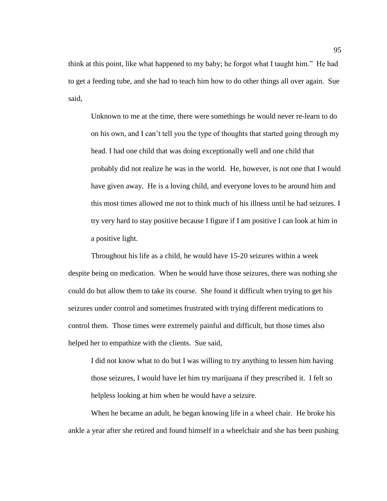think at this point, like what happened to my baby; he forgot what I taught him." He had to get a feeding tube, and she had to teach him how to do other things all over again. Sue said,

Unknown to me at the time, there were somethings he would never re-learn to do on his own, and I can't tell you the type of thoughts that started going through my head. I had one child that was doing exceptionally well and one child that probably did not realize he was in the world. He, however, is not one that I would have given away. He is a loving child, and everyone loves to be around him and this most times allowed me not to think much of his illness until he had seizures. I try very hard to stay positive because I figure if I am positive I can look at him in a positive light.

Throughout his life as a child, he would have 15-20 seizures within a week despite being on medication. When he would have those seizures, there was nothing she could do but allow them to take its course. She found it difficult when trying to get his seizures under control and sometimes frustrated with trying different medications to control them. Those times were extremely painful and difficult, but those times also helped her to empathize with the clients. Sue said,

I did not know what to do but I was willing to try anything to lessen him having those seizures, I would have let him try marijuana if they prescribed it. I felt so helpless looking at him when he would have a seizure.

When he became an adult, he began knowing life in a wheel chair. He broke his ankle a year after she retired and found himself in a wheelchair and she has been pushing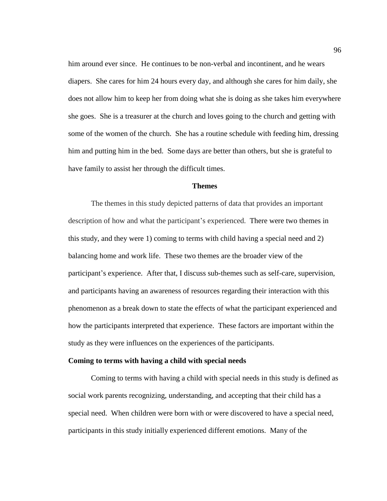him around ever since. He continues to be non-verbal and incontinent, and he wears diapers. She cares for him 24 hours every day, and although she cares for him daily, she does not allow him to keep her from doing what she is doing as she takes him everywhere she goes. She is a treasurer at the church and loves going to the church and getting with some of the women of the church. She has a routine schedule with feeding him, dressing him and putting him in the bed. Some days are better than others, but she is grateful to have family to assist her through the difficult times.

### **Themes**

The themes in this study depicted patterns of data that provides an important description of how and what the participant's experienced. There were two themes in this study, and they were 1) coming to terms with child having a special need and 2) balancing home and work life. These two themes are the broader view of the participant's experience. After that, I discuss sub-themes such as self-care, supervision, and participants having an awareness of resources regarding their interaction with this phenomenon as a break down to state the effects of what the participant experienced and how the participants interpreted that experience. These factors are important within the study as they were influences on the experiences of the participants.

#### **Coming to terms with having a child with special needs**

Coming to terms with having a child with special needs in this study is defined as social work parents recognizing, understanding, and accepting that their child has a special need. When children were born with or were discovered to have a special need, participants in this study initially experienced different emotions. Many of the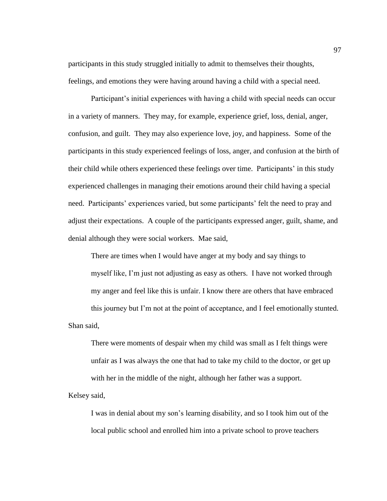participants in this study struggled initially to admit to themselves their thoughts, feelings, and emotions they were having around having a child with a special need.

Participant's initial experiences with having a child with special needs can occur in a variety of manners. They may, for example, experience grief, loss, denial, anger, confusion, and guilt. They may also experience love, joy, and happiness. Some of the participants in this study experienced feelings of loss, anger, and confusion at the birth of their child while others experienced these feelings over time. Participants' in this study experienced challenges in managing their emotions around their child having a special need. Participants' experiences varied, but some participants' felt the need to pray and adjust their expectations. A couple of the participants expressed anger, guilt, shame, and denial although they were social workers. Mae said,

There are times when I would have anger at my body and say things to myself like, I'm just not adjusting as easy as others. I have not worked through my anger and feel like this is unfair. I know there are others that have embraced this journey but I'm not at the point of acceptance, and I feel emotionally stunted. Shan said,

There were moments of despair when my child was small as I felt things were unfair as I was always the one that had to take my child to the doctor, or get up with her in the middle of the night, although her father was a support.

# Kelsey said,

I was in denial about my son's learning disability, and so I took him out of the local public school and enrolled him into a private school to prove teachers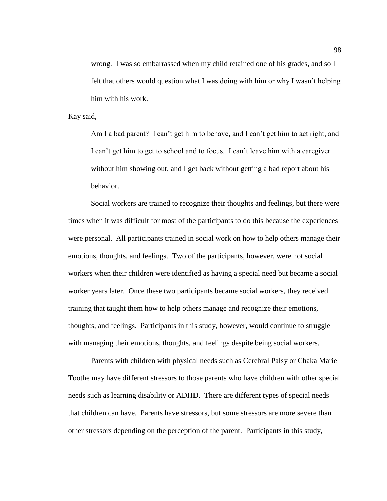wrong. I was so embarrassed when my child retained one of his grades, and so I felt that others would question what I was doing with him or why I wasn't helping him with his work.

Kay said,

Am I a bad parent? I can't get him to behave, and I can't get him to act right, and I can't get him to get to school and to focus. I can't leave him with a caregiver without him showing out, and I get back without getting a bad report about his behavior.

Social workers are trained to recognize their thoughts and feelings, but there were times when it was difficult for most of the participants to do this because the experiences were personal. All participants trained in social work on how to help others manage their emotions, thoughts, and feelings. Two of the participants, however, were not social workers when their children were identified as having a special need but became a social worker years later. Once these two participants became social workers, they received training that taught them how to help others manage and recognize their emotions, thoughts, and feelings. Participants in this study, however, would continue to struggle with managing their emotions, thoughts, and feelings despite being social workers.

Parents with children with physical needs such as Cerebral Palsy or Chaka Marie Toothe may have different stressors to those parents who have children with other special needs such as learning disability or ADHD. There are different types of special needs that children can have. Parents have stressors, but some stressors are more severe than other stressors depending on the perception of the parent. Participants in this study,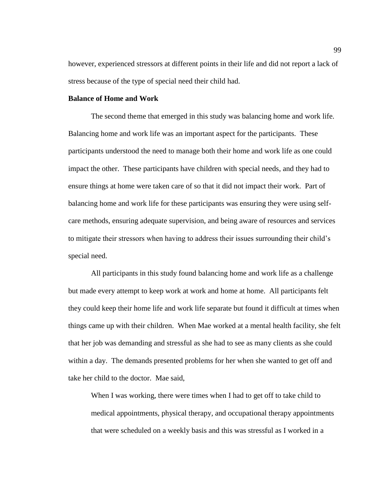however, experienced stressors at different points in their life and did not report a lack of stress because of the type of special need their child had.

# **Balance of Home and Work**

The second theme that emerged in this study was balancing home and work life. Balancing home and work life was an important aspect for the participants. These participants understood the need to manage both their home and work life as one could impact the other. These participants have children with special needs, and they had to ensure things at home were taken care of so that it did not impact their work. Part of balancing home and work life for these participants was ensuring they were using selfcare methods, ensuring adequate supervision, and being aware of resources and services to mitigate their stressors when having to address their issues surrounding their child's special need.

All participants in this study found balancing home and work life as a challenge but made every attempt to keep work at work and home at home. All participants felt they could keep their home life and work life separate but found it difficult at times when things came up with their children. When Mae worked at a mental health facility, she felt that her job was demanding and stressful as she had to see as many clients as she could within a day. The demands presented problems for her when she wanted to get off and take her child to the doctor. Mae said,

When I was working, there were times when I had to get off to take child to medical appointments, physical therapy, and occupational therapy appointments that were scheduled on a weekly basis and this was stressful as I worked in a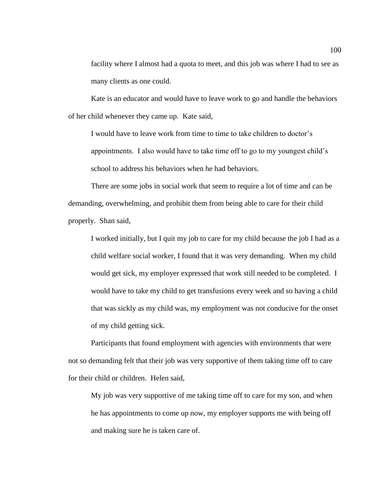facility where I almost had a quota to meet, and this job was where I had to see as many clients as one could.

Kate is an educator and would have to leave work to go and handle the behaviors of her child whenever they came up. Kate said,

I would have to leave work from time to time to take children to doctor's appointments. I also would have to take time off to go to my youngest child's school to address his behaviors when he had behaviors.

There are some jobs in social work that seem to require a lot of time and can be demanding, overwhelming, and prohibit them from being able to care for their child properly. Shan said,

I worked initially, but I quit my job to care for my child because the job I had as a child welfare social worker, I found that it was very demanding. When my child would get sick, my employer expressed that work still needed to be completed. I would have to take my child to get transfusions every week and so having a child that was sickly as my child was, my employment was not conducive for the onset of my child getting sick.

Participants that found employment with agencies with environments that were not so demanding felt that their job was very supportive of them taking time off to care for their child or children. Helen said,

My job was very supportive of me taking time off to care for my son, and when he has appointments to come up now, my employer supports me with being off and making sure he is taken care of.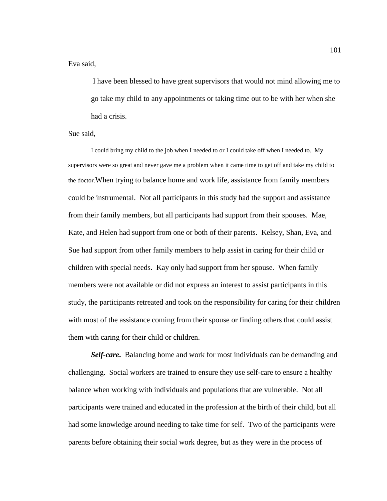Eva said,

I have been blessed to have great supervisors that would not mind allowing me to go take my child to any appointments or taking time out to be with her when she had a crisis.

Sue said,

I could bring my child to the job when I needed to or I could take off when I needed to. My supervisors were so great and never gave me a problem when it came time to get off and take my child to the doctor.When trying to balance home and work life, assistance from family members could be instrumental. Not all participants in this study had the support and assistance from their family members, but all participants had support from their spouses. Mae, Kate, and Helen had support from one or both of their parents. Kelsey, Shan, Eva, and Sue had support from other family members to help assist in caring for their child or children with special needs. Kay only had support from her spouse. When family members were not available or did not express an interest to assist participants in this study, the participants retreated and took on the responsibility for caring for their children with most of the assistance coming from their spouse or finding others that could assist them with caring for their child or children.

*Self-care***.** Balancing home and work for most individuals can be demanding and challenging. Social workers are trained to ensure they use self-care to ensure a healthy balance when working with individuals and populations that are vulnerable. Not all participants were trained and educated in the profession at the birth of their child, but all had some knowledge around needing to take time for self. Two of the participants were parents before obtaining their social work degree, but as they were in the process of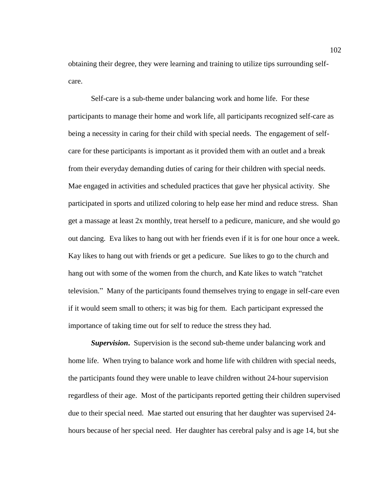obtaining their degree, they were learning and training to utilize tips surrounding selfcare.

Self-care is a sub-theme under balancing work and home life. For these participants to manage their home and work life, all participants recognized self-care as being a necessity in caring for their child with special needs. The engagement of selfcare for these participants is important as it provided them with an outlet and a break from their everyday demanding duties of caring for their children with special needs. Mae engaged in activities and scheduled practices that gave her physical activity. She participated in sports and utilized coloring to help ease her mind and reduce stress. Shan get a massage at least 2x monthly, treat herself to a pedicure, manicure, and she would go out dancing. Eva likes to hang out with her friends even if it is for one hour once a week. Kay likes to hang out with friends or get a pedicure. Sue likes to go to the church and hang out with some of the women from the church, and Kate likes to watch "ratchet television." Many of the participants found themselves trying to engage in self-care even if it would seem small to others; it was big for them. Each participant expressed the importance of taking time out for self to reduce the stress they had.

*Supervision***.** Supervision is the second sub-theme under balancing work and home life. When trying to balance work and home life with children with special needs, the participants found they were unable to leave children without 24-hour supervision regardless of their age. Most of the participants reported getting their children supervised due to their special need. Mae started out ensuring that her daughter was supervised 24 hours because of her special need. Her daughter has cerebral palsy and is age 14, but she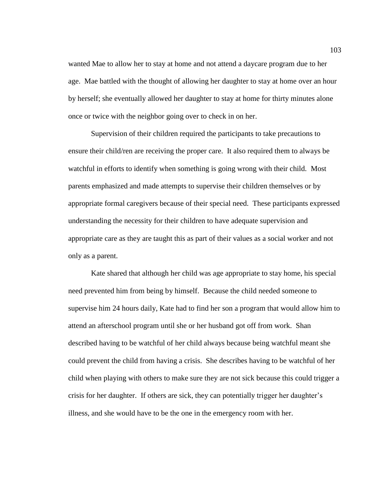wanted Mae to allow her to stay at home and not attend a daycare program due to her age. Mae battled with the thought of allowing her daughter to stay at home over an hour by herself; she eventually allowed her daughter to stay at home for thirty minutes alone once or twice with the neighbor going over to check in on her.

Supervision of their children required the participants to take precautions to ensure their child/ren are receiving the proper care. It also required them to always be watchful in efforts to identify when something is going wrong with their child. Most parents emphasized and made attempts to supervise their children themselves or by appropriate formal caregivers because of their special need. These participants expressed understanding the necessity for their children to have adequate supervision and appropriate care as they are taught this as part of their values as a social worker and not only as a parent.

Kate shared that although her child was age appropriate to stay home, his special need prevented him from being by himself. Because the child needed someone to supervise him 24 hours daily, Kate had to find her son a program that would allow him to attend an afterschool program until she or her husband got off from work. Shan described having to be watchful of her child always because being watchful meant she could prevent the child from having a crisis. She describes having to be watchful of her child when playing with others to make sure they are not sick because this could trigger a crisis for her daughter. If others are sick, they can potentially trigger her daughter's illness, and she would have to be the one in the emergency room with her.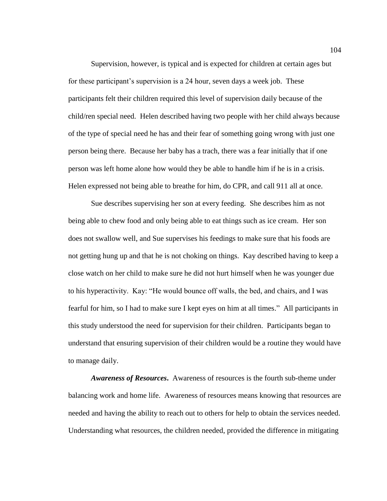Supervision, however, is typical and is expected for children at certain ages but for these participant's supervision is a 24 hour, seven days a week job. These participants felt their children required this level of supervision daily because of the child/ren special need. Helen described having two people with her child always because of the type of special need he has and their fear of something going wrong with just one person being there. Because her baby has a trach, there was a fear initially that if one person was left home alone how would they be able to handle him if he is in a crisis. Helen expressed not being able to breathe for him, do CPR, and call 911 all at once.

Sue describes supervising her son at every feeding. She describes him as not being able to chew food and only being able to eat things such as ice cream. Her son does not swallow well, and Sue supervises his feedings to make sure that his foods are not getting hung up and that he is not choking on things. Kay described having to keep a close watch on her child to make sure he did not hurt himself when he was younger due to his hyperactivity. Kay: "He would bounce off walls, the bed, and chairs, and I was fearful for him, so I had to make sure I kept eyes on him at all times." All participants in this study understood the need for supervision for their children. Participants began to understand that ensuring supervision of their children would be a routine they would have to manage daily.

*Awareness of Resources***.** Awareness of resources is the fourth sub-theme under balancing work and home life. Awareness of resources means knowing that resources are needed and having the ability to reach out to others for help to obtain the services needed. Understanding what resources, the children needed, provided the difference in mitigating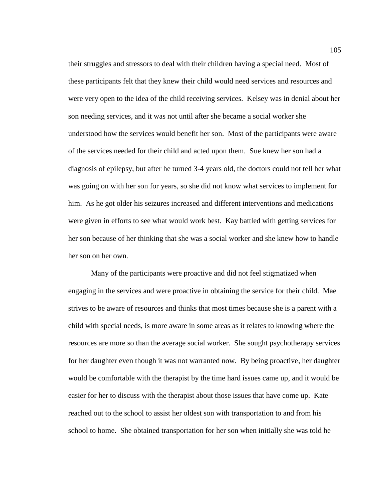their struggles and stressors to deal with their children having a special need. Most of these participants felt that they knew their child would need services and resources and were very open to the idea of the child receiving services. Kelsey was in denial about her son needing services, and it was not until after she became a social worker she understood how the services would benefit her son. Most of the participants were aware of the services needed for their child and acted upon them. Sue knew her son had a diagnosis of epilepsy, but after he turned 3-4 years old, the doctors could not tell her what was going on with her son for years, so she did not know what services to implement for him. As he got older his seizures increased and different interventions and medications were given in efforts to see what would work best. Kay battled with getting services for her son because of her thinking that she was a social worker and she knew how to handle her son on her own.

Many of the participants were proactive and did not feel stigmatized when engaging in the services and were proactive in obtaining the service for their child. Mae strives to be aware of resources and thinks that most times because she is a parent with a child with special needs, is more aware in some areas as it relates to knowing where the resources are more so than the average social worker. She sought psychotherapy services for her daughter even though it was not warranted now. By being proactive, her daughter would be comfortable with the therapist by the time hard issues came up, and it would be easier for her to discuss with the therapist about those issues that have come up. Kate reached out to the school to assist her oldest son with transportation to and from his school to home. She obtained transportation for her son when initially she was told he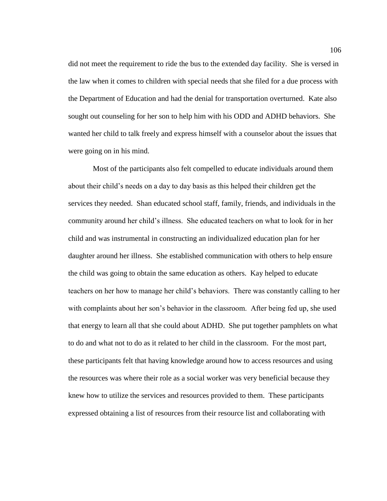did not meet the requirement to ride the bus to the extended day facility. She is versed in the law when it comes to children with special needs that she filed for a due process with the Department of Education and had the denial for transportation overturned. Kate also sought out counseling for her son to help him with his ODD and ADHD behaviors. She wanted her child to talk freely and express himself with a counselor about the issues that were going on in his mind.

Most of the participants also felt compelled to educate individuals around them about their child's needs on a day to day basis as this helped their children get the services they needed. Shan educated school staff, family, friends, and individuals in the community around her child's illness. She educated teachers on what to look for in her child and was instrumental in constructing an individualized education plan for her daughter around her illness. She established communication with others to help ensure the child was going to obtain the same education as others. Kay helped to educate teachers on her how to manage her child's behaviors. There was constantly calling to her with complaints about her son's behavior in the classroom. After being fed up, she used that energy to learn all that she could about ADHD. She put together pamphlets on what to do and what not to do as it related to her child in the classroom. For the most part, these participants felt that having knowledge around how to access resources and using the resources was where their role as a social worker was very beneficial because they knew how to utilize the services and resources provided to them. These participants expressed obtaining a list of resources from their resource list and collaborating with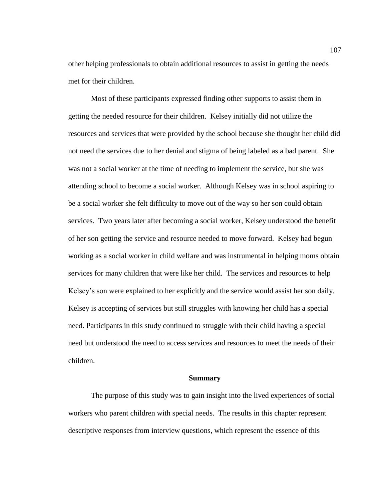other helping professionals to obtain additional resources to assist in getting the needs met for their children.

Most of these participants expressed finding other supports to assist them in getting the needed resource for their children. Kelsey initially did not utilize the resources and services that were provided by the school because she thought her child did not need the services due to her denial and stigma of being labeled as a bad parent. She was not a social worker at the time of needing to implement the service, but she was attending school to become a social worker. Although Kelsey was in school aspiring to be a social worker she felt difficulty to move out of the way so her son could obtain services. Two years later after becoming a social worker, Kelsey understood the benefit of her son getting the service and resource needed to move forward. Kelsey had begun working as a social worker in child welfare and was instrumental in helping moms obtain services for many children that were like her child. The services and resources to help Kelsey's son were explained to her explicitly and the service would assist her son daily. Kelsey is accepting of services but still struggles with knowing her child has a special need. Participants in this study continued to struggle with their child having a special need but understood the need to access services and resources to meet the needs of their children.

#### **Summary**

The purpose of this study was to gain insight into the lived experiences of social workers who parent children with special needs. The results in this chapter represent descriptive responses from interview questions, which represent the essence of this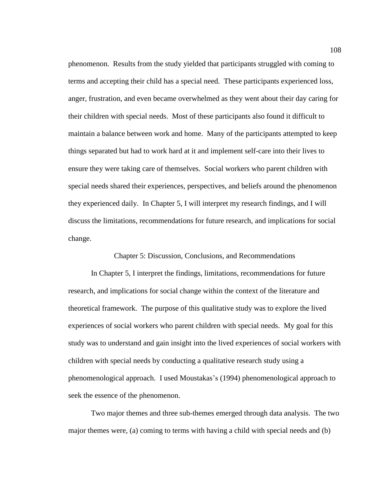phenomenon. Results from the study yielded that participants struggled with coming to terms and accepting their child has a special need. These participants experienced loss, anger, frustration, and even became overwhelmed as they went about their day caring for their children with special needs. Most of these participants also found it difficult to maintain a balance between work and home. Many of the participants attempted to keep things separated but had to work hard at it and implement self-care into their lives to ensure they were taking care of themselves. Social workers who parent children with special needs shared their experiences, perspectives, and beliefs around the phenomenon they experienced daily. In Chapter 5, I will interpret my research findings, and I will discuss the limitations, recommendations for future research, and implications for social change.

Chapter 5: Discussion, Conclusions, and Recommendations

In Chapter 5, I interpret the findings, limitations, recommendations for future research, and implications for social change within the context of the literature and theoretical framework. The purpose of this qualitative study was to explore the lived experiences of social workers who parent children with special needs. My goal for this study was to understand and gain insight into the lived experiences of social workers with children with special needs by conducting a qualitative research study using a phenomenological approach. I used Moustakas's (1994) phenomenological approach to seek the essence of the phenomenon.

Two major themes and three sub-themes emerged through data analysis. The two major themes were, (a) coming to terms with having a child with special needs and (b)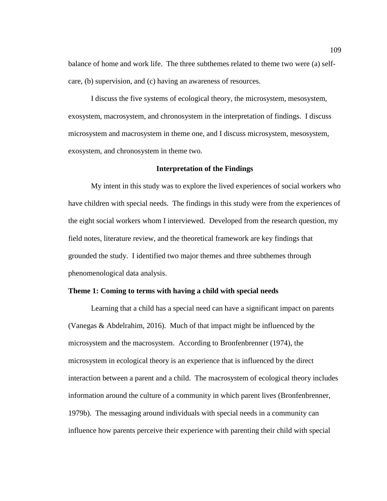balance of home and work life. The three subthemes related to theme two were (a) selfcare, (b) supervision, and (c) having an awareness of resources.

I discuss the five systems of ecological theory, the microsystem, mesosystem, exosystem, macrosystem, and chronosystem in the interpretation of findings. I discuss microsystem and macrosystem in theme one, and I discuss microsystem, mesosystem, exosystem, and chronosystem in theme two.

# **Interpretation of the Findings**

My intent in this study was to explore the lived experiences of social workers who have children with special needs. The findings in this study were from the experiences of the eight social workers whom I interviewed. Developed from the research question, my field notes, literature review, and the theoretical framework are key findings that grounded the study. I identified two major themes and three subthemes through phenomenological data analysis.

### **Theme 1: Coming to terms with having a child with special needs**

Learning that a child has a special need can have a significant impact on parents (Vanegas & Abdelrahim, 2016). Much of that impact might be influenced by the microsystem and the macrosystem. According to Bronfenbrenner (1974), the microsystem in ecological theory is an experience that is influenced by the direct interaction between a parent and a child. The macrosystem of ecological theory includes information around the culture of a community in which parent lives (Bronfenbrenner, 1979b). The messaging around individuals with special needs in a community can influence how parents perceive their experience with parenting their child with special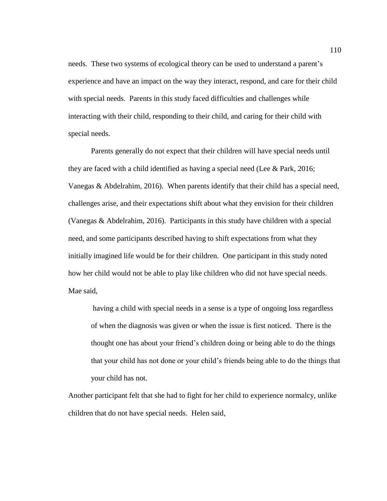needs. These two systems of ecological theory can be used to understand a parent's experience and have an impact on the way they interact, respond, and care for their child with special needs. Parents in this study faced difficulties and challenges while interacting with their child, responding to their child, and caring for their child with special needs.

Parents generally do not expect that their children will have special needs until they are faced with a child identified as having a special need (Lee & Park, 2016; Vanegas & Abdelrahim, 2016). When parents identify that their child has a special need, challenges arise, and their expectations shift about what they envision for their children (Vanegas & Abdelrahim, 2016). Participants in this study have children with a special need, and some participants described having to shift expectations from what they initially imagined life would be for their children. One participant in this study noted how her child would not be able to play like children who did not have special needs. Mae said,

having a child with special needs in a sense is a type of ongoing loss regardless of when the diagnosis was given or when the issue is first noticed. There is the thought one has about your friend's children doing or being able to do the things that your child has not done or your child's friends being able to do the things that your child has not.

Another participant felt that she had to fight for her child to experience normalcy, unlike children that do not have special needs. Helen said,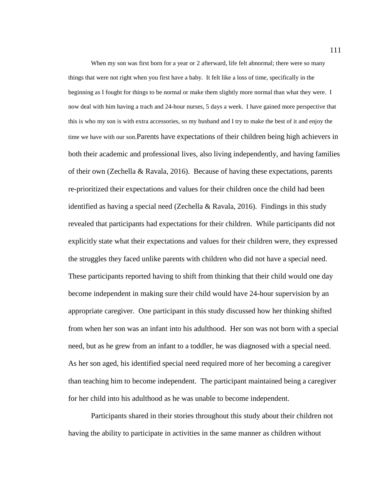When my son was first born for a year or 2 afterward, life felt abnormal; there were so many things that were not right when you first have a baby. It felt like a loss of time, specifically in the beginning as I fought for things to be normal or make them slightly more normal than what they were. I now deal with him having a trach and 24-hour nurses, 5 days a week. I have gained more perspective that this is who my son is with extra accessories, so my husband and I try to make the best of it and enjoy the time we have with our son.Parents have expectations of their children being high achievers in both their academic and professional lives, also living independently, and having families of their own (Zechella & Ravala, 2016). Because of having these expectations, parents re-prioritized their expectations and values for their children once the child had been identified as having a special need (Zechella & Ravala, 2016). Findings in this study revealed that participants had expectations for their children. While participants did not explicitly state what their expectations and values for their children were, they expressed the struggles they faced unlike parents with children who did not have a special need. These participants reported having to shift from thinking that their child would one day become independent in making sure their child would have 24-hour supervision by an appropriate caregiver. One participant in this study discussed how her thinking shifted from when her son was an infant into his adulthood. Her son was not born with a special need, but as he grew from an infant to a toddler, he was diagnosed with a special need. As her son aged, his identified special need required more of her becoming a caregiver than teaching him to become independent. The participant maintained being a caregiver for her child into his adulthood as he was unable to become independent.

Participants shared in their stories throughout this study about their children not having the ability to participate in activities in the same manner as children without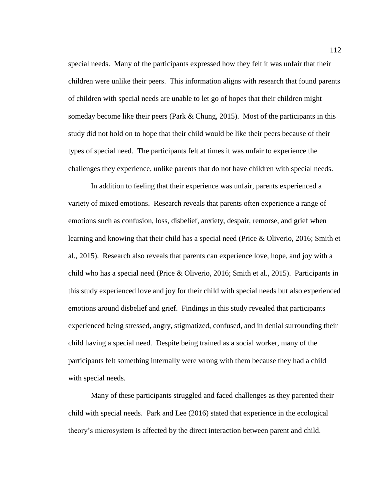special needs. Many of the participants expressed how they felt it was unfair that their children were unlike their peers. This information aligns with research that found parents of children with special needs are unable to let go of hopes that their children might someday become like their peers (Park  $&$  Chung, 2015). Most of the participants in this study did not hold on to hope that their child would be like their peers because of their types of special need. The participants felt at times it was unfair to experience the challenges they experience, unlike parents that do not have children with special needs.

In addition to feeling that their experience was unfair, parents experienced a variety of mixed emotions. Research reveals that parents often experience a range of emotions such as confusion, loss, disbelief, anxiety, despair, remorse, and grief when learning and knowing that their child has a special need (Price & Oliverio, 2016; Smith et al., 2015). Research also reveals that parents can experience love, hope, and joy with a child who has a special need (Price & Oliverio, 2016; Smith et al., 2015). Participants in this study experienced love and joy for their child with special needs but also experienced emotions around disbelief and grief. Findings in this study revealed that participants experienced being stressed, angry, stigmatized, confused, and in denial surrounding their child having a special need. Despite being trained as a social worker, many of the participants felt something internally were wrong with them because they had a child with special needs.

Many of these participants struggled and faced challenges as they parented their child with special needs. Park and Lee (2016) stated that experience in the ecological theory's microsystem is affected by the direct interaction between parent and child.

112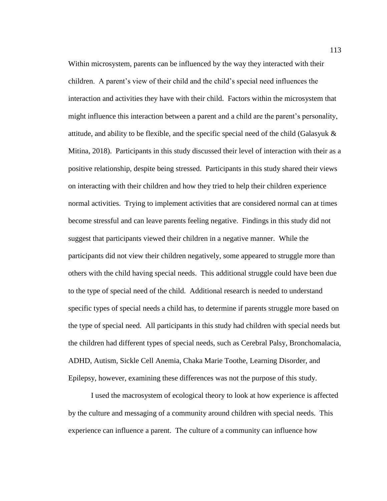Within microsystem, parents can be influenced by the way they interacted with their children. A parent's view of their child and the child's special need influences the interaction and activities they have with their child. Factors within the microsystem that might influence this interaction between a parent and a child are the parent's personality, attitude, and ability to be flexible, and the specific special need of the child (Galasyuk  $\&$ Mitina, 2018). Participants in this study discussed their level of interaction with their as a positive relationship, despite being stressed. Participants in this study shared their views on interacting with their children and how they tried to help their children experience normal activities. Trying to implement activities that are considered normal can at times become stressful and can leave parents feeling negative. Findings in this study did not suggest that participants viewed their children in a negative manner. While the participants did not view their children negatively, some appeared to struggle more than others with the child having special needs. This additional struggle could have been due to the type of special need of the child. Additional research is needed to understand specific types of special needs a child has, to determine if parents struggle more based on the type of special need. All participants in this study had children with special needs but the children had different types of special needs, such as Cerebral Palsy, Bronchomalacia, ADHD, Autism, Sickle Cell Anemia, Chaka Marie Toothe, Learning Disorder, and Epilepsy, however, examining these differences was not the purpose of this study.

I used the macrosystem of ecological theory to look at how experience is affected by the culture and messaging of a community around children with special needs. This experience can influence a parent. The culture of a community can influence how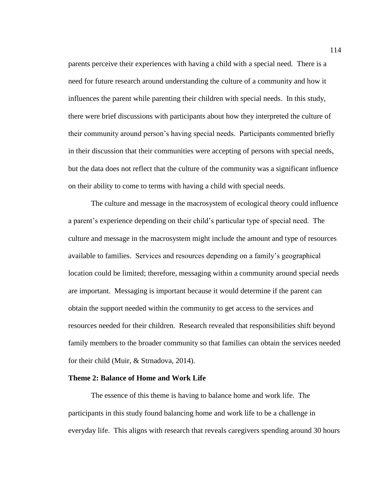parents perceive their experiences with having a child with a special need. There is a need for future research around understanding the culture of a community and how it influences the parent while parenting their children with special needs. In this study, there were brief discussions with participants about how they interpreted the culture of their community around person's having special needs. Participants commented briefly in their discussion that their communities were accepting of persons with special needs, but the data does not reflect that the culture of the community was a significant influence on their ability to come to terms with having a child with special needs.

The culture and message in the macrosystem of ecological theory could influence a parent's experience depending on their child's particular type of special need. The culture and message in the macrosystem might include the amount and type of resources available to families. Services and resources depending on a family's geographical location could be limited; therefore, messaging within a community around special needs are important. Messaging is important because it would determine if the parent can obtain the support needed within the community to get access to the services and resources needed for their children. Research revealed that responsibilities shift beyond family members to the broader community so that families can obtain the services needed for their child (Muir, & Strnadova, 2014).

## **Theme 2: Balance of Home and Work Life**

The essence of this theme is having to balance home and work life. The participants in this study found balancing home and work life to be a challenge in everyday life. This aligns with research that reveals caregivers spending around 30 hours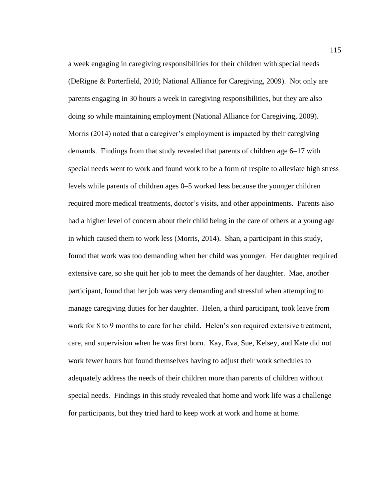a week engaging in caregiving responsibilities for their children with special needs (DeRigne & Porterfield, 2010; National Alliance for Caregiving, 2009). Not only are parents engaging in 30 hours a week in caregiving responsibilities, but they are also doing so while maintaining employment (National Alliance for Caregiving, 2009). Morris (2014) noted that a caregiver's employment is impacted by their caregiving demands. Findings from that study revealed that parents of children age 6–17 with special needs went to work and found work to be a form of respite to alleviate high stress levels while parents of children ages 0–5 worked less because the younger children required more medical treatments, doctor's visits, and other appointments. Parents also had a higher level of concern about their child being in the care of others at a young age in which caused them to work less (Morris, 2014). Shan, a participant in this study, found that work was too demanding when her child was younger. Her daughter required extensive care, so she quit her job to meet the demands of her daughter. Mae, another participant, found that her job was very demanding and stressful when attempting to manage caregiving duties for her daughter. Helen, a third participant, took leave from work for 8 to 9 months to care for her child. Helen's son required extensive treatment, care, and supervision when he was first born. Kay, Eva, Sue, Kelsey, and Kate did not work fewer hours but found themselves having to adjust their work schedules to adequately address the needs of their children more than parents of children without special needs. Findings in this study revealed that home and work life was a challenge for participants, but they tried hard to keep work at work and home at home.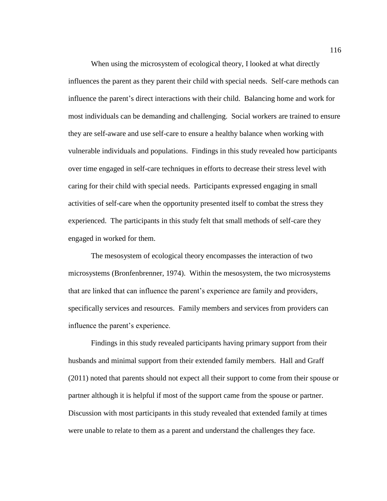When using the microsystem of ecological theory, I looked at what directly influences the parent as they parent their child with special needs. Self-care methods can influence the parent's direct interactions with their child. Balancing home and work for most individuals can be demanding and challenging. Social workers are trained to ensure they are self-aware and use self-care to ensure a healthy balance when working with vulnerable individuals and populations. Findings in this study revealed how participants over time engaged in self-care techniques in efforts to decrease their stress level with caring for their child with special needs. Participants expressed engaging in small activities of self-care when the opportunity presented itself to combat the stress they experienced. The participants in this study felt that small methods of self-care they engaged in worked for them.

The mesosystem of ecological theory encompasses the interaction of two microsystems (Bronfenbrenner, 1974). Within the mesosystem, the two microsystems that are linked that can influence the parent's experience are family and providers, specifically services and resources. Family members and services from providers can influence the parent's experience.

Findings in this study revealed participants having primary support from their husbands and minimal support from their extended family members. Hall and Graff (2011) noted that parents should not expect all their support to come from their spouse or partner although it is helpful if most of the support came from the spouse or partner. Discussion with most participants in this study revealed that extended family at times were unable to relate to them as a parent and understand the challenges they face.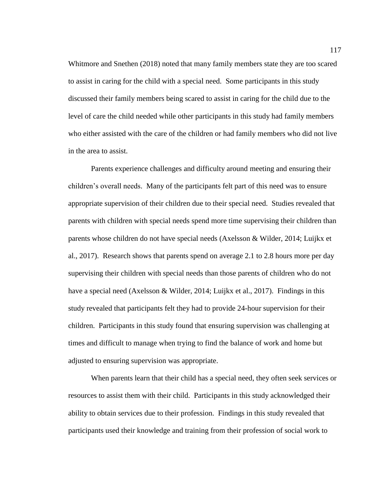Whitmore and Snethen (2018) noted that many family members state they are too scared to assist in caring for the child with a special need. Some participants in this study discussed their family members being scared to assist in caring for the child due to the level of care the child needed while other participants in this study had family members who either assisted with the care of the children or had family members who did not live in the area to assist.

Parents experience challenges and difficulty around meeting and ensuring their children's overall needs. Many of the participants felt part of this need was to ensure appropriate supervision of their children due to their special need. Studies revealed that parents with children with special needs spend more time supervising their children than parents whose children do not have special needs (Axelsson & Wilder, 2014; Luijkx et al., 2017). Research shows that parents spend on average 2.1 to 2.8 hours more per day supervising their children with special needs than those parents of children who do not have a special need (Axelsson & Wilder, 2014; Luijkx et al., 2017). Findings in this study revealed that participants felt they had to provide 24-hour supervision for their children. Participants in this study found that ensuring supervision was challenging at times and difficult to manage when trying to find the balance of work and home but adjusted to ensuring supervision was appropriate.

When parents learn that their child has a special need, they often seek services or resources to assist them with their child. Participants in this study acknowledged their ability to obtain services due to their profession. Findings in this study revealed that participants used their knowledge and training from their profession of social work to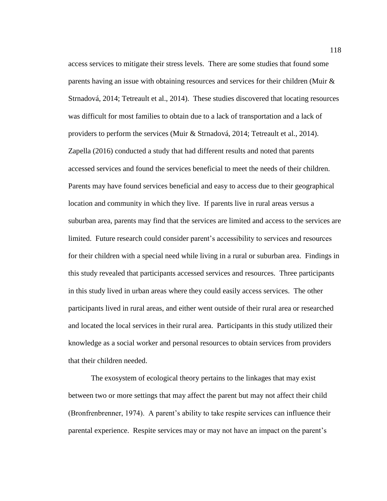access services to mitigate their stress levels. There are some studies that found some parents having an issue with obtaining resources and services for their children (Muir & Strnadová, 2014; Tetreault et al., 2014). These studies discovered that locating resources was difficult for most families to obtain due to a lack of transportation and a lack of providers to perform the services (Muir & Strnadová, 2014; Tetreault et al., 2014). Zapella (2016) conducted a study that had different results and noted that parents accessed services and found the services beneficial to meet the needs of their children. Parents may have found services beneficial and easy to access due to their geographical location and community in which they live. If parents live in rural areas versus a suburban area, parents may find that the services are limited and access to the services are limited. Future research could consider parent's accessibility to services and resources for their children with a special need while living in a rural or suburban area. Findings in this study revealed that participants accessed services and resources. Three participants in this study lived in urban areas where they could easily access services. The other participants lived in rural areas, and either went outside of their rural area or researched and located the local services in their rural area. Participants in this study utilized their knowledge as a social worker and personal resources to obtain services from providers that their children needed.

The exosystem of ecological theory pertains to the linkages that may exist between two or more settings that may affect the parent but may not affect their child (Bronfrenbrenner, 1974). A parent's ability to take respite services can influence their parental experience. Respite services may or may not have an impact on the parent's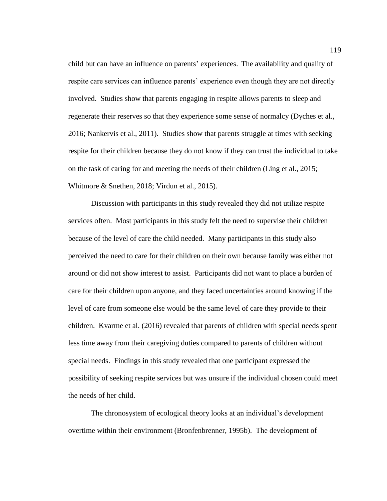child but can have an influence on parents' experiences. The availability and quality of respite care services can influence parents' experience even though they are not directly involved. Studies show that parents engaging in respite allows parents to sleep and regenerate their reserves so that they experience some sense of normalcy (Dyches et al., 2016; Nankervis et al., 2011). Studies show that parents struggle at times with seeking respite for their children because they do not know if they can trust the individual to take on the task of caring for and meeting the needs of their children (Ling et al., 2015; Whitmore & Snethen, 2018; Virdun et al., 2015).

Discussion with participants in this study revealed they did not utilize respite services often. Most participants in this study felt the need to supervise their children because of the level of care the child needed. Many participants in this study also perceived the need to care for their children on their own because family was either not around or did not show interest to assist. Participants did not want to place a burden of care for their children upon anyone, and they faced uncertainties around knowing if the level of care from someone else would be the same level of care they provide to their children. Kvarme et al. (2016) revealed that parents of children with special needs spent less time away from their caregiving duties compared to parents of children without special needs. Findings in this study revealed that one participant expressed the possibility of seeking respite services but was unsure if the individual chosen could meet the needs of her child.

The chronosystem of ecological theory looks at an individual's development overtime within their environment (Bronfenbrenner, 1995b). The development of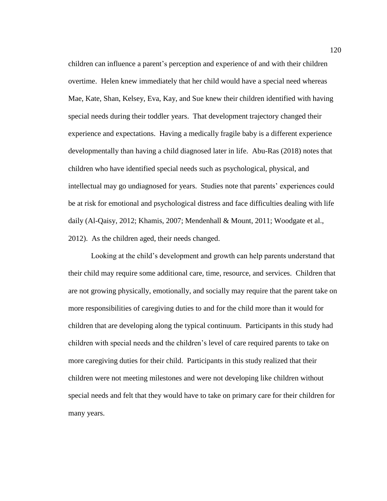children can influence a parent's perception and experience of and with their children overtime. Helen knew immediately that her child would have a special need whereas Mae, Kate, Shan, Kelsey, Eva, Kay, and Sue knew their children identified with having special needs during their toddler years. That development trajectory changed their experience and expectations. Having a medically fragile baby is a different experience developmentally than having a child diagnosed later in life. Abu-Ras (2018) notes that children who have identified special needs such as psychological, physical, and intellectual may go undiagnosed for years. Studies note that parents' experiences could be at risk for emotional and psychological distress and face difficulties dealing with life daily (Al-Qaisy, 2012; Khamis, 2007; Mendenhall & Mount, 2011; Woodgate et al., 2012). As the children aged, their needs changed.

Looking at the child's development and growth can help parents understand that their child may require some additional care, time, resource, and services. Children that are not growing physically, emotionally, and socially may require that the parent take on more responsibilities of caregiving duties to and for the child more than it would for children that are developing along the typical continuum. Participants in this study had children with special needs and the children's level of care required parents to take on more caregiving duties for their child. Participants in this study realized that their children were not meeting milestones and were not developing like children without special needs and felt that they would have to take on primary care for their children for many years.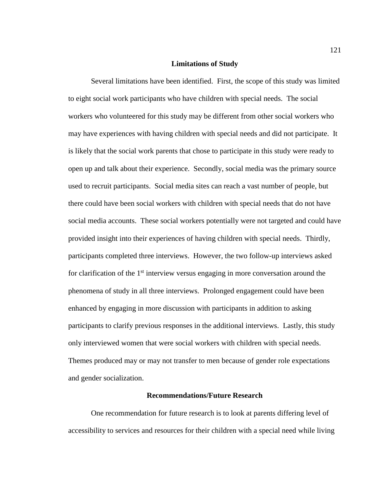# **Limitations of Study**

Several limitations have been identified. First, the scope of this study was limited to eight social work participants who have children with special needs. The social workers who volunteered for this study may be different from other social workers who may have experiences with having children with special needs and did not participate. It is likely that the social work parents that chose to participate in this study were ready to open up and talk about their experience. Secondly, social media was the primary source used to recruit participants. Social media sites can reach a vast number of people, but there could have been social workers with children with special needs that do not have social media accounts. These social workers potentially were not targeted and could have provided insight into their experiences of having children with special needs. Thirdly, participants completed three interviews. However, the two follow-up interviews asked for clarification of the  $1<sup>st</sup>$  interview versus engaging in more conversation around the phenomena of study in all three interviews. Prolonged engagement could have been enhanced by engaging in more discussion with participants in addition to asking participants to clarify previous responses in the additional interviews. Lastly, this study only interviewed women that were social workers with children with special needs. Themes produced may or may not transfer to men because of gender role expectations and gender socialization.

# **Recommendations/Future Research**

One recommendation for future research is to look at parents differing level of accessibility to services and resources for their children with a special need while living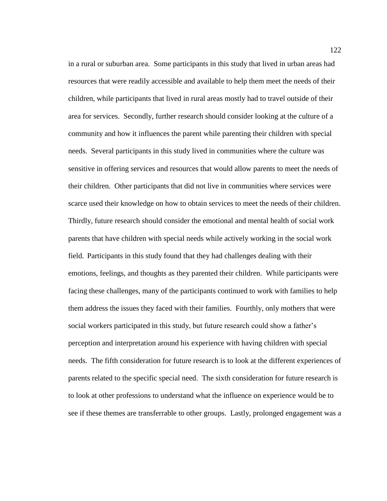in a rural or suburban area. Some participants in this study that lived in urban areas had resources that were readily accessible and available to help them meet the needs of their children, while participants that lived in rural areas mostly had to travel outside of their area for services. Secondly, further research should consider looking at the culture of a community and how it influences the parent while parenting their children with special needs. Several participants in this study lived in communities where the culture was sensitive in offering services and resources that would allow parents to meet the needs of their children. Other participants that did not live in communities where services were scarce used their knowledge on how to obtain services to meet the needs of their children. Thirdly, future research should consider the emotional and mental health of social work parents that have children with special needs while actively working in the social work field. Participants in this study found that they had challenges dealing with their emotions, feelings, and thoughts as they parented their children. While participants were facing these challenges, many of the participants continued to work with families to help them address the issues they faced with their families. Fourthly, only mothers that were social workers participated in this study, but future research could show a father's perception and interpretation around his experience with having children with special needs. The fifth consideration for future research is to look at the different experiences of parents related to the specific special need. The sixth consideration for future research is to look at other professions to understand what the influence on experience would be to see if these themes are transferrable to other groups. Lastly, prolonged engagement was a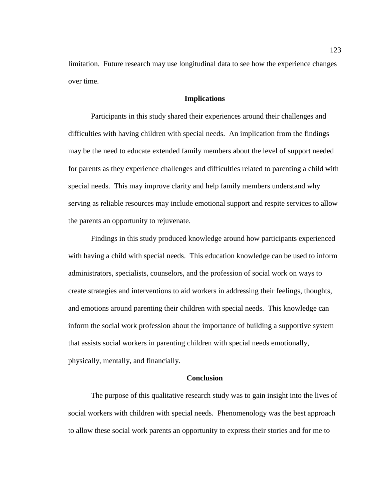limitation. Future research may use longitudinal data to see how the experience changes over time.

# **Implications**

Participants in this study shared their experiences around their challenges and difficulties with having children with special needs. An implication from the findings may be the need to educate extended family members about the level of support needed for parents as they experience challenges and difficulties related to parenting a child with special needs. This may improve clarity and help family members understand why serving as reliable resources may include emotional support and respite services to allow the parents an opportunity to rejuvenate.

Findings in this study produced knowledge around how participants experienced with having a child with special needs. This education knowledge can be used to inform administrators, specialists, counselors, and the profession of social work on ways to create strategies and interventions to aid workers in addressing their feelings, thoughts, and emotions around parenting their children with special needs. This knowledge can inform the social work profession about the importance of building a supportive system that assists social workers in parenting children with special needs emotionally, physically, mentally, and financially.

# **Conclusion**

The purpose of this qualitative research study was to gain insight into the lives of social workers with children with special needs. Phenomenology was the best approach to allow these social work parents an opportunity to express their stories and for me to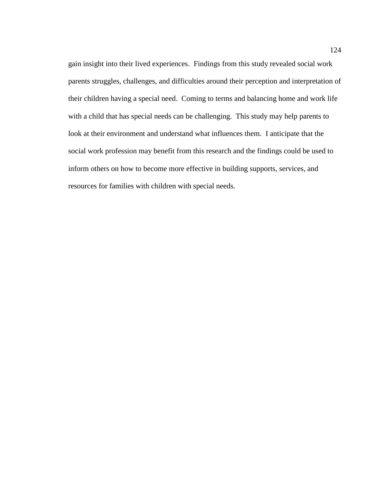gain insight into their lived experiences. Findings from this study revealed social work parents struggles, challenges, and difficulties around their perception and interpretation of their children having a special need. Coming to terms and balancing home and work life with a child that has special needs can be challenging. This study may help parents to look at their environment and understand what influences them. I anticipate that the social work profession may benefit from this research and the findings could be used to inform others on how to become more effective in building supports, services, and resources for families with children with special needs.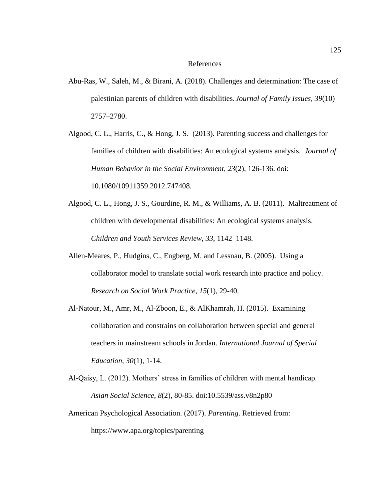### References

- Abu-Ras, W., Saleh, M., & Birani, A. (2018). Challenges and determination: The case of palestinian parents of children with disabilities. *Journal of Family Issues, 39*(10) 2757–2780.
- Algood, C. L., Harris, C., & Hong, J. S. (2013). Parenting success and challenges for families of children with disabilities: An ecological systems analysis. *Journal of Human Behavior in the Social Environment*, *23*(2), 126-136. doi: 10.1080/10911359.2012.747408.
- Algood, C. L., Hong, J. S., Gourdine, R. M., & Williams, A. B. (2011). Maltreatment of children with developmental disabilities: An ecological systems analysis. *Children and Youth Services Review*, *33*, 1142–1148.
- Allen-Meares, P., Hudgins, C., Engberg, M. and Lessnau, B. (2005). Using a collaborator model to translate social work research into practice and policy. *Research on Social Work Practice*, *15*(1), 29-40.
- Al-Natour, M., Amr, M., Al-Zboon, E., & AlKhamrah, H. (2015). Examining collaboration and constrains on collaboration between special and general teachers in mainstream schools in Jordan. *International Journal of Special Education, 30*(1), 1-14.
- Al-Qaisy, L. (2012). Mothers' stress in families of children with mental handicap. *Asian Social Science*, *8*(2), 80-85. doi:10.5539/ass.v8n2p80
- American Psychological Association. (2017). *Parenting*. Retrieved from:

<https://www.apa.org/topics/parenting>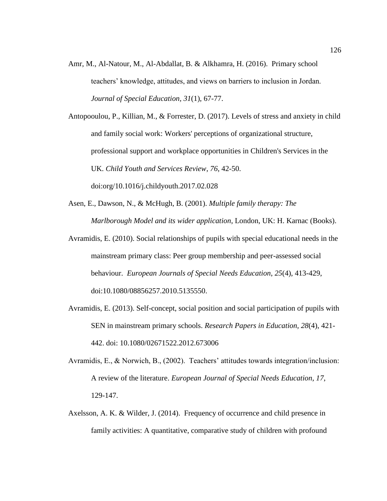Amr, M., Al-Natour, M., Al-Abdallat, B. & Alkhamra, H. (2016). Primary school teachers' knowledge, attitudes, and views on barriers to inclusion in Jordan. *Journal of Special Education, 31*(1), 67-77.

Antopooulou, P., Killian, M., & Forrester, D. (2017). Levels of stress and anxiety in child and family social work: Workers' perceptions of organizational structure, professional support and workplace opportunities in Children's Services in the UK. *Child Youth and Services Review*, *76*, 42-50. [doi:org/10.1016/j.childyouth.2017.02.028](https://doi.org/10.1016/j.childyouth.2017.02.028)

- Asen, E., Dawson, N., & McHugh, B. (2001). *Multiple family therapy: The Marlborough Model and its wider application*, London, UK: H. Karnac (Books).
- Avramidis, E. (2010). Social relationships of pupils with special educational needs in the mainstream primary class: Peer group membership and peer-assessed social behaviour. *European Journals of Special Needs Education*, *25*(4), 413-429, doi:10.1080/08856257.2010.5135550.
- Avramidis, E. (2013). Self-concept, social position and social participation of pupils with SEN in mainstream primary schools. *Research Papers in Education, 28*(4), 421- 442. doi: 10.1080/02671522.2012.673006
- Avramidis, E., & Norwich, B., (2002). Teachers' attitudes towards integration/inclusion: A review of the literature. *European Journal of Special Needs Education*, *17*, 129-147.
- Axelsson, A. K. & Wilder, J. (2014). Frequency of occurrence and child presence in family activities: A quantitative, comparative study of children with profound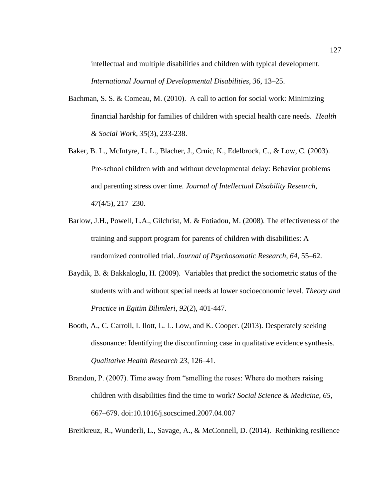intellectual and multiple disabilities and children with typical development. *International Journal of Developmental Disabilities*, *36*, 13–25.

- Bachman, S. S. & Comeau, M. (2010). A call to action for social work: Minimizing financial hardship for families of children with special health care needs. *Health & Social Work, 35*(3), 233-238.
- Baker, B. L., McIntyre, L. L., Blacher, J., Crnic, K., Edelbrock, C., & Low, C. (2003). Pre-school children with and without developmental delay: Behavior problems and parenting stress over time. *Journal of Intellectual Disability Research*, *47*(4/5), 217–230.
- Barlow, J.H., Powell, L.A., Gilchrist, M. & Fotiadou, M. (2008). The effectiveness of the training and support program for parents of children with disabilities: A randomized controlled trial. *Journal of Psychosomatic Research, 64*, 55–62.
- Baydik, B. & Bakkaloglu, H. (2009). Variables that predict the sociometric status of the students with and without special needs at lower socioeconomic level. *Theory and Practice in Egitim Bilimleri*, *92*(2), 401-447.
- Booth, A., C. Carroll, I. Ilott, L. L. Low, and K. Cooper. (2013). Desperately seeking dissonance: Identifying the disconfirming case in qualitative evidence synthesis. *Qualitative Health Research 23,* 126–41.

Breitkreuz, R., Wunderli, L., Savage, A., & McConnell, D. (2014). Rethinking resilience

Brandon, P. (2007). Time away from "smelling the roses: Where do mothers raising children with disabilities find the time to work? *Social Science & Medicine*, *65*, 667–679. doi:10.1016/j.socscimed.2007.04.007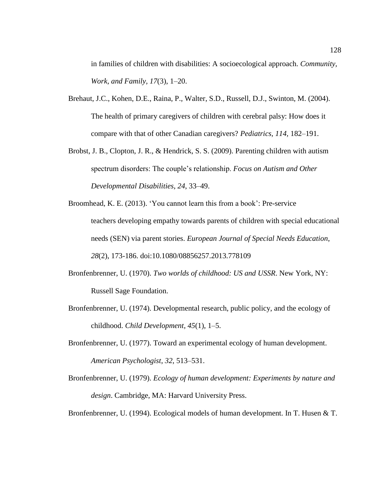in families of children with disabilities: A socioecological approach. *Community, Work, and Family, 17*(3), 1–20.

- Brehaut, J.C., Kohen, D.E., Raina, P., Walter, S.D., Russell, D.J., Swinton, M. (2004). The health of primary caregivers of children with cerebral palsy: How does it compare with that of other Canadian caregivers? *Pediatrics, 114,* 182–191.
- Brobst, J. B., Clopton, J. R., & Hendrick, S. S. (2009). Parenting children with autism spectrum disorders: The couple's relationship. *Focus on Autism and Other Developmental Disabilities*, *24*, 33–49.
- Broomhead, K. E. (2013). 'You cannot learn this from a book': Pre-service teachers developing empathy towards parents of children with special educational needs (SEN) via parent stories. *European Journal of Special Needs Education*, *28*(2), 173-186. doi:10.1080/08856257.2013.778109
- Bronfenbrenner, U. (1970). *Two worlds of childhood: US and USSR*. New York, NY: Russell Sage Foundation.
- Bronfenbrenner, U. (1974). Developmental research, public policy, and the ecology of childhood. *Child Development*, *45*(1), 1–5.
- Bronfenbrenner, U. (1977). Toward an experimental ecology of human development. *American Psychologist*, *32*, 513–531.
- Bronfenbrenner, U. (1979). *Ecology of human development: Experiments by nature and design*. Cambridge, MA: Harvard University Press.

Bronfenbrenner, U. (1994). Ecological models of human development. In T. Husen & T.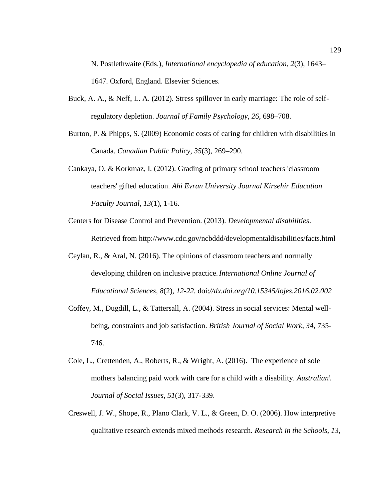N. Postlethwaite (Eds.), *International encyclopedia of education, 2*(3), 1643– 1647. Oxford, England. Elsevier Sciences.

- Buck, A. A., & Neff, L. A. (2012). Stress spillover in early marriage: The role of selfregulatory depletion. *Journal of Family Psychology, 26*, 698–708.
- Burton, P. & Phipps, S. (2009) Economic costs of caring for children with disabilities in Canada. *Canadian Public Policy, 35*(3), 269–290.
- Cankaya, O. & Korkmaz, I. (2012). Grading of primary school teachers 'classroom teachers' gifted education. *Ahi Evran University Journal Kirsehir Education Faculty Journal*, *13*(1), 1-16.
- Centers for Disease Control and Prevention. (2013). *Developmental disabilities*. Retrieved from http://www.cdc.gov/ncbddd/developmentaldisabilities/facts.html
- Ceylan, R., & Aral, N. (2016). The opinions of classroom teachers and normally developing children on inclusive practice.*International Online Journal of Educational Sciences, 8*(2)*, 12-22.* doi:*//dx.doi.org/10.15345/iojes.2016.02.002*
- Coffey, M., Dugdill, L., & Tattersall, A. (2004). Stress in social services: Mental wellbeing, constraints and job satisfaction. *British Journal of Social Work*, *34*, 735- 746.
- Cole, L., Crettenden, A., Roberts, R., & Wright, A. (2016). The experience of sole mothers balancing paid work with care for a child with a disability. *Australian\ Journal of Social Issues*, *51*(3), 317-339.
- Creswell, J. W., Shope, R., Plano Clark, V. L., & Green, D. O. (2006). How interpretive qualitative research extends mixed methods research. *Research in the Schools, 13*,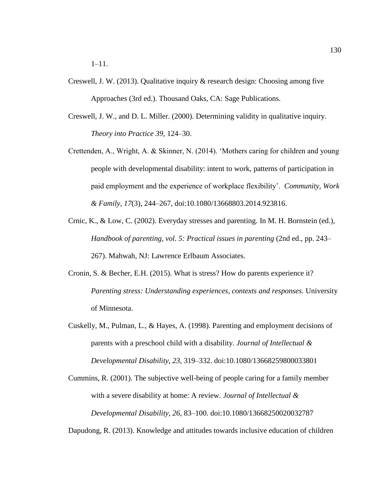1–11.

- Creswell, J. W. (2013). Qualitative inquiry & research design: Choosing among five Approaches (3rd ed.). Thousand Oaks, CA: Sage Publications.
- Creswell, J. W., and D. L. Miller. (2000). Determining validity in qualitative inquiry. *Theory into Practice 39*, 124–30.
- Crettenden, A., Wright, A. & Skinner, N. (2014). 'Mothers caring for children and young people with developmental disability: intent to work, patterns of participation in paid employment and the experience of workplace flexibility'. *Community, Work & Family*, *17*(3), 244–267, doi:10.1080/13668803.2014.923816.
- Crnic, K., & Low, C. (2002). Everyday stresses and parenting. In M. H. Bornstein (ed.), *Handbook of parenting, vol. 5: Practical issues in parenting (2nd ed., pp. 243–* 267). Mahwah, NJ: Lawrence Erlbaum Associates.
- Cronin, S. & Becher, E.H. (2015). What is stress? How do parents experience it? *Parenting stress: Understanding experiences, contexts and responses*. University of Minnesota.
- Cuskelly, M., Pulman, L., & Hayes, A. (1998). Parenting and employment decisions of parents with a preschool child with a disability. *Journal of Intellectual & Developmental Disability*, *23*, 319–332. doi:10.1080/13668259800033801

Cummins, R. (2001). The subjective well-being of people caring for a family member with a severe disability at home: A review. *Journal of Intellectual & Developmental Disability*, *26*, 83–100. doi:10.1080/13668250020032787

Dapudong, R. (2013). Knowledge and attitudes towards inclusive education of children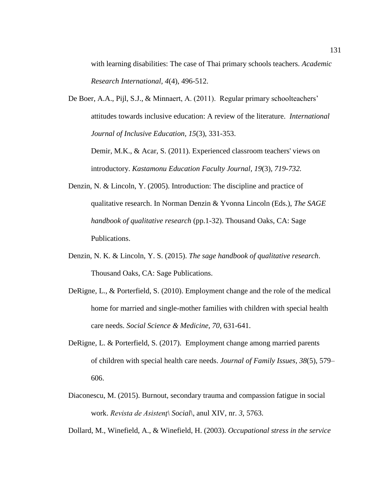with learning disabilities: The case of Thai primary schools teachers. *Academic Research International, 4*(4), 496-512.

De Boer, A.A., Pijl, S.J., & Minnaert, A. (2011). Regular primary schoolteachers' attitudes towards inclusive education: A review of the literature. *International Journal of Inclusive Education, 15*(3), 331-353.

Demir, M.K., & Acar, S. (2011). Experienced classroom teachers' views on introductory. *Kastamonu Education Faculty Journal, 19*(3)*, 719-732.*

- Denzin, N. & Lincoln, Y. (2005). Introduction: The discipline and practice of qualitative research. In Norman Denzin & Yvonna Lincoln (Eds.), *The SAGE handbook of qualitative research* (pp.1-32). Thousand Oaks, CA: Sage Publications.
- Denzin, N. K. & Lincoln, Y. S. (2015). *The sage handbook of qualitative research*. Thousand Oaks, CA: Sage Publications.
- DeRigne, L., & Porterfield, S. (2010). Employment change and the role of the medical home for married and single-mother families with children with special health care needs. *Social Science & Medicine, 70*, 631-641.
- DeRigne, L. & Porterfield, S. (2017). Employment change among married parents of children with special health care needs. *Journal of Family Issues, 38*(5), 579– 606.
- Diaconescu, M. (2015). Burnout, secondary trauma and compassion fatigue in social work. *Revista de Asistenţ\ Social\*, anul XIV, nr. *3*, 5763.

Dollard, M., Winefield, A., & Winefield, H. (2003). *Occupational stress in the service*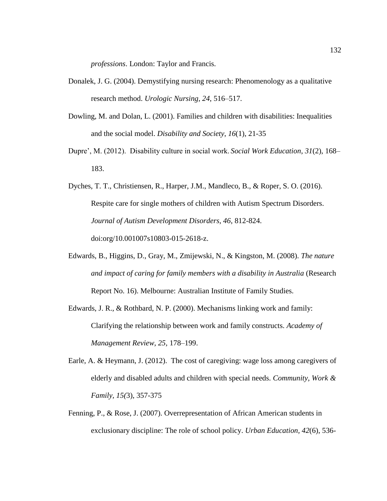*professions*. London: Taylor and Francis.

- Donalek, J. G. (2004). Demystifying nursing research: Phenomenology as a qualitative research method. *Urologic Nursing, 24*, 516–517.
- Dowling, M. and Dolan, L. (2001). Families and children with disabilities: Inequalities and the social model. *Disability and Society*, *16*(1), 21-35
- Dupre', M. (2012). Disability culture in social work. *Social Work Education*, *31*(2), 168– 183.
- Dyches, T. T., Christiensen, R., Harper, J.M., Mandleco, B., & Roper, S. O. (2016). Respite care for single mothers of children with Autism Spectrum Disorders. *Journal of Autism Development Disorders, 46*, 812-824. doi:org/10.001007s10803-015-2618-z.
- Edwards, B., Higgins, D., Gray, M., Zmijewski, N., & Kingston, M. (2008). *The nature and impact of caring for family members with a disability in Australia* (Research Report No. 16). Melbourne: Australian Institute of Family Studies.
- Edwards, J. R., & Rothbard, N. P. (2000). Mechanisms linking work and family: Clarifying the relationship between work and family constructs. *Academy of Management Review, 25,* 178–199.
- Earle, A. & Heymann, J. (2012). The cost of caregiving: wage loss among caregivers of elderly and disabled adults and children with special needs. *Community, Work & Family, 15(*3), 357-375
- Fenning, P., & Rose, J. (2007). Overrepresentation of African American students in exclusionary discipline: The role of school policy. *Urban Education, 42*(6), 536-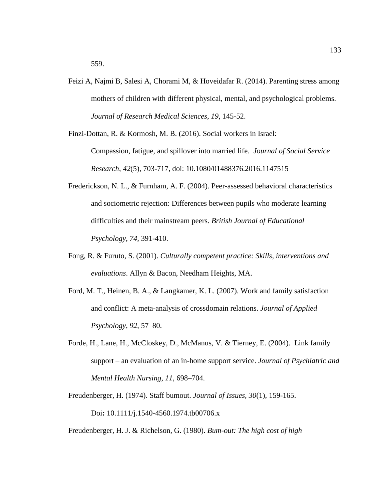Feizi A, Najmi B, Salesi A, Chorami M, & Hoveidafar R. (2014). Parenting stress among mothers of children with different physical, mental, and psychological problems. *Journal of Research Medical Sciences*, *19*, 145-52.

Finzi-Dottan, R. & Kormosh, M. B. (2016). Social workers in Israel:

Compassion, fatigue, and spillover into married life. *Journal of Social Service Research*, *42*(5), 703-717, doi: 10.1080/01488376.2016.1147515

- Frederickson, N. L., & Furnham, A. F. (2004). Peer-assessed behavioral characteristics and sociometric rejection: Differences between pupils who moderate learning difficulties and their mainstream peers. *British Journal of Educational Psychology*, *74,* 391-410.
- Fong, R. & Furuto, S. (2001). *Culturally competent practice: Skills, interventions and evaluations*. Allyn & Bacon, Needham Heights, MA.
- Ford, M. T., Heinen, B. A., & Langkamer, K. L. (2007). Work and family satisfaction and conflict: A meta-analysis of crossdomain relations. *Journal of Applied Psychology, 92*, 57–80.
- Forde, H., Lane, H., McCloskey, D., McManus, V. & Tierney, E. (2004). Link family support – an evaluation of an in-home support service. *Journal of Psychiatric and Mental Health Nursing, 11*, 698–704.
- Freudenberger, H. (1974). Staff bumout. *Journal of Issues, 30*(1), 159-165. Doi**:** 10.1111/j.1540-4560.1974.tb00706.x

Freudenberger, H. J. & Richelson, G. (1980). *Bum-out: The high cost of high*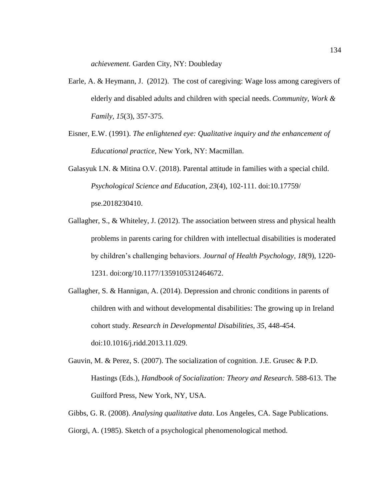*achievement.* Garden City, NY: Doubleday

- Earle, A. & Heymann, J. (2012). The cost of caregiving: Wage loss among caregivers of elderly and disabled adults and children with special needs. *Community, Work & Family, 15*(3), 357-375.
- Eisner, E.W. (1991). *The enlightened eye: Qualitative inquiry and the enhancement of Educational practice*, New York, NY: Macmillan.
- Galasyuk I.N. & Mitina O.V. (2018). Parental attitude in families with a special child. *Psychological Science and Education*, *23*(4), 102-111. doi:10.17759/ pse.2018230410.
- Gallagher, S., & Whiteley, J. (2012). The association between stress and physical health problems in parents caring for children with intellectual disabilities is moderated by children's challenging behaviors. *Journal of Health Psychology*, *18*(9), 1220- 1231. doi:org/10.1177/1359105312464672.
- Gallagher, S. & Hannigan, A. (2014). Depression and chronic conditions in parents of children with and without developmental disabilities: The growing up in Ireland cohort study. *Research in Developmental Disabilities, 35*, 448-454. doi:10.1016/j.ridd.2013.11.029.
- Gauvin, M. & Perez, S. (2007). The socialization of cognition. J.E. Grusec & P.D. Hastings (Eds.), *Handbook of Socialization: Theory and Research*. 588-613. The Guilford Press, New York, NY, USA.
- Gibbs, G. R. (2008). *Analysing qualitative data*. Los Angeles, CA. Sage Publications.
- Giorgi, A. (1985). Sketch of a psychological phenomenological method.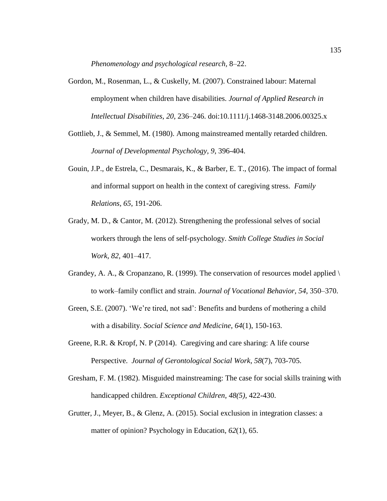*Phenomenology and psychological research,* 8–22.

- Gordon, M., Rosenman, L., & Cuskelly, M. (2007). Constrained labour: Maternal employment when children have disabilities. *Journal of Applied Research in Intellectual Disabilities*, *20*, 236–246. doi:10.1111/j.1468-3148.2006.00325.x
- Gottlieb, J., & Semmel, M. (1980). Among mainstreamed mentally retarded children. *Journal of Developmental Psychology, 9*, 396-404.
- Gouin, J.P., de Estrela, C., Desmarais, K., & Barber, E. T., (2016). The impact of formal and informal support on health in the context of caregiving stress. *Family Relations, 65*, 191-206.
- Grady, M. D., & Cantor, M. (2012). Strengthening the professional selves of social workers through the lens of self-psychology. *Smith College Studies in Social Work, 82,* 401–417.
- Grandey, A. A., & Cropanzano, R. (1999). The conservation of resources model applied  $\setminus$ to work–family conflict and strain. *Journal of Vocational Behavior, 54*, 350–370.
- Green, S.E. (2007). 'We're tired, not sad': Benefits and burdens of mothering a child with a disability. *Social Science and Medicine*, *64*(1), 150-163.
- Greene, R.R. & Kropf, N. P (2014). Caregiving and care sharing: A life course Perspective. *Journal of Gerontological Social Work*, *58*(7), 703-705.
- Gresham, F. M. (1982). Misguided mainstreaming: The case for social skills training with handicapped children. *Exceptional Children*, *48(5),* 422-430.
- Grutter, J., Meyer, B., & Glenz, A. (2015). Social exclusion in integration classes: a matter of opinion? Psychology in Education, *62*(1), 65.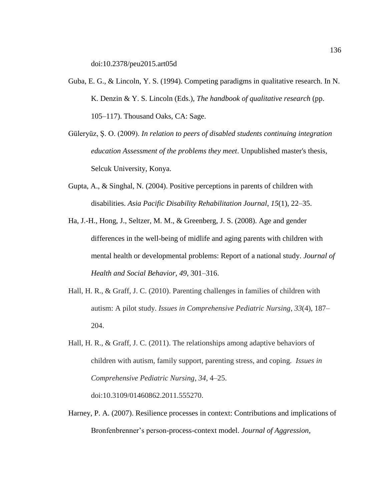doi:10.2378/peu2015.art05d

- Guba, E. G., & Lincoln, Y. S. (1994). Competing paradigms in qualitative research. In N. K. Denzin & Y. S. Lincoln (Eds.), *The handbook of qualitative research* (pp. 105–117). Thousand Oaks, CA: Sage.
- Güleryüz, Ş. O. (2009). *In relation to peers of disabled students continuing integration education Assessment of the problems they meet*. Unpublished master's thesis, Selcuk University, Konya.
- Gupta, A., & Singhal, N. (2004). Positive perceptions in parents of children with disabilities. *Asia Pacific Disability Rehabilitation Journal*, *15*(1), 22–35.
- Ha, J.-H., Hong, J., Seltzer, M. M., & Greenberg, J. S. (2008). Age and gender differences in the well-being of midlife and aging parents with children with mental health or developmental problems: Report of a national study. *Journal of Health and Social Behavior, 49*, 301–316.
- Hall, H. R., & Graff, J. C. (2010). Parenting challenges in families of children with autism: A pilot study. *Issues in Comprehensive Pediatric Nursing*, *33*(4), 187– 204.
- Hall, H. R., & Graff, J. C. (2011). The relationships among adaptive behaviors of children with autism, family support, parenting stress, and coping. *Issues in Comprehensive Pediatric Nursing*, *34*, 4–25.

doi:10.3109/01460862.2011.555270.

Harney, P. A. (2007). Resilience processes in context: Contributions and implications of Bronfenbrenner's person-process-context model. *Journal of Aggression,*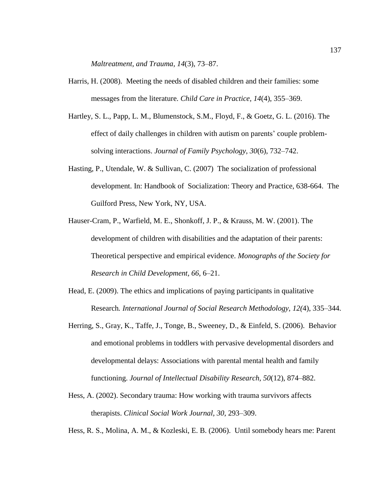*Maltreatment, and Trauma, 14*(3), 73–87.

- Harris, H. (2008). Meeting the needs of disabled children and their families: some messages from the literature. *Child Care in Practice, 14*(4), 355–369.
- Hartley, S. L., Papp, L. M., Blumenstock, S.M., Floyd, F., & Goetz, G. L. (2016). The effect of daily challenges in children with autism on parents' couple problemsolving interactions. *Journal of Family Psychology*, *30*(6), 732–742.
- Hasting, P., Utendale, W. & Sullivan, C. (2007) The socialization of professional development. In: Handbook of Socialization: Theory and Practice, 638-664. The Guilford Press, New York, NY, USA.
- Hauser-Cram, P., Warfield, M. E., Shonkoff, J. P., & Krauss, M. W. (2001). The development of children with disabilities and the adaptation of their parents: Theoretical perspective and empirical evidence. *Monographs of the Society for Research in Child Development, 66*, 6–21.
- Head, E. (2009). The ethics and implications of paying participants in qualitative Research*. International Journal of Social Research Methodology, 12(*4), 335–344.
- Herring, S., Gray, K., Taffe, J., Tonge, B., Sweeney, D., & Einfeld, S. (2006). Behavior and emotional problems in toddlers with pervasive developmental disorders and developmental delays: Associations with parental mental health and family functioning. *Journal of Intellectual Disability Research, 50*(12), 874–882.
- Hess, A. (2002). Secondary trauma: How working with trauma survivors affects therapists. *Clinical Social Work Journal, 30*, 293–309.
- Hess, R. S., Molina, A. M., & Kozleski, E. B. (2006). Until somebody hears me: Parent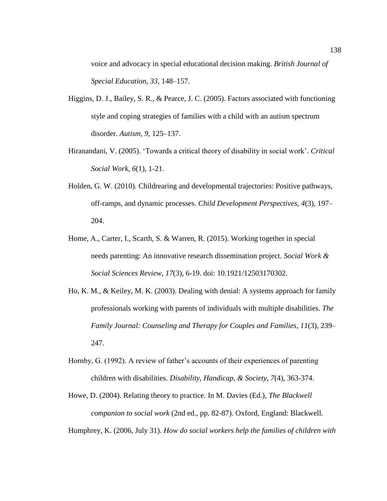voice and advocacy in special educational decision making. *British Journal of Special Education*, *33*, 148–157.

- Higgins, D. J., Bailey, S. R., & Pearce, J. C. (2005). Factors associated with functioning style and coping strategies of families with a child with an autism spectrum disorder. *Autism*, *9*, 125–137.
- Hiranandani, V. (2005). 'Towards a critical theory of disability in social work'. *Critical Social Work*, *6*(1), 1-21.
- Holden, G. W. (2010). Childrearing and developmental trajectories: Positive pathways, off-ramps, and dynamic processes. *Child Development Perspectives, 4*(3), 197– 204.
- Home, A., Carter, I., Scarth, S. & Warren, R. (2015). Working together in special needs parenting: An innovative research dissemination project. *Social Work & Social Sciences Review*, *17*(3), 6-19. doi: 10.1921/12503170302.
- Ho, K. M., & Keiley, M. K. (2003). Dealing with denial: A systems approach for family professionals working with parents of individuals with multiple disabilities. *The Family Journal: Counseling and Therapy for Couples and Families, 11*(3), 239– 247.
- Hornby, G. (1992). A review of father's accounts of their experiences of parenting children with disabilities. *Disability, Handicap, & Society*, *7*(4), 363-374.
- Howe, D. (2004). Relating theory to practice. In M. Davies (Ed.), *The Blackwell companion to social work* (2nd ed., pp. 82-87). Oxford, England: Blackwell.

Humphrey, K. (2006, July 31). *How do social workers help the families of children with*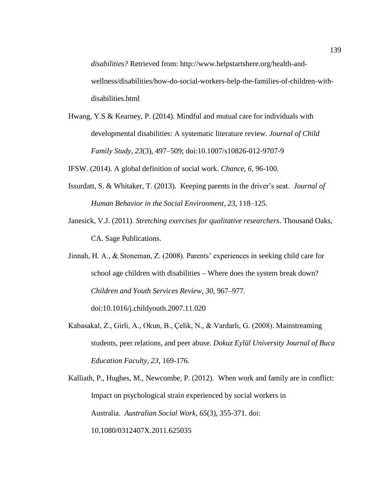*disabilities?* Retrieved from: [http://www.helpstartshere.org/health-and](http://www.helpstartshere.org/health-and-wellness/disabilities/how-do-)[wellness/disabilities/how-do-s](http://www.helpstartshere.org/health-and-wellness/disabilities/how-do-)ocial-workers-help-the-families-of-children-withdisabilities.html

Hwang, Y.S & Kearney, P. (2014). Mindful and mutual care for individuals with developmental disabilities: A systematic literature review. *Journal of Child Family Study, 23*(3), 497–509; doi:10.1007/s10826-012-9707-9

IFSW. (2014). A global definition of social work. *Chance, 6,* 96-100.

- Issurdatt, S. & Whitaker, T. (2013). Keeping parents in the driver's seat. *Journal of Human Behavior in the Social Environment*, *23,* 118–125.
- Janesick, V.J. (2011). *Stretching exercises for qualitative researchers*. Thousand Oaks, CA. Sage Publications.
- Jinnah, H. A., & Stoneman, Z. (2008). Parents' experiences in seeking child care for school age children with disabilities – Where does the system break down? *Children and Youth Services Review*, *30*, 967–977. doi:10.1016/j.childyouth.2007.11.020
- Kabasakal, Z., Girli, A., Okun, B., Çelik, N., & Vardarlı, G. (2008). Mainstreaming students, peer relations, and peer abuse. *Dokuz Eylül University Journal of Buca Education Faculty, 23*, 169-176.

Kalliath, P., Hughes, M., Newcombe, P. (2012). When work and family are in conflict: Impact on psychological strain experienced by social workers in Australia. *Australian Social Work*, *65*(3), 355-371. doi: 10.1080/0312407X.2011.625035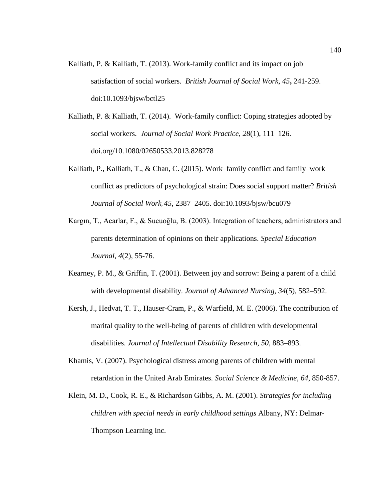- Kalliath, P. & Kalliath, T. (2013). Work-family conflict and its impact on job satisfaction of social workers. *British Journal of Social Work, 45***,** 241-259. doi:10.1093/bjsw/bctl25
- Kalliath, P. & Kalliath, T. (2014). Work-family conflict: Coping strategies adopted by social workers. *Journal of Social Work Practice*, *28*(1), 111–126. doi.org/10.1080/02650533.2013.828278
- Kalliath, P., Kalliath, T., & Chan, C. (2015). Work–family conflict and family–work conflict as predictors of psychological strain: Does social support matter? *British Journal of Social Work*, *45*, 2387–2405. doi:10.1093/bjsw/bcu079
- Kargın, T., Acarlar, F., & Sucuoğlu, B. (2003). Integration of teachers, administrators and parents determination of opinions on their applications. *Special Education Journal, 4*(2), 55-76.
- Kearney, P. M., & Griffin, T. (2001). Between joy and sorrow: Being a parent of a child with developmental disability. *Journal of Advanced Nursing, 34*(5), 582–592.
- Kersh, J., Hedvat, T. T., Hauser-Cram, P., & Warfield, M. E. (2006). The contribution of marital quality to the well-being of parents of children with developmental disabilities. *Journal of Intellectual Disability Research*, *50*, 883–893.
- Khamis, V. (2007). Psychological distress among parents of children with mental retardation in the United Arab Emirates. *Social Science & Medicine*, *64*, 850-857.
- Klein, M. D., Cook, R. E., & Richardson Gibbs, A. M. (2001). *Strategies for including children with special needs in early childhood settings* Albany, NY: Delmar-Thompson Learning Inc.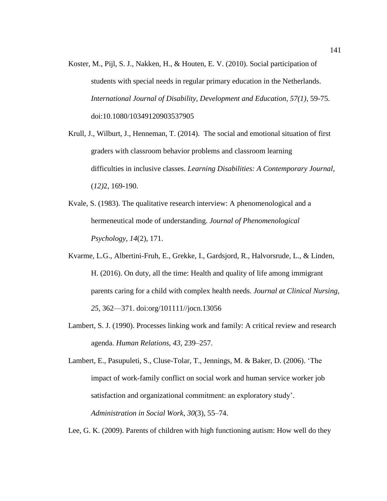- Koster, M., Pijl, S. J., Nakken, H., & Houten, E. V. (2010). Social participation of students with special needs in regular primary education in the Netherlands. *International Journal of Disability, Development and Education, 57(1),* 59-75. doi:10.1080/10349120903537905
- Krull, J., Wilburt, J., Henneman, T. (2014). The social and emotional situation of first graders with classroom behavior problems and classroom learning difficulties in inclusive classes. *Learning Disabilities: A Contemporary Journal,* (*12)*2, 169-190.
- Kvale, S. (1983). The qualitative research interview: A phenomenological and a hermeneutical mode of understanding. *[Journal of Phenomenological](https://search.proquest.com/pubidlinkhandler/sng/pubtitle/Journal+of+Phenomenological+Psychology/$N/1821473/OpenView/1308101567/$B/FFE5640F60D84420PQ/1;jsessionid=9AF29622128EB314D47B2DB33B25E69A.i-0e45fcb7a049ba53b)  [Psychology,](https://search.proquest.com/pubidlinkhandler/sng/pubtitle/Journal+of+Phenomenological+Psychology/$N/1821473/OpenView/1308101567/$B/FFE5640F60D84420PQ/1;jsessionid=9AF29622128EB314D47B2DB33B25E69A.i-0e45fcb7a049ba53b) 14*[\(2\),](https://search.proquest.com/indexingvolumeissuelinkhandler/1821473/Journal+of+Phenomenological+Psychology/01983Y10Y01$23Fall+1983$3b++Vol.+14+$282$29/14/2;jsessionid=9AF29622128EB314D47B2DB33B25E69A.i-0e45fcb7a049ba53b) 171.
- Kvarme, L.G., Albertini-Fruh, E., Grekke, I., Gardsjord, R., Halvorsrude, L., & Linden, H. (2016). On duty, all the time: Health and quality of life among immigrant parents caring for a child with complex health needs. *Journal at Clinical Nursing*, *25*, 362—371. doi:org/101111//jocn.13056
- Lambert, S. J. (1990). Processes linking work and family: A critical review and research agenda. *Human Relations, 43*, 239–257.
- Lambert, E., Pasupuleti, S., Cluse-Tolar, T., Jennings, M. & Baker, D. (2006). 'The impact of work-family conflict on social work and human service worker job satisfaction and organizational commitment: an exploratory study'. *Administration in Social Work*, *30*(3), 55–74.

Lee, G. K. (2009). Parents of children with high functioning autism: How well do they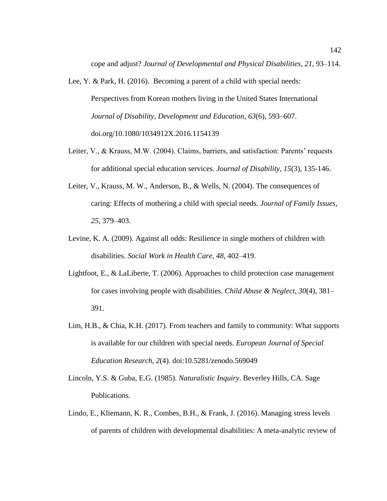cope and adjust? *Journal of Developmental and Physical Disabilities*, *21*, 93–114.

- Lee, Y. & Park, H. (2016). Becoming a parent of a child with special needs: Perspectives from Korean mothers living in the United States International *Journal of Disability, Development and Education*, *63*(6), 593–607. doi.org/10.1080/1034912X.2016.1154139
- Leiter, V., & Krauss, M.W. (2004). Claims, barriers, and satisfaction: Parents' requests for additional special education services. *Journal of Disability*, *15*(3), 135-146.
- Leiter, V., Krauss, M. W., Anderson, B., & Wells, N. (2004). The consequences of caring: Effects of mothering a child with special needs. *Journal of Family Issues*, *25*, 379–403.
- Levine, K. A. (2009). Against all odds: Resilience in single mothers of children with disabilities. *Social Work in Health Care*, *48*, 402–419.
- Lightfoot, E., & LaLiberte, T. (2006). Approaches to child protection case management for cases involving people with disabilities. *Child Abuse & Neglect, 30*(4), 381– 391.
- Lim, H.B., & Chia, K.H. (2017). From teachers and family to community: What supports is available for our children with special needs. *European Journal of Special Education Research*, *2*(4). doi:10.5281/zenodo.569049
- Lincoln, Y.S. & Guba, E.G. (1985). *Naturalistic Inquiry*. Beverley Hills, CA. Sage Publications.
- Lindo, E., Kliemann, K. R., Combes, B.H., & Frank, J. (2016). Managing stress levels of parents of children with developmental disabilities: A meta-analytic review of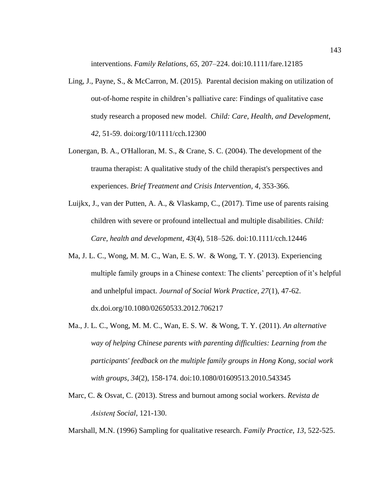interventions. *Family Relations, 65*, 207–224. doi:10.1111/fare.12185

- Ling, J., Payne, S., & McCarron, M. (2015). Parental decision making on utilization of out-of-home respite in children's palliative care: Findings of qualitative case study research a proposed new model. *Child: Care, Health, and Development*, *42*, 51-59. doi:org/10/1111/cch.12300
- Lonergan, B. A., O'Halloran, M. S., & Crane, S. C. (2004). The development of the trauma therapist: A qualitative study of the child therapist's perspectives and experiences. *Brief Treatment and Crisis Intervention, 4,* 353-366.
- Luijkx, J., van der Putten, A. A., & Vlaskamp, C., (2017). Time use of parents raising children with severe or profound intellectual and multiple disabilities. *Child: Care, health and development*, *43*(4), 518–526. doi:10.1111/cch.12446
- Ma, J. L. C., Wong, M. M. C., Wan, E. S. W. & Wong, T. Y. (2013). Experiencing multiple family groups in a Chinese context: The clients' perception of it's helpful and unhelpful impact. *Journal of Social Work Practice, 27*(1), 47-62. dx.doi.org/10.1080/02650533.2012.706217
- Ma., J. L. C., Wong, M. M. C., Wan, E. S. W. & Wong, T. Y. (2011). *An alternative way of helping Chinese parents with parenting difficulties: Learning from the participants' feedback on the multiple family groups in Hong Kong, social work with groups*, *34*(2), 158-174. doi:10.1080/01609513.2010.543345
- Marc, C. & Osvat, C. (2013). Stress and burnout among social workers. *Revista de Asistenţ Social*, 121-130.

Marshall, M.N. (1996) Sampling for qualitative research. *Family Practice*, *13*, 522-525.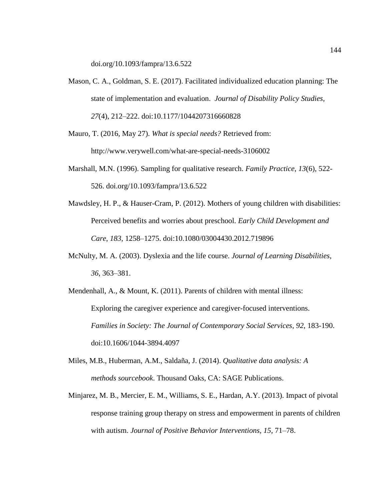doi.org/10.1093/fampra/13.6.522

- Mason, C. A., Goldman, S. E. (2017). Facilitated individualized education planning: The state of implementation and evaluation. *Journal of Disability Policy Studies, 27*(4), 212–222. doi:10.1177/1044207316660828
- Mauro, T. (2016, May 27). *What is special needs?* Retrieved from: <http://www.verywell.com/what-are-special-needs-3106002>
- Marshall, M.N. (1996). Sampling for qualitative research. *Family Practice, 13*(6), 522- 526. doi.org/10.1093/fampra/13.6.522
- Mawdsley, H. P., & Hauser-Cram, P. (2012). Mothers of young children with disabilities: Perceived benefits and worries about preschool. *Early Child Development and Care*, *183*, 1258–1275. doi:10.1080/03004430.2012.719896
- McNulty, M. A. (2003). Dyslexia and the life course. *Journal of Learning Disabilities*, *36*, 363–381.
- Mendenhall, A., & Mount, K. (2011). Parents of children with mental illness: Exploring the caregiver experience and caregiver-focused interventions. *Families in Society: The Journal of Contemporary Social Services*, *92*, 183-190. doi:10.1606/1044-3894.4097
- Miles, M.B., Huberman, A.M., Saldaña, J. (2014). *Qualitative data analysis: A methods sourcebook*. Thousand Oaks, CA: SAGE Publications.
- Minjarez, M. B., Mercier, E. M., Williams, S. E., Hardan, A.Y. (2013). Impact of pivotal response training group therapy on stress and empowerment in parents of children with autism. *Journal of Positive Behavior Interventions, 15,* 71–78.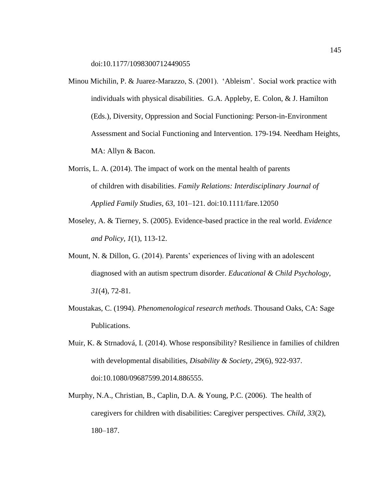doi:10.1177/1098300712449055

- Minou Michilin, P. & Juarez-Marazzo, S. (2001). 'Ableism'. Social work practice with individuals with physical disabilities. G.A. Appleby, E. Colon, & J. Hamilton (Eds.), Diversity, Oppression and Social Functioning: Person-in-Environment Assessment and Social Functioning and Intervention. 179-194. Needham Heights, MA: Allyn & Bacon.
- Morris, L. A. (2014). The impact of work on the mental health of parents of children with disabilities. *Family Relations: Interdisciplinary Journal of Applied Family Studies, 63*, 101–121. doi:10.1111/fare.12050
- Moseley, A. & Tierney, S. (2005). Evidence-based practice in the real world. *Evidence and Policy, 1*(1), 113-12.
- Mount, N. & Dillon, G. (2014). Parents' experiences of living with an adolescent diagnosed with an autism spectrum disorder. *Educational & Child Psychology*, *31*(4), 72-81.
- Moustakas, C. (1994). *Phenomenological research methods*. Thousand Oaks, CA: Sage Publications.
- Muir, K. & Strnadová, I. (2014). Whose responsibility? Resilience in families of children with developmental disabilities, *Disability & Society*, *29*(6), 922-937. doi:10.1080/09687599.2014.886555.
- Murphy, N.A., Christian, B., Caplin, D.A. & Young, P.C. (2006). The health of caregivers for children with disabilities: Caregiver perspectives. *Child, 33*(2), 180–187.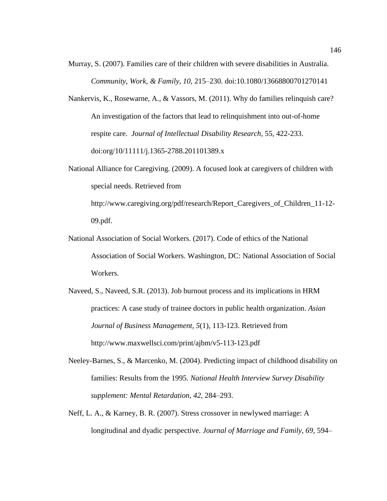- Murray, S. (2007). Families care of their children with severe disabilities in Australia. *Community, Work, & Family*, *10,* 215–230. doi:10.1080/13668800701270141
- Nankervis, K., Rosewarne, A., & Vassors, M. (2011). Why do families relinquish care? An investigation of the factors that lead to relinquishment into out-of-home respite care. *Journal of Intellectual Disability Research*, 55, 422-233. doi:org/10/11111/j.1365-2788.201101389.x
- National Alliance for Caregiving. (2009). A focused look at caregivers of children with special needs. Retrieved from

http://www.caregiving.org/pdf/research/Report\_Caregivers\_of\_Children\_11-12- 09.pdf.

- National Association of Social Workers. (2017). Code of ethics of the National Association of Social Workers. Washington, DC: National Association of Social Workers.
- Naveed, S., Naveed, S.R. (2013). Job burnout process and its implications in HRM practices: A case study of trainee doctors in public health organization. *Asian Journal of Business Management*, *5*(1), 113-123. Retrieved from http://www.maxwellsci.com/print/ajbm/v5-113-123.pdf
- Neeley-Barnes, S., & Marcenko, M. (2004). Predicting impact of childhood disability on families: Results from the 1995. *National Health Interview Survey Disability supplement: Mental Retardation, 42*, 284–293.
- Neff, L. A., & Karney, B. R. (2007). Stress crossover in newlywed marriage: A longitudinal and dyadic perspective. *Journal of Marriage and Family, 69,* 594–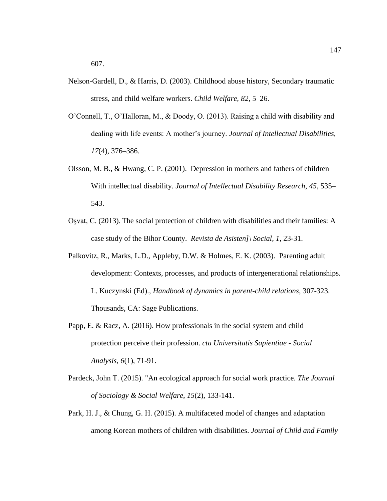- Nelson-Gardell, D., & Harris, D. (2003). Childhood abuse history, Secondary traumatic stress, and child welfare workers. *Child Welfare, 82*, 5–26.
- O'Connell, T., O'Halloran, M., & Doody, O. (2013). Raising a child with disability and dealing with life events: A mother's journey. *Journal of Intellectual Disabilities, 17*(4), 376–386.
- Olsson, M. B., & Hwang, C. P. (2001). Depression in mothers and fathers of children With intellectual disability. *Journal of Intellectual Disability Research*, *45*, 535– 543.
- Oşvat, C. (2013). The social protection of children with disabilities and their families: A case study of the Bihor County. *Revista de Asisten]\ Social, 1*, 23-31.
- Palkovitz, R., Marks, L.D., Appleby, D.W. & Holmes, E. K. (2003). Parenting adult development: Contexts, processes, and products of intergenerational relationships. L. Kuczynski (Ed)., *Handbook of dynamics in parent-child relations*, 307-323. Thousands, CA: Sage Publications.
- Papp, E. & Racz, A. (2016). How professionals in the social system and child protection perceive their profession. *cta Universitatis Sapientiae - Social Analysis, 6*(1), 71-91.
- Pardeck, John T. (2015). "An ecological approach for social work practice. *The Journal of Sociology & Social Welfare*, *15*(2), 133-141.
- Park, H. J., & Chung, G. H. (2015). A multifaceted model of changes and adaptation among Korean mothers of children with disabilities. *Journal of Child and Family*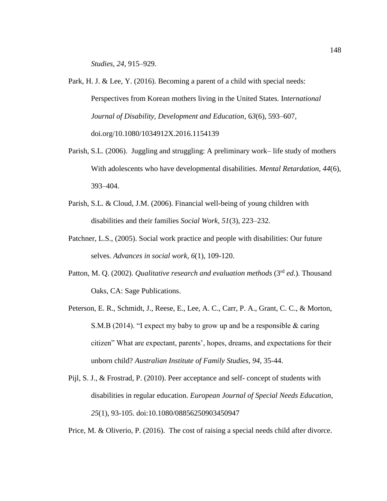*Studies, 24*, 915–929.

- Park, H. J. & Lee, Y. (2016). Becoming a parent of a child with special needs: Perspectives from Korean mothers living in the United States. I*nternational Journal of Disability, Development and Education*, 6*3*(6), 593–607, doi.org/10.1080/1034912X.2016.1154139
- Parish, S.L. (2006). Juggling and struggling: A preliminary work– life study of mothers With adolescents who have developmental disabilities. *Mental Retardation, 44*(6), 393–404.
- Parish, S.L. & Cloud, J.M. (2006). Financial well-being of young children with disabilities and their families *Social Work, 51*(3), 223–232.
- Patchner, L.S., (2005). Social work practice and people with disabilities: Our future selves. *Advances in social work*, *6*(1), 109-120.
- Patton, M. Q. (2002). *Qualitative research and evaluation methods* (3<sup>rd</sup> ed.). Thousand Oaks, CA: Sage Publications.
- Peterson, E. R., Schmidt, J., Reese, E., Lee, A. C., Carr, P. A., Grant, C. C., & Morton, S.M.B (2014). "I expect my baby to grow up and be a responsible & caring citizen" What are expectant, parents', hopes, dreams, and expectations for their unborn child? *Australian Institute of Family Studies*, *94*, 35-44.
- Pijl, S. J., & Frostrad, P. (2010). Peer acceptance and self- concept of students with disabilities in regular education. *European Journal of Special Needs Education*, *25*(1), 93-105. doi:10.1080/08856250903450947
- Price, M. & Oliverio, P. (2016). The cost of raising a special needs child after divorce.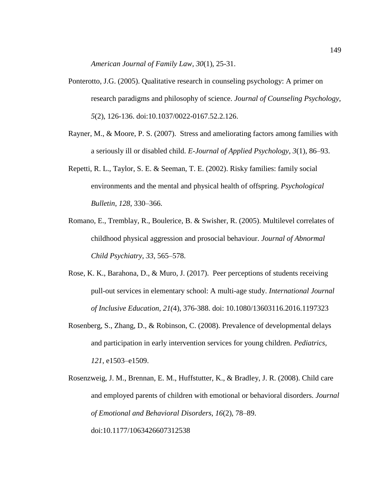*American Journal of Family Law*, *30*(1), 25-31.

- Ponterotto, J.G. (2005). Qualitative research in counseling psychology: A primer on research paradigms and philosophy of science. *Journal of Counseling Psychology, 5*(2), 126-136. doi:10.1037/0022-0167.52.2.126.
- Rayner, M., & Moore, P. S. (2007). Stress and ameliorating factors among families with a seriously ill or disabled child. *E-Journal of Applied Psychology, 3*(1), 86–93.
- Repetti, R. L., Taylor, S. E. & Seeman, T. E. (2002). Risky families: family social environments and the mental and physical health of offspring. *Psychological Bulletin*, *128*, 330–366.
- Romano, E., Tremblay, R., Boulerice, B. & Swisher, R. (2005). Multilevel correlates of childhood physical aggression and prosocial behaviour. *Journal of Abnormal Child Psychiatry*, *33*, 565–578.
- Rose, K. K., Barahona, D., & Muro, J. (2017). Peer perceptions of students receiving pull-out services in elementary school: A multi-age study. *International Journal of Inclusive Education*, *21(*4), 376-388. doi: 10.1080/13603116.2016.1197323
- Rosenberg, S., Zhang, D., & Robinson, C. (2008). Prevalence of developmental delays and participation in early intervention services for young children. *Pediatrics, 121*, e1503–e1509.
- Rosenzweig, J. M., Brennan, E. M., Huffstutter, K., & Bradley, J. R. (2008). Child care and employed parents of children with emotional or behavioral disorders. *Journal of Emotional and Behavioral Disorders*, *16*(2), 78–89. doi:10.1177/1063426607312538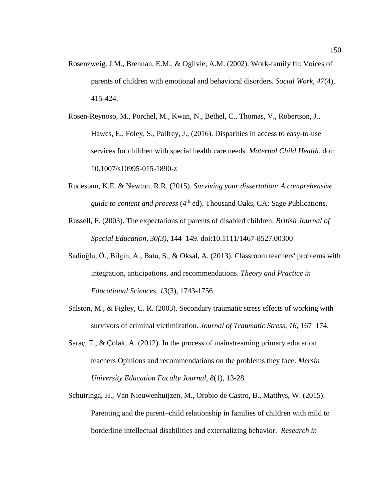- Rosenzweig, J.M., Brennan, E.M., & Ogilvie, A.M. (2002). Work-family fit: Voices of parents of children with emotional and behavioral disorders. *Social Work, 47*(4), 415-424.
- Rosen-Reynoso, M., Porchel, M., Kwan, N., Bethel, C., Thomas, V., Robertson, J., Hawes, E., Foley, S., Palfrey, J., (2016). Disparities in access to easy-to-use services for children with special health care needs. *Maternal Child Health.* doi: 10.1007/s10995-015-1890-z
- Rudestam, K.E. & Newton, R.R. (2015). *Surviving your dissertation: A comprehensive*  guide to content and process (4<sup>th</sup> ed). Thousand Oaks, CA: Sage Publications.
- Russell, F. (2003). The expectations of parents of disabled children. *British Journal of Special Education, 30(3)*, 144–149. doi:10.1111/1467-8527.00300
- Sadioğlu, Ö., Bilgin, A., Batu, S., & Oksal, A. (2013). Classroom teachers' problems with integration, anticipations, and recommendations. *Theory and Practice in Educational Sciences, 13*(3), 1743-1756.
- Salston, M., & Figley, C. R. (2003). Secondary traumatic stress effects of working with survivors of criminal victimization. *Journal of Traumatic Stress, 16*, 167–174.
- Saraç, T., & Çolak, A. (2012). In the process of mainstreaming primary education teachers Opinions and recommendations on the problems they face. *Mersin University Education Faculty Journal, 8*(1), 13-28.
- Schuiringa, H., Van Nieuwenhuijzen, M., Orobio de Castro, B., Matthys, W. (2015). Parenting and the parent–child relationship in families of children with mild to borderline intellectual disabilities and externalizing behavior. *Research in*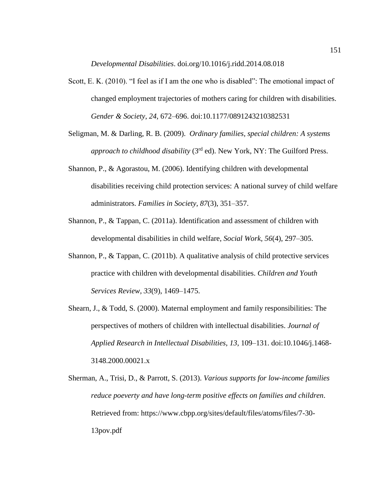*Developmental Disabilities*. doi.org/10.1016/j.ridd.2014.08.018

- Scott, E. K. (2010). "I feel as if I am the one who is disabled": The emotional impact of changed employment trajectories of mothers caring for children with disabilities. *Gender & Society*, *24*, 672–696. doi:10.1177/0891243210382531
- Seligman, M. & Darling, R. B. (2009). *Ordinary families, special children: A systems*  approach to childhood disability (3<sup>rd</sup> ed). New York, NY: The Guilford Press.
- Shannon, P., & Agorastou, M. (2006). Identifying children with developmental disabilities receiving child protection services: A national survey of child welfare administrators. *Families in Society, 87*(3), 351–357.
- Shannon, P., & Tappan, C. (2011a). Identification and assessment of children with developmental disabilities in child welfare, *Social Work, 56*(4), 297–305.
- Shannon, P., & Tappan, C. (2011b). A qualitative analysis of child protective services practice with children with developmental disabilities. *Children and Youth Services Review, 33*(9), 1469–1475.
- Shearn, J., & Todd, S. (2000). Maternal employment and family responsibilities: The perspectives of mothers of children with intellectual disabilities. *Journal of Applied Research in Intellectual Disabilities*, *13*, 109–131. doi:10.1046/j.1468- 3148.2000.00021.x
- Sherman, A., Trisi, D., & Parrott, S. (2013). *Various supports for low-income families reduce poeverty and have long-term positive effects on families and children*. Retrieved from: https://www.cbpp.org/sites/default/files/atoms/files/7-30- 13pov.pdf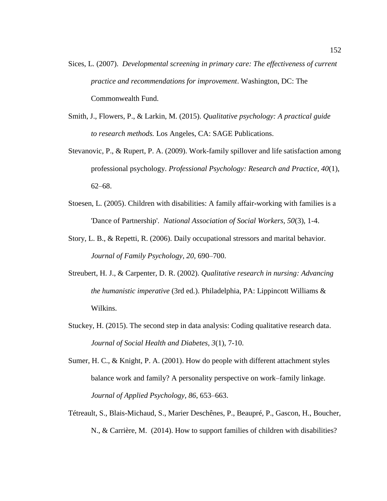- Sices, L. (2007). *Developmental screening in primary care: The effectiveness of current practice and recommendations for improvement*. Washington, DC: The Commonwealth Fund.
- Smith, J., Flowers, P., & Larkin, M. (2015). *Qualitative psychology: A practical guide to research methods.* Los Angeles, CA: SAGE Publications.
- Stevanovic, P., & Rupert, P. A. (2009). Work-family spillover and life satisfaction among professional psychology. *Professional Psychology: Research and Practice, 40*(1), 62–68.
- Stoesen, L. (2005). Children with disabilities: A family affair**-**working with families is a 'Dance of Partnership'. *National Association of Social Workers, 50*(3), 1-4.
- Story, L. B., & Repetti, R. (2006). Daily occupational stressors and marital behavior. *Journal of Family Psychology, 20*, 690–700.
- Streubert, H. J., & Carpenter, D. R. (2002). *Qualitative research in nursing: Advancing the humanistic imperative* (3rd ed.). Philadelphia, PA: Lippincott Williams & Wilkins.
- Stuckey, H. (2015). The second step in data analysis: Coding qualitative research data. *Journal of Social Health and Diabetes, 3*(1), 7-10.
- Sumer, H. C., & Knight, P. A. (2001). How do people with different attachment styles balance work and family? A personality perspective on work–family linkage. *Journal of Applied Psychology, 86*, 653–663.
- Tétreault, S., Blais-Michaud, S., Marier Deschênes, P., Beaupré, P., Gascon, H., Boucher, N., & Carrière, M. (2014). How to support families of children with [disabilities?](http://web.b.ebscohost.com.ezp.waldenulibrary.org/ehost/viewarticle?data=dGJyMPPp44rp2%2fdV0%2bnjisfk5Ie46bRNsK2wSK6k63nn5Kx95uXxjL6nrUutqK5JtJayUrGquEyzlr9lpOrweezp33vy3%2b2G59q7T7asr0mwr69KpOLfhuWz44ak2uBV8d%2fmPvLX5VW%2fxKR57LO3Trestku0p6R%2b7ejrefKz7nzk3POE6urjkPIA&hid=110)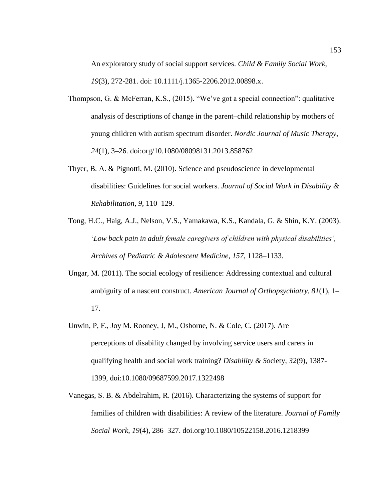[An exploratory study of social support services.](http://web.b.ebscohost.com.ezp.waldenulibrary.org/ehost/viewarticle?data=dGJyMPPp44rp2%2fdV0%2bnjisfk5Ie46bRNsK2wSK6k63nn5Kx95uXxjL6nrUutqK5JtJayUrGquEyzlr9lpOrweezp33vy3%2b2G59q7T7asr0mwr69KpOLfhuWz44ak2uBV8d%2fmPvLX5VW%2fxKR57LO3Trestku0p6R%2b7ejrefKz7nzk3POE6urjkPIA&hid=110) *Child & Family Social Work, 19*(3), 272-281. doi: 10.1111/j.1365-2206.2012.00898.x.

- Thompson, G. & McFerran, K.S., (2015). "We've got a special connection": qualitative analysis of descriptions of change in the parent–child relationship by mothers of young children with autism spectrum disorder. *Nordic Journal of Music Therapy*, *24*(1), 3–26. doi:org/10.1080/08098131.2013.858762
- Thyer, B. A. & Pignotti, M. (2010). Science and pseudoscience in developmental disabilities: Guidelines for social workers. *Journal of Social Work in Disability & Rehabilitation*, *9*, 110–129.
- Tong, H.C., Haig, A.J., Nelson, V.S., Yamakawa, K.S., Kandala, G. & Shin, K.Y. (2003). '*Low back pain in adult female caregivers of children with physical disabilities', Archives of Pediatric & Adolescent Medicine*, *157*, 1128–1133.
- Ungar, M. (2011). The social ecology of resilience: Addressing contextual and cultural ambiguity of a nascent construct. *American Journal of Orthopsychiatry, 81*(1), 1– 17.
- Unwin, P, F., Joy M. Rooney, J, M., Osborne, N. & Cole, C. (2017). Are perceptions of disability changed by involving service users and carers in qualifying health and social work training? *Disability & So*ciety, *32*(9), 1387- 1399, doi:10.1080/09687599.2017.1322498
- Vanegas, S. B. & Abdelrahim, R. (2016). Characterizing the systems of support for families of children with disabilities: A review of the literature. *Journal of Family Social Work*, *19*(4), 286–327. doi.org/10.1080/10522158.2016.1218399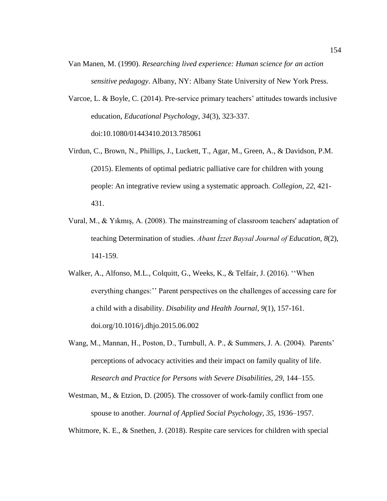- Van Manen, M. (1990). *Researching lived experience: Human science for an action sensitive pedagogy*. Albany, NY: Albany State University of New York Press.
- Varcoe, L. & Boyle, C. (2014). Pre-service primary teachers' attitudes towards inclusive education, *Educational Psychology*, *34*(3), 323-337. doi:10.1080/01443410.2013.785061
- Virdun, C., Brown, N., Phillips, J., Luckett, T., Agar, M., Green, A., & Davidson, P.M. (2015). Elements of optimal pediatric palliative care for children with young people: An integrative review using a systematic approach. *Collegion*, *22*, 421- 431.
- Vural, M., & Yıkmış, A. (2008). The mainstreaming of classroom teachers' adaptation of teaching Determination of studies. *Abant İzzet Baysal Journal of Education, 8*(2), 141-159.
- Walker, A., Alfonso, M.L., Colquitt, G., Weeks, K., & Telfair, J. (2016). ''When everything changes:'' Parent perspectives on the challenges of accessing care for a child with a disability. *Disability and Health Journal*, *9*(1), 157-161. [doi.org/10.1016/j.dhjo.2015.06.002](https://doi.org/10.1016/j.dhjo.2015.06.002)
- Wang, M., Mannan, H., Poston, D., Turnbull, A. P., & Summers, J. A. (2004). Parents' perceptions of advocacy activities and their impact on family quality of life. *Research and Practice for Persons with Severe Disabilities, 29*, 144–155.
- Westman, M., & Etzion, D. (2005). The crossover of work-family conflict from one spouse to another. *Journal of Applied Social Psychology, 35*, 1936–1957.

Whitmore, K. E., & Snethen, J. (2018). Respite care services for children with special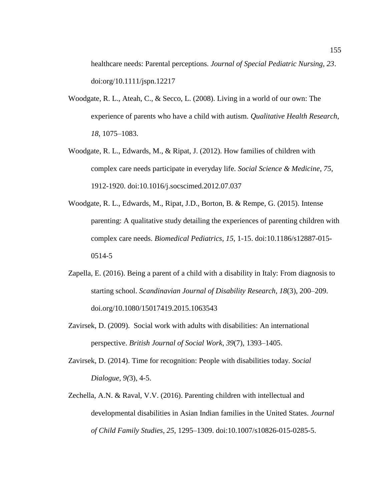healthcare needs: Parental perceptions. *Journal of Special Pediatric Nursing, 23*. doi:org/10.1111/jspn.12217

- Woodgate, R. L., Ateah, C., & Secco, L. (2008). Living in a world of our own: The experience of parents who have a child with autism. *Qualitative Health Research*, *18*, 1075–1083.
- Woodgate, R. L., Edwards, M., & Ripat, J. (2012). How families of children with complex care needs participate in everyday life. *Social Science & Medicine*, *75*, 1912-1920. doi:10.1016/j.socscimed.2012.07.037
- Woodgate, R. L., Edwards, M., Ripat, J.D., Borton, B. & Rempe, G. (2015). Intense parenting: A qualitative study detailing the experiences of parenting children with complex care needs. *Biomedical Pediatrics, 15,* 1-15. doi:10.1186/s12887-015- 0514-5
- Zapella, E. (2016). Being a parent of a child with a disability in Italy: From diagnosis to starting school. *Scandinavian Journal of Disability Research*, *18*(3), 200–209. doi.org/10.1080/15017419.2015.1063543
- Zavirsek, D. (2009). Social work with adults with disabilities: An international perspective. *British Journal of Social Work*, *39*(7), 1393–1405.
- Zavirsek, D. (2014). Time for recognition: People with disabilities today. *Social Dialogue*, *9(*3), 4-5.
- Zechella, A.N. & Raval, V.V. (2016). Parenting children with intellectual and developmental disabilities in Asian Indian families in the United States. *Journal of Child Family Studies*, *25*, 1295–1309. doi:10.1007/s10826-015-0285-5.